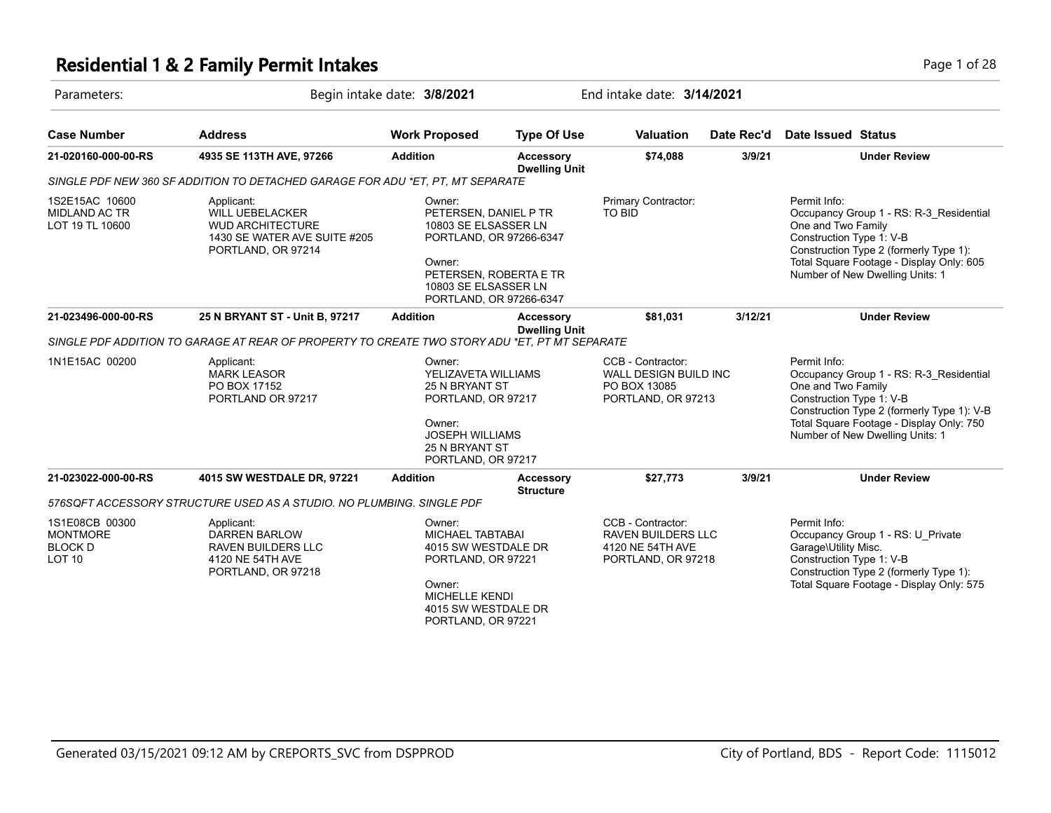### **Residential 1 & 2 Family Permit Intakes Page 1 of 28**

| Parameters:                                                              | Begin intake date: 3/8/2021                                                                                           |                                                                                                                                                                           | End intake date: 3/14/2021               |                                                                                          |            |                                                                                                                                                                                                                                        |  |
|--------------------------------------------------------------------------|-----------------------------------------------------------------------------------------------------------------------|---------------------------------------------------------------------------------------------------------------------------------------------------------------------------|------------------------------------------|------------------------------------------------------------------------------------------|------------|----------------------------------------------------------------------------------------------------------------------------------------------------------------------------------------------------------------------------------------|--|
| <b>Case Number</b>                                                       | <b>Address</b>                                                                                                        | <b>Work Proposed</b>                                                                                                                                                      | <b>Type Of Use</b>                       | <b>Valuation</b>                                                                         | Date Rec'd | Date Issued Status                                                                                                                                                                                                                     |  |
| 21-020160-000-00-RS                                                      | 4935 SE 113TH AVE, 97266                                                                                              | <b>Addition</b><br><b>Accessory</b><br><b>Dwelling Unit</b>                                                                                                               |                                          | \$74,088                                                                                 | 3/9/21     | <b>Under Review</b>                                                                                                                                                                                                                    |  |
|                                                                          | SINGLE PDF NEW 360 SF ADDITION TO DETACHED GARAGE FOR ADU *ET. PT. MT SEPARATE                                        |                                                                                                                                                                           |                                          |                                                                                          |            |                                                                                                                                                                                                                                        |  |
| 1S2E15AC 10600<br><b>MIDLAND AC TR</b><br>LOT 19 TL 10600                | Applicant:<br><b>WILL UEBELACKER</b><br><b>WUD ARCHITECTURE</b><br>1430 SE WATER AVE SUITE #205<br>PORTLAND, OR 97214 | Owner:<br>PETERSEN, DANIEL P TR<br>10803 SE ELSASSER LN<br>PORTLAND, OR 97266-6347<br>Owner:<br>PETERSEN, ROBERTA E TR<br>10803 SE ELSASSER LN<br>PORTLAND, OR 97266-6347 |                                          | Primary Contractor:<br><b>TO BID</b>                                                     |            | Permit Info:<br>Occupancy Group 1 - RS: R-3_Residential<br>One and Two Family<br>Construction Type 1: V-B<br>Construction Type 2 (formerly Type 1):<br>Total Square Footage - Display Only: 605<br>Number of New Dwelling Units: 1     |  |
| 21-023496-000-00-RS                                                      | 25 N BRYANT ST - Unit B, 97217                                                                                        | <b>Addition</b>                                                                                                                                                           | <b>Accessory</b><br><b>Dwelling Unit</b> | \$81,031                                                                                 | 3/12/21    | <b>Under Review</b>                                                                                                                                                                                                                    |  |
|                                                                          | SINGLE PDF ADDITION TO GARAGE AT REAR OF PROPERTY TO CREATE TWO STORY ADU *ET, PT MT SEPARATE                         |                                                                                                                                                                           |                                          |                                                                                          |            |                                                                                                                                                                                                                                        |  |
| 1N1E15AC 00200                                                           | Applicant:<br><b>MARK LEASOR</b><br>PO BOX 17152<br>PORTLAND OR 97217                                                 | Owner:<br>YELIZAVETA WILLIAMS<br>25 N BRYANT ST<br>PORTLAND, OR 97217<br>Owner:<br><b>JOSEPH WILLIAMS</b><br><b>25 N BRYANT ST</b><br>PORTLAND, OR 97217                  |                                          | CCB - Contractor:<br><b>WALL DESIGN BUILD INC</b><br>PO BOX 13085<br>PORTLAND, OR 97213  |            | Permit Info:<br>Occupancy Group 1 - RS: R-3_Residential<br>One and Two Family<br>Construction Type 1: V-B<br>Construction Type 2 (formerly Type 1): V-B<br>Total Square Footage - Display Only: 750<br>Number of New Dwelling Units: 1 |  |
| 21-023022-000-00-RS                                                      | 4015 SW WESTDALE DR, 97221                                                                                            | <b>Addition</b>                                                                                                                                                           | <b>Accessory</b><br><b>Structure</b>     | \$27,773                                                                                 | 3/9/21     | <b>Under Review</b>                                                                                                                                                                                                                    |  |
|                                                                          | 576SQFT ACCESSORY STRUCTURE USED AS A STUDIO. NO PLUMBING. SINGLE PDF                                                 |                                                                                                                                                                           |                                          |                                                                                          |            |                                                                                                                                                                                                                                        |  |
| 1S1E08CB 00300<br><b>MONTMORE</b><br><b>BLOCK D</b><br>LOT <sub>10</sub> | Applicant:<br><b>DARREN BARLOW</b><br><b>RAVEN BUILDERS LLC</b><br>4120 NE 54TH AVE<br>PORTLAND, OR 97218             | Owner:<br><b>MICHAEL TABTABAI</b><br>4015 SW WESTDALE DR<br>PORTLAND, OR 97221<br>Owner:<br><b>MICHELLE KENDI</b><br>4015 SW WESTDALE DR<br>PORTLAND, OR 97221            |                                          | CCB - Contractor:<br><b>RAVEN BUILDERS LLC</b><br>4120 NE 54TH AVE<br>PORTLAND, OR 97218 |            | Permit Info:<br>Occupancy Group 1 - RS: U_Private<br>Garage\Utility Misc.<br>Construction Type 1: V-B<br>Construction Type 2 (formerly Type 1):<br>Total Square Footage - Display Only: 575                                            |  |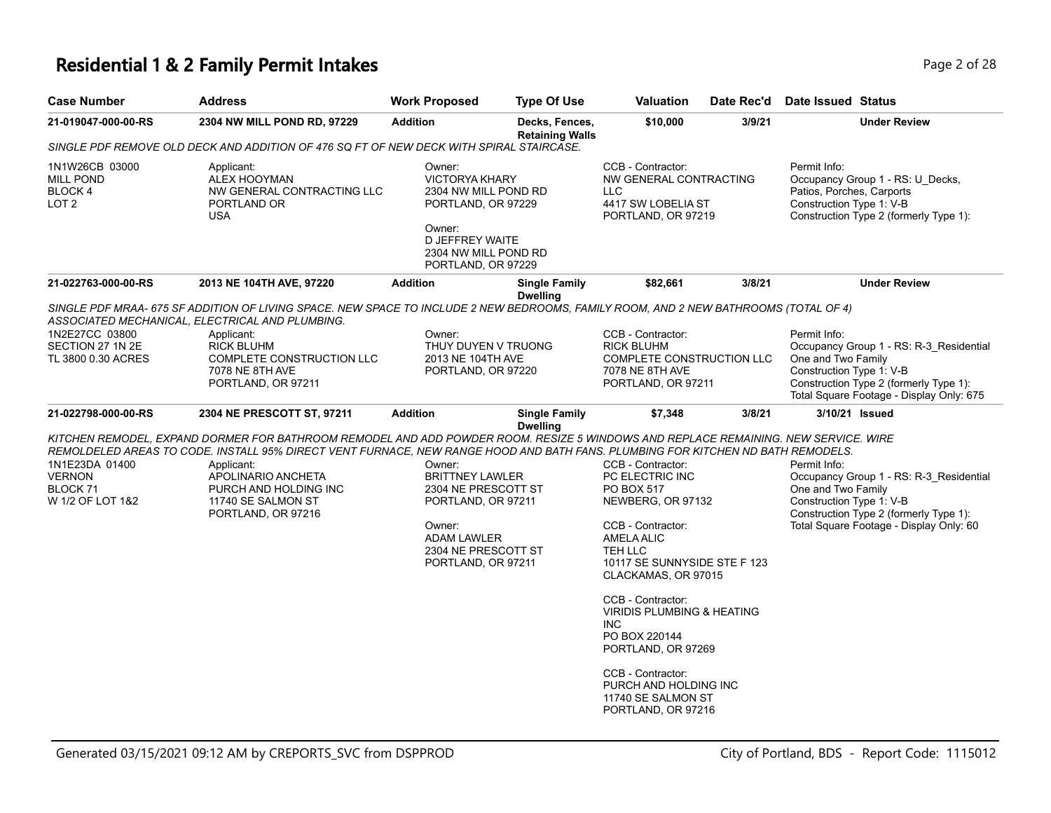# **Residential 1 & 2 Family Permit Intakes Page 1 0 AM** Page 2 of 28

| <b>Case Number</b>                                                         | <b>Address</b>                                                                                                                                                                                                                                                                                                                                                                 | <b>Work Proposed</b>                                                                                                                                       | <b>Type Of Use</b>                       | <b>Valuation</b>                                                                                                                                                                                                                                                                                                                                                                | Date Rec'd | <b>Date Issued Status</b>                                                                                                                                                                       |
|----------------------------------------------------------------------------|--------------------------------------------------------------------------------------------------------------------------------------------------------------------------------------------------------------------------------------------------------------------------------------------------------------------------------------------------------------------------------|------------------------------------------------------------------------------------------------------------------------------------------------------------|------------------------------------------|---------------------------------------------------------------------------------------------------------------------------------------------------------------------------------------------------------------------------------------------------------------------------------------------------------------------------------------------------------------------------------|------------|-------------------------------------------------------------------------------------------------------------------------------------------------------------------------------------------------|
| 21-019047-000-00-RS                                                        | 2304 NW MILL POND RD, 97229                                                                                                                                                                                                                                                                                                                                                    | <b>Addition</b>                                                                                                                                            | Decks, Fences,<br><b>Retaining Walls</b> | \$10,000                                                                                                                                                                                                                                                                                                                                                                        | 3/9/21     | <b>Under Review</b>                                                                                                                                                                             |
|                                                                            | SINGLE PDF REMOVE OLD DECK AND ADDITION OF 476 SQ FT OF NEW DECK WITH SPIRAL STAIRCASE.                                                                                                                                                                                                                                                                                        |                                                                                                                                                            |                                          |                                                                                                                                                                                                                                                                                                                                                                                 |            |                                                                                                                                                                                                 |
| 1N1W26CB 03000<br><b>MILL POND</b><br>BLOCK 4<br>LOT 2                     | Applicant:<br><b>ALEX HOOYMAN</b><br>NW GENERAL CONTRACTING LLC<br>PORTLAND OR<br><b>USA</b>                                                                                                                                                                                                                                                                                   | Owner:<br><b>VICTORYA KHARY</b><br>2304 NW MILL POND RD<br>PORTLAND, OR 97229<br>Owner:<br>D JEFFREY WAITE<br>2304 NW MILL POND RD<br>PORTLAND, OR 97229   |                                          | CCB - Contractor:<br>NW GENERAL CONTRACTING<br><b>LLC</b><br>4417 SW LOBELIA ST<br>PORTLAND, OR 97219                                                                                                                                                                                                                                                                           |            | Permit Info:<br>Occupancy Group 1 - RS: U_Decks,<br>Patios, Porches, Carports<br>Construction Type 1: V-B<br>Construction Type 2 (formerly Type 1):                                             |
| 21-022763-000-00-RS                                                        | 2013 NE 104TH AVE, 97220                                                                                                                                                                                                                                                                                                                                                       | <b>Addition</b>                                                                                                                                            | Single Family                            | \$82,661                                                                                                                                                                                                                                                                                                                                                                        | 3/8/21     | <b>Under Review</b>                                                                                                                                                                             |
| 1N2E27CC 03800<br>SECTION 27 1N 2E<br>TL 3800 0.30 ACRES                   | SINGLE PDF MRAA- 675 SF ADDITION OF LIVING SPACE. NEW SPACE TO INCLUDE 2 NEW BEDROOMS, FAMILY ROOM, AND 2 NEW BATHROOMS (TOTAL OF 4)<br>ASSOCIATED MECHANICAL, ELECTRICAL AND PLUMBING.<br>Applicant:<br><b>RICK BLUHM</b><br>COMPLETE CONSTRUCTION LLC<br>7078 NE 8TH AVE<br>PORTLAND, OR 97211                                                                               | Owner:<br>THUY DUYEN V TRUONG<br>2013 NE 104TH AVE<br>PORTLAND, OR 97220                                                                                   | Dwelling                                 | CCB - Contractor:<br><b>RICK BLUHM</b><br>COMPLETE CONSTRUCTION LLC<br>7078 NE 8TH AVE<br>PORTLAND, OR 97211                                                                                                                                                                                                                                                                    |            | Permit Info:<br>Occupancy Group 1 - RS: R-3_Residential<br>One and Two Family<br>Construction Type 1: V-B<br>Construction Type 2 (formerly Type 1):<br>Total Square Footage - Display Only: 675 |
| 21-022798-000-00-RS                                                        | 2304 NE PRESCOTT ST, 97211                                                                                                                                                                                                                                                                                                                                                     | <b>Addition</b>                                                                                                                                            | <b>Single Family</b>                     | \$7,348                                                                                                                                                                                                                                                                                                                                                                         | 3/8/21     | 3/10/21 Issued                                                                                                                                                                                  |
| 1N1E23DA 01400<br><b>VERNON</b><br>BLOCK <sub>71</sub><br>W 1/2 OF LOT 1&2 | KITCHEN REMODEL, EXPAND DORMER FOR BATHROOM REMODEL AND ADD POWDER ROOM. RESIZE 5 WINDOWS AND REPLACE REMAINING. NEW SERVICE. WIRE<br>REMOLDELED AREAS TO CODE. INSTALL 95% DIRECT VENT FURNACE, NEW RANGE HOOD AND BATH FANS. PLUMBING FOR KITCHEN ND BATH REMODELS.<br>Applicant:<br>APOLINARIO ANCHETA<br>PURCH AND HOLDING INC<br>11740 SE SALMON ST<br>PORTLAND, OR 97216 | Owner:<br><b>BRITTNEY LAWLER</b><br>2304 NE PRESCOTT ST<br>PORTLAND, OR 97211<br>Owner:<br><b>ADAM LAWLER</b><br>2304 NE PRESCOTT ST<br>PORTLAND, OR 97211 | <b>Dwelling</b>                          | CCB - Contractor:<br>PC ELECTRIC INC<br>PO BOX 517<br>NEWBERG, OR 97132<br>CCB - Contractor:<br><b>AMELA ALIC</b><br>TEH LLC<br>10117 SE SUNNYSIDE STE F 123<br>CLACKAMAS, OR 97015<br>CCB - Contractor:<br>VIRIDIS PLUMBING & HEATING<br>INC.<br>PO BOX 220144<br>PORTLAND, OR 97269<br>CCB - Contractor:<br>PURCH AND HOLDING INC<br>11740 SE SALMON ST<br>PORTLAND, OR 97216 |            | Permit Info:<br>Occupancy Group 1 - RS: R-3 Residential<br>One and Two Family<br>Construction Type 1: V-B<br>Construction Type 2 (formerly Type 1):<br>Total Square Footage - Display Only: 60  |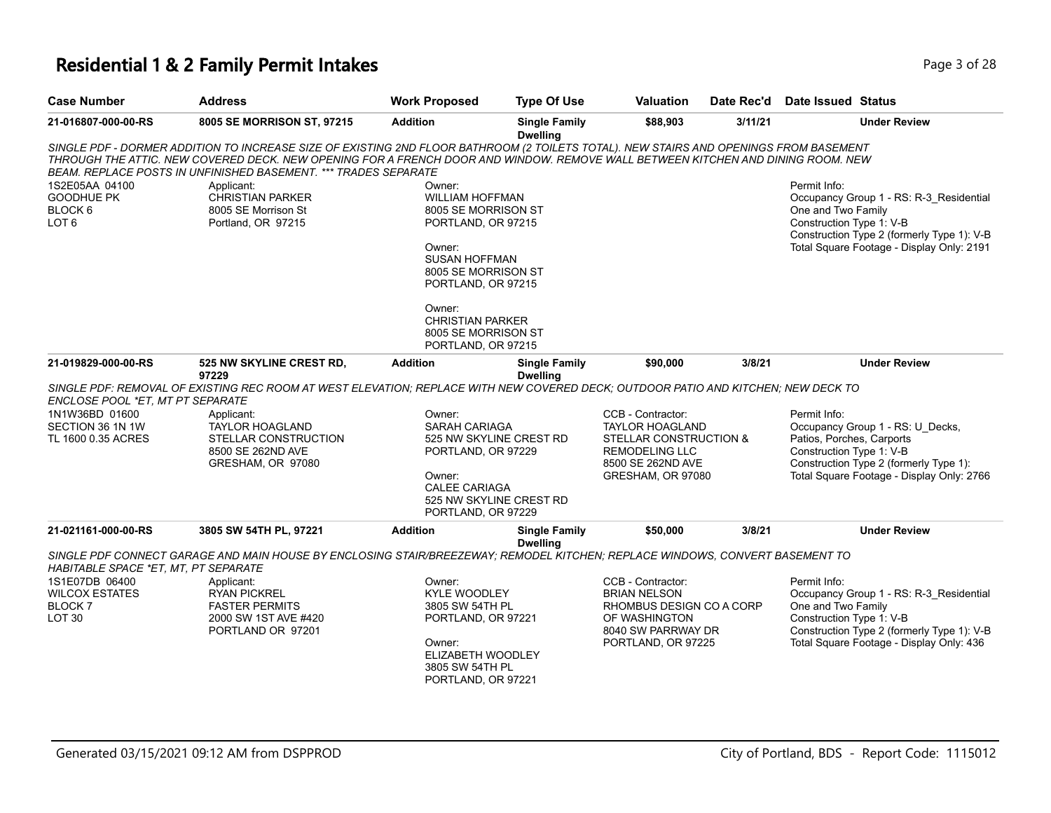# **Residential 1 & 2 Family Permit Intakes Page 1 0 AM** Page 3 of 28

| <b>Case Number</b>                                                            | <b>Address</b>                                                                                                                                                                                                                                                                                                                              | <b>Work Proposed</b>                                                                                                                                                                                                                           | <b>Type Of Use</b>                      | Valuation                                                                                                                                | Date Rec'd | <b>Date Issued Status</b>                                             |                                                                                                                                    |
|-------------------------------------------------------------------------------|---------------------------------------------------------------------------------------------------------------------------------------------------------------------------------------------------------------------------------------------------------------------------------------------------------------------------------------------|------------------------------------------------------------------------------------------------------------------------------------------------------------------------------------------------------------------------------------------------|-----------------------------------------|------------------------------------------------------------------------------------------------------------------------------------------|------------|-----------------------------------------------------------------------|------------------------------------------------------------------------------------------------------------------------------------|
| 21-016807-000-00-RS                                                           | 8005 SE MORRISON ST, 97215                                                                                                                                                                                                                                                                                                                  | <b>Addition</b>                                                                                                                                                                                                                                | <b>Single Family</b><br><b>Dwelling</b> | \$88,903                                                                                                                                 | 3/11/21    |                                                                       | <b>Under Review</b>                                                                                                                |
|                                                                               | SINGLE PDF - DORMER ADDITION TO INCREASE SIZE OF EXISTING 2ND FLOOR BATHROOM (2 TOILETS TOTAL). NEW STAIRS AND OPENINGS FROM BASEMENT<br>THROUGH THE ATTIC. NEW COVERED DECK. NEW OPENING FOR A FRENCH DOOR AND WINDOW. REMOVE WALL BETWEEN KITCHEN AND DINING ROOM. NEW<br>BEAM. REPLACE POSTS IN UNFINISHED BASEMENT. *** TRADES SEPARATE |                                                                                                                                                                                                                                                |                                         |                                                                                                                                          |            |                                                                       |                                                                                                                                    |
| 1S2E05AA 04100<br><b>GOODHUE PK</b><br>BLOCK 6<br>LOT <sub>6</sub>            | Applicant:<br><b>CHRISTIAN PARKER</b><br>8005 SE Morrison St<br>Portland, OR 97215                                                                                                                                                                                                                                                          | Owner:<br><b>WILLIAM HOFFMAN</b><br>8005 SE MORRISON ST<br>PORTLAND, OR 97215<br>Owner:<br><b>SUSAN HOFFMAN</b><br>8005 SE MORRISON ST<br>PORTLAND, OR 97215<br>Owner:<br><b>CHRISTIAN PARKER</b><br>8005 SE MORRISON ST<br>PORTLAND, OR 97215 |                                         |                                                                                                                                          |            | Permit Info:<br>One and Two Family<br>Construction Type 1: V-B        | Occupancy Group 1 - RS: R-3_Residential<br>Construction Type 2 (formerly Type 1): V-B<br>Total Square Footage - Display Only: 2191 |
| 21-019829-000-00-RS                                                           | 525 NW SKYLINE CREST RD,<br>97229                                                                                                                                                                                                                                                                                                           | <b>Addition</b>                                                                                                                                                                                                                                | <b>Single Family</b><br><b>Dwelling</b> | \$90,000                                                                                                                                 | 3/8/21     |                                                                       | <b>Under Review</b>                                                                                                                |
| ENCLOSE POOL *ET. MT PT SEPARATE                                              | SINGLE PDF: REMOVAL OF EXISTING REC ROOM AT WEST ELEVATION; REPLACE WITH NEW COVERED DECK; OUTDOOR PATIO AND KITCHEN; NEW DECK TO                                                                                                                                                                                                           |                                                                                                                                                                                                                                                |                                         |                                                                                                                                          |            |                                                                       |                                                                                                                                    |
| 1N1W36BD 01600<br>SECTION 36 1N 1W<br>TL 1600 0.35 ACRES                      | Applicant:<br>TAYLOR HOAGLAND<br>STELLAR CONSTRUCTION<br>8500 SE 262ND AVE<br>GRESHAM, OR 97080                                                                                                                                                                                                                                             | Owner:<br><b>SARAH CARIAGA</b><br>525 NW SKYLINE CREST RD<br>PORTLAND, OR 97229<br>Owner:<br><b>CALEE CARIAGA</b><br>525 NW SKYLINE CREST RD<br>PORTLAND, OR 97229                                                                             |                                         | CCB - Contractor:<br><b>TAYLOR HOAGLAND</b><br>STELLAR CONSTRUCTION &<br><b>REMODELING LLC</b><br>8500 SE 262ND AVE<br>GRESHAM, OR 97080 |            | Permit Info:<br>Patios, Porches, Carports<br>Construction Type 1: V-B | Occupancy Group 1 - RS: U Decks,<br>Construction Type 2 (formerly Type 1):<br>Total Square Footage - Display Only: 2766            |
| 21-021161-000-00-RS                                                           | 3805 SW 54TH PL, 97221                                                                                                                                                                                                                                                                                                                      | <b>Addition</b>                                                                                                                                                                                                                                | <b>Single Family</b><br><b>Dwelling</b> | \$50,000                                                                                                                                 | 3/8/21     |                                                                       | <b>Under Review</b>                                                                                                                |
| HABITABLE SPACE *ET, MT, PT SEPARATE                                          | SINGLE PDF CONNECT GARAGE AND MAIN HOUSE BY ENCLOSING STAIR/BREEZEWAY; REMODEL KITCHEN; REPLACE WINDOWS, CONVERT BASEMENT TO                                                                                                                                                                                                                |                                                                                                                                                                                                                                                |                                         |                                                                                                                                          |            |                                                                       |                                                                                                                                    |
| 1S1E07DB 06400<br><b>WILCOX ESTATES</b><br><b>BLOCK7</b><br>LOT <sub>30</sub> | Applicant:<br><b>RYAN PICKREL</b><br><b>FASTER PERMITS</b><br>2000 SW 1ST AVE #420<br>PORTLAND OR 97201                                                                                                                                                                                                                                     | Owner:<br><b>KYLE WOODLEY</b><br>3805 SW 54TH PL<br>PORTLAND, OR 97221<br>Owner:<br>ELIZABETH WOODLEY<br>3805 SW 54TH PL<br>PORTLAND, OR 97221                                                                                                 |                                         | CCB - Contractor:<br><b>BRIAN NELSON</b><br>RHOMBUS DESIGN CO A CORP<br>OF WASHINGTON<br>8040 SW PARRWAY DR<br>PORTLAND, OR 97225        |            | Permit Info:<br>One and Two Family<br>Construction Type 1: V-B        | Occupancy Group 1 - RS: R-3_Residential<br>Construction Type 2 (formerly Type 1): V-B<br>Total Square Footage - Display Only: 436  |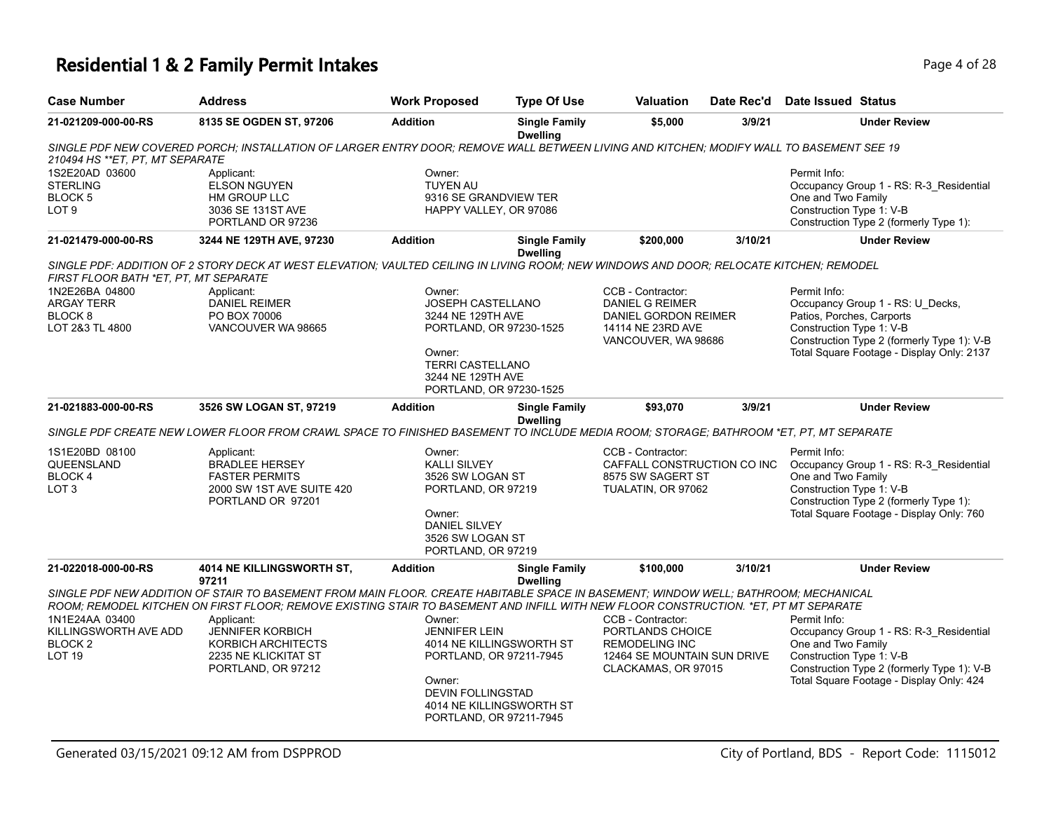# **Residential 1 & 2 Family Permit Intakes Page 4 of 28**

| <b>Case Number</b>                                                             | <b>Address</b>                                                                                                                                                                                                                                                                                                                                                                          | <b>Work Proposed</b>                                                                                                                                                    | <b>Type Of Use</b>                                   | Valuation                                                                                                            | Date Rec'd | Date Issued Status                                                                                                                                                                                   |
|--------------------------------------------------------------------------------|-----------------------------------------------------------------------------------------------------------------------------------------------------------------------------------------------------------------------------------------------------------------------------------------------------------------------------------------------------------------------------------------|-------------------------------------------------------------------------------------------------------------------------------------------------------------------------|------------------------------------------------------|----------------------------------------------------------------------------------------------------------------------|------------|------------------------------------------------------------------------------------------------------------------------------------------------------------------------------------------------------|
| 21-021209-000-00-RS                                                            | 8135 SE OGDEN ST, 97206                                                                                                                                                                                                                                                                                                                                                                 | <b>Addition</b>                                                                                                                                                         | <b>Single Family</b><br><b>Dwelling</b>              | \$5,000                                                                                                              | 3/9/21     | <b>Under Review</b>                                                                                                                                                                                  |
| 210494 HS **ET, PT, MT SEPARATE                                                | SINGLE PDF NEW COVERED PORCH; INSTALLATION OF LARGER ENTRY DOOR; REMOVE WALL BETWEEN LIVING AND KITCHEN; MODIFY WALL TO BASEMENT SEE 19                                                                                                                                                                                                                                                 |                                                                                                                                                                         |                                                      |                                                                                                                      |            |                                                                                                                                                                                                      |
| 1S2E20AD 03600<br><b>STERLING</b><br>BLOCK 5<br>LOT <sub>9</sub>               | Applicant:<br><b>ELSON NGUYEN</b><br>HM GROUP LLC<br>3036 SE 131ST AVE<br>PORTLAND OR 97236                                                                                                                                                                                                                                                                                             | Owner:<br><b>TUYEN AU</b><br>9316 SE GRANDVIEW TER<br>HAPPY VALLEY, OR 97086                                                                                            |                                                      |                                                                                                                      |            | Permit Info:<br>Occupancy Group 1 - RS: R-3_Residential<br>One and Two Family<br>Construction Type 1: V-B<br>Construction Type 2 (formerly Type 1):                                                  |
| 21-021479-000-00-RS                                                            | 3244 NE 129TH AVE, 97230                                                                                                                                                                                                                                                                                                                                                                | <b>Addition</b>                                                                                                                                                         | <b>Single Family</b><br><b>Dwelling</b>              | \$200,000                                                                                                            | 3/10/21    | <b>Under Review</b>                                                                                                                                                                                  |
| FIRST FLOOR BATH *ET, PT, MT SEPARATE                                          | SINGLE PDF: ADDITION OF 2 STORY DECK AT WEST ELEVATION; VAULTED CEILING IN LIVING ROOM; NEW WINDOWS AND DOOR; RELOCATE KITCHEN; REMODEL                                                                                                                                                                                                                                                 |                                                                                                                                                                         |                                                      |                                                                                                                      |            |                                                                                                                                                                                                      |
| 1N2E26BA 04800<br><b>ARGAY TERR</b><br>BLOCK 8<br>LOT 2&3 TL 4800              | Applicant:<br><b>DANIEL REIMER</b><br>PO BOX 70006<br>VANCOUVER WA 98665                                                                                                                                                                                                                                                                                                                | Owner:<br><b>JOSEPH CASTELLANO</b><br>3244 NE 129TH AVE<br>PORTLAND, OR 97230-1525<br>Owner:<br><b>TERRI CASTELLANO</b><br>3244 NE 129TH AVE<br>PORTLAND, OR 97230-1525 |                                                      | CCB - Contractor:<br><b>DANIEL G REIMER</b><br>DANIEL GORDON REIMER<br>14114 NE 23RD AVE<br>VANCOUVER, WA 98686      |            | Permit Info:<br>Occupancy Group 1 - RS: U_Decks,<br>Patios, Porches, Carports<br>Construction Type 1: V-B<br>Construction Type 2 (formerly Type 1): V-B<br>Total Square Footage - Display Only: 2137 |
| 21-021883-000-00-RS                                                            | 3526 SW LOGAN ST, 97219                                                                                                                                                                                                                                                                                                                                                                 | <b>Addition</b>                                                                                                                                                         | <b>Single Family</b><br><b>Dwelling</b>              | \$93,070                                                                                                             | 3/9/21     | <b>Under Review</b>                                                                                                                                                                                  |
|                                                                                | SINGLE PDF CREATE NEW LOWER FLOOR FROM CRAWL SPACE TO FINISHED BASEMENT TO INCLUDE MEDIA ROOM; STORAGE; BATHROOM *ET, PT, MT SEPARATE                                                                                                                                                                                                                                                   |                                                                                                                                                                         |                                                      |                                                                                                                      |            |                                                                                                                                                                                                      |
| 1S1E20BD 08100<br>QUEENSLAND<br>BLOCK 4<br>LOT <sub>3</sub>                    | Applicant:<br><b>BRADLEE HERSEY</b><br><b>FASTER PERMITS</b><br>2000 SW 1ST AVE SUITE 420<br>PORTLAND OR 97201                                                                                                                                                                                                                                                                          | Owner:<br><b>KALLI SILVEY</b><br>3526 SW LOGAN ST<br>PORTLAND, OR 97219<br>Owner:<br><b>DANIEL SILVEY</b><br>3526 SW LOGAN ST<br>PORTLAND, OR 97219                     |                                                      | CCB - Contractor:<br>CAFFALL CONSTRUCTION CO INC<br>8575 SW SAGERT ST<br>TUALATIN, OR 97062                          |            | Permit Info:<br>Occupancy Group 1 - RS: R-3_Residential<br>One and Two Family<br>Construction Type 1: V-B<br>Construction Type 2 (formerly Type 1):<br>Total Square Footage - Display Only: 760      |
| 21-022018-000-00-RS                                                            | <b>4014 NE KILLINGSWORTH ST.</b><br>97211                                                                                                                                                                                                                                                                                                                                               | <b>Addition</b>                                                                                                                                                         | <b>Single Family</b><br><b>Dwelling</b>              | \$100,000                                                                                                            | 3/10/21    | <b>Under Review</b>                                                                                                                                                                                  |
| 1N1E24AA 03400<br>KILLINGSWORTH AVE ADD<br>BLOCK <sub>2</sub><br><b>LOT 19</b> | SINGLE PDF NEW ADDITION OF STAIR TO BASEMENT FROM MAIN FLOOR. CREATE HABITABLE SPACE IN BASEMENT; WINDOW WELL; BATHROOM; MECHANICAL<br>ROOM: REMODEL KITCHEN ON FIRST FLOOR: REMOVE EXISTING STAIR TO BASEMENT AND INFILL WITH NEW FLOOR CONSTRUCTION. *ET. PT MT SEPARATE<br>Applicant:<br><b>JENNIFER KORBICH</b><br>KORBICH ARCHITECTS<br>2235 NE KLICKITAT ST<br>PORTLAND, OR 97212 | Owner:<br><b>JENNIFER LEIN</b><br>PORTLAND, OR 97211-7945<br>Owner:<br><b>DEVIN FOLLINGSTAD</b><br>PORTLAND, OR 97211-7945                                              | 4014 NE KILLINGSWORTH ST<br>4014 NE KILLINGSWORTH ST | CCB - Contractor:<br>PORTLANDS CHOICE<br><b>REMODELING INC</b><br>12464 SE MOUNTAIN SUN DRIVE<br>CLACKAMAS, OR 97015 |            | Permit Info:<br>Occupancy Group 1 - RS: R-3_Residential<br>One and Two Family<br>Construction Type 1: V-B<br>Construction Type 2 (formerly Type 1): V-B<br>Total Square Footage - Display Only: 424  |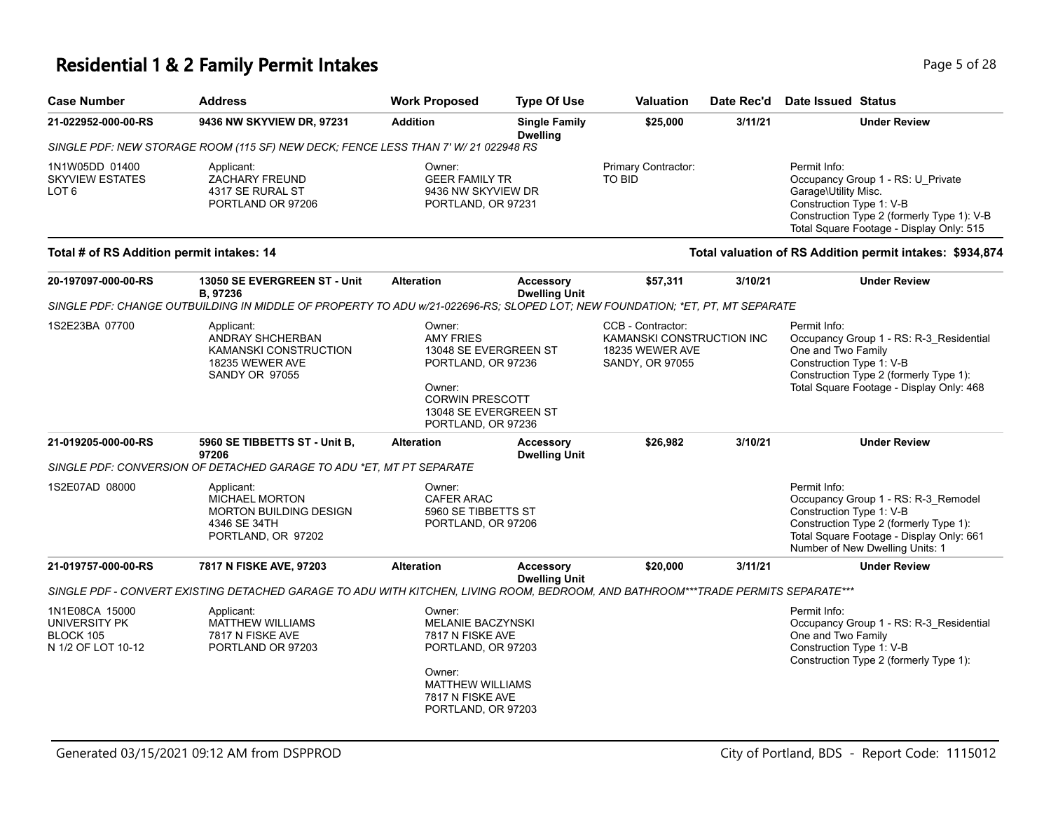# **Residential 1 & 2 Family Permit Intakes Page 1 and 28 and 28 Page 1 and 28 Page 5 of 28**

| <b>Case Number</b>                                                        | <b>Address</b>                                                                                                                    | <b>Work Proposed</b>                                                                                                                                         | <b>Type Of Use</b>                       | <b>Valuation</b>                                                                     | Date Rec'd | Date Issued Status                                                                                                                                                                                       |
|---------------------------------------------------------------------------|-----------------------------------------------------------------------------------------------------------------------------------|--------------------------------------------------------------------------------------------------------------------------------------------------------------|------------------------------------------|--------------------------------------------------------------------------------------|------------|----------------------------------------------------------------------------------------------------------------------------------------------------------------------------------------------------------|
| 21-022952-000-00-RS                                                       | 9436 NW SKYVIEW DR, 97231                                                                                                         | <b>Addition</b><br><b>Single Family</b><br><b>Dwelling</b>                                                                                                   |                                          | \$25,000                                                                             | 3/11/21    | <b>Under Review</b>                                                                                                                                                                                      |
|                                                                           | SINGLE PDF: NEW STORAGE ROOM (115 SF) NEW DECK; FENCE LESS THAN 7' W/ 21 022948 RS                                                |                                                                                                                                                              |                                          |                                                                                      |            |                                                                                                                                                                                                          |
| 1N1W05DD 01400<br><b>SKYVIEW ESTATES</b><br>LOT <sub>6</sub>              | Applicant:<br><b>ZACHARY FREUND</b><br>4317 SE RURAL ST<br>PORTLAND OR 97206                                                      | Owner:<br><b>GEER FAMILY TR</b><br>9436 NW SKYVIEW DR<br>PORTLAND, OR 97231                                                                                  |                                          | Primary Contractor:<br><b>TO BID</b>                                                 |            | Permit Info:<br>Occupancy Group 1 - RS: U_Private<br>Garage\Utility Misc.<br>Construction Type 1: V-B<br>Construction Type 2 (formerly Type 1): V-B<br>Total Square Footage - Display Only: 515          |
| Total # of RS Addition permit intakes: 14                                 |                                                                                                                                   |                                                                                                                                                              |                                          |                                                                                      |            | Total valuation of RS Addition permit intakes: \$934,874                                                                                                                                                 |
| 20-197097-000-00-RS                                                       | 13050 SE EVERGREEN ST - Unit<br>B, 97236                                                                                          | <b>Alteration</b>                                                                                                                                            | <b>Accessory</b><br><b>Dwelling Unit</b> | \$57,311                                                                             | 3/10/21    | <b>Under Review</b>                                                                                                                                                                                      |
|                                                                           | SINGLE PDF: CHANGE OUTBUILDING IN MIDDLE OF PROPERTY TO ADU w/21-022696-RS; SLOPED LOT; NEW FOUNDATION; *ET, PT, MT SEPARATE      |                                                                                                                                                              |                                          |                                                                                      |            |                                                                                                                                                                                                          |
| 1S2E23BA 07700                                                            | Applicant:<br>ANDRAY SHCHERBAN<br>KAMANSKI CONSTRUCTION<br>18235 WEWER AVE<br><b>SANDY OR 97055</b>                               | Owner:<br><b>AMY FRIES</b><br>13048 SE EVERGREEN ST<br>PORTLAND, OR 97236<br>Owner:<br><b>CORWIN PRESCOTT</b><br>13048 SE EVERGREEN ST<br>PORTLAND, OR 97236 |                                          | CCB - Contractor:<br>KAMANSKI CONSTRUCTION INC<br>18235 WEWER AVE<br>SANDY, OR 97055 |            | Permit Info:<br>Occupancy Group 1 - RS: R-3_Residential<br>One and Two Family<br>Construction Type 1: V-B<br>Construction Type 2 (formerly Type 1):<br>Total Square Footage - Display Only: 468          |
| 21-019205-000-00-RS                                                       | 5960 SE TIBBETTS ST - Unit B,<br>97206                                                                                            | <b>Alteration</b>                                                                                                                                            | <b>Accessory</b><br><b>Dwelling Unit</b> | \$26,982                                                                             | 3/10/21    | <b>Under Review</b>                                                                                                                                                                                      |
|                                                                           | SINGLE PDF: CONVERSION OF DETACHED GARAGE TO ADU *ET, MT PT SEPARATE                                                              |                                                                                                                                                              |                                          |                                                                                      |            |                                                                                                                                                                                                          |
| 1S2E07AD 08000                                                            | Applicant:<br>MICHAEL MORTON<br><b>MORTON BUILDING DESIGN</b><br>4346 SE 34TH<br>PORTLAND, OR 97202                               | Owner:<br><b>CAFER ARAC</b><br>5960 SE TIBBETTS ST<br>PORTLAND, OR 97206                                                                                     |                                          |                                                                                      |            | Permit Info:<br>Occupancy Group 1 - RS: R-3_Remodel<br>Construction Type 1: V-B<br>Construction Type 2 (formerly Type 1):<br>Total Square Footage - Display Only: 661<br>Number of New Dwelling Units: 1 |
| 21-019757-000-00-RS                                                       | 7817 N FISKE AVE, 97203                                                                                                           | <b>Alteration</b>                                                                                                                                            | <b>Accessory</b><br><b>Dwelling Unit</b> | \$20,000                                                                             | 3/11/21    | <b>Under Review</b>                                                                                                                                                                                      |
|                                                                           | SINGLE PDF - CONVERT EXISTING DETACHED GARAGE TO ADU WITH KITCHEN, LIVING ROOM, BEDROOM, AND BATHROOM***TRADE PERMITS SEPARATE*** |                                                                                                                                                              |                                          |                                                                                      |            |                                                                                                                                                                                                          |
| 1N1E08CA 15000<br>UNIVERSITY PK<br><b>BLOCK 105</b><br>N 1/2 OF LOT 10-12 | Applicant:<br><b>MATTHEW WILLIAMS</b><br>7817 N FISKE AVE<br>PORTLAND OR 97203                                                    | Owner:<br>MELANIE BACZYNSKI<br>7817 N FISKE AVE<br>PORTLAND, OR 97203<br>Owner:<br><b>MATTHEW WILLIAMS</b><br>7817 N FISKE AVE<br>PORTLAND, OR 97203         |                                          |                                                                                      |            | Permit Info:<br>Occupancy Group 1 - RS: R-3_Residential<br>One and Two Family<br>Construction Type 1: V-B<br>Construction Type 2 (formerly Type 1):                                                      |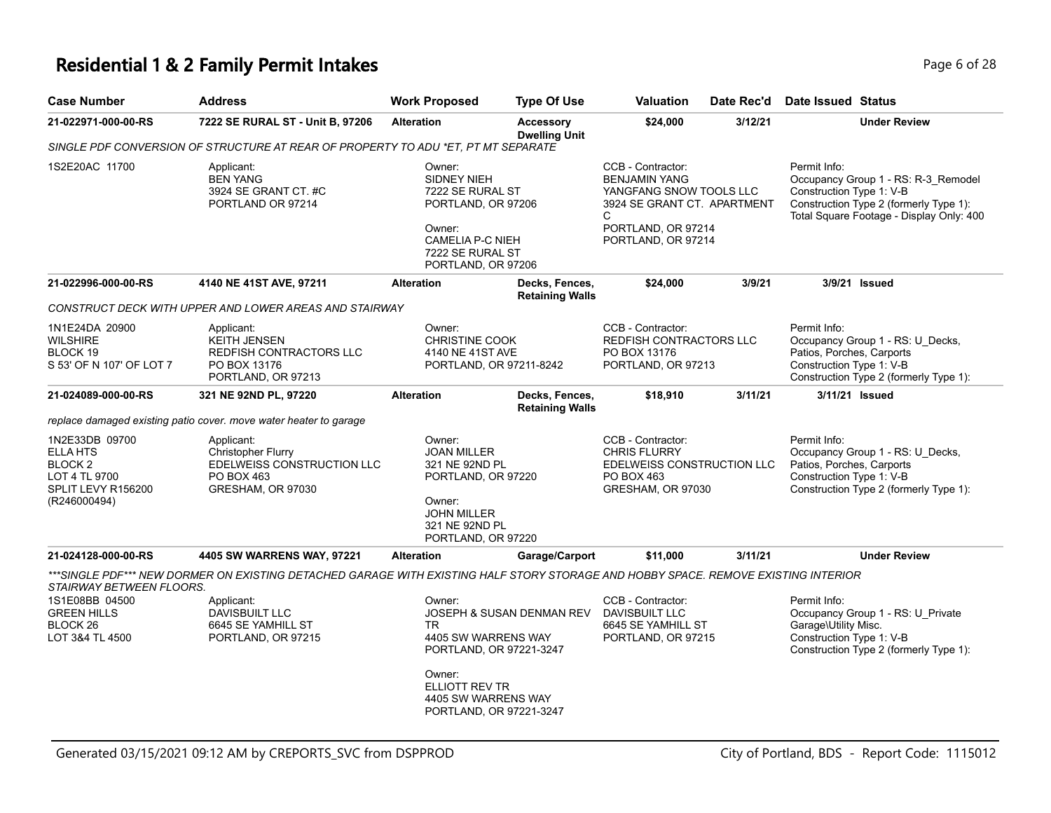### **Residential 1 & 2 Family Permit Intakes Page 1 and 28 and 28 and 28 and 28 and 28 and 28 and 28 and 28 and 28 and 28 and 28 and 28 and 28 and 28 and 28 and 28 and 28 and 28 and 28 and 28 and 28 and 28 and 28 and 28 and**

| <b>Case Number</b>                                                                                             | <b>Address</b>                                                                                                                     | <b>Work Proposed</b>                                                                                                                                 | <b>Type Of Use</b>                                                                                                                                            | Valuation                                                                          | Date Rec'd                                                                                         | <b>Date Issued Status</b>                                                                                                                                             |
|----------------------------------------------------------------------------------------------------------------|------------------------------------------------------------------------------------------------------------------------------------|------------------------------------------------------------------------------------------------------------------------------------------------------|---------------------------------------------------------------------------------------------------------------------------------------------------------------|------------------------------------------------------------------------------------|----------------------------------------------------------------------------------------------------|-----------------------------------------------------------------------------------------------------------------------------------------------------------------------|
| 21-022971-000-00-RS                                                                                            | 7222 SE RURAL ST - Unit B, 97206                                                                                                   | <b>Alteration</b>                                                                                                                                    | <b>Accessory</b><br><b>Dwelling Unit</b>                                                                                                                      |                                                                                    | 3/12/21                                                                                            | <b>Under Review</b>                                                                                                                                                   |
|                                                                                                                | SINGLE PDF CONVERSION OF STRUCTURE AT REAR OF PROPERTY TO ADU *ET, PT MT SEPARATE                                                  |                                                                                                                                                      |                                                                                                                                                               |                                                                                    |                                                                                                    |                                                                                                                                                                       |
| 1S2E20AC 11700                                                                                                 | Applicant:<br><b>BEN YANG</b><br>3924 SE GRANT CT. #C<br>PORTLAND OR 97214                                                         | Owner:<br>SIDNEY NIEH<br>Owner:                                                                                                                      | CCB - Contractor:<br><b>BENJAMIN YANG</b><br>7222 SE RURAL ST<br>PORTLAND, OR 97206<br>C<br><b>CAMELIA P-C NIEH</b><br>7222 SE RURAL ST<br>PORTLAND, OR 97206 |                                                                                    | YANGFANG SNOW TOOLS LLC<br>3924 SE GRANT CT. APARTMENT<br>PORTLAND, OR 97214<br>PORTLAND, OR 97214 | Permit Info:<br>Occupancy Group 1 - RS: R-3_Remodel<br>Construction Type 1: V-B<br>Construction Type 2 (formerly Type 1):<br>Total Square Footage - Display Only: 400 |
| 21-022996-000-00-RS                                                                                            | 4140 NE 41ST AVE, 97211                                                                                                            | <b>Alteration</b>                                                                                                                                    | Decks, Fences,<br><b>Retaining Walls</b>                                                                                                                      | \$24,000                                                                           | 3/9/21                                                                                             | 3/9/21 Issued                                                                                                                                                         |
|                                                                                                                | CONSTRUCT DECK WITH UPPER AND LOWER AREAS AND STAIRWAY                                                                             |                                                                                                                                                      |                                                                                                                                                               |                                                                                    |                                                                                                    |                                                                                                                                                                       |
| 1N1E24DA 20900<br><b>WILSHIRE</b><br>BLOCK 19<br>S 53' OF N 107' OF LOT 7                                      | Applicant:<br><b>KEITH JENSEN</b><br>REDFISH CONTRACTORS LLC<br>PO BOX 13176<br>PORTLAND, OR 97213                                 | Owner:<br><b>CHRISTINE COOK</b><br>4140 NE 41ST AVE<br>PORTLAND, OR 97211-8242                                                                       |                                                                                                                                                               | CCB - Contractor:<br>REDFISH CONTRACTORS LLC<br>PO BOX 13176<br>PORTLAND, OR 97213 |                                                                                                    | Permit Info:<br>Occupancy Group 1 - RS: U_Decks,<br>Patios, Porches, Carports<br>Construction Type 1: V-B<br>Construction Type 2 (formerly Type 1):                   |
| 21-024089-000-00-RS                                                                                            | 321 NE 92ND PL, 97220                                                                                                              | <b>Alteration</b>                                                                                                                                    | Decks, Fences,<br><b>Retaining Walls</b>                                                                                                                      | \$18,910                                                                           | 3/11/21                                                                                            | 3/11/21 Issued                                                                                                                                                        |
|                                                                                                                | replace damaged existing patio cover. move water heater to garage                                                                  |                                                                                                                                                      |                                                                                                                                                               |                                                                                    |                                                                                                    |                                                                                                                                                                       |
| 1N2E33DB 09700<br><b>ELLA HTS</b><br>BLOCK <sub>2</sub><br>LOT 4 TL 9700<br>SPLIT LEVY R156200<br>(R246000494) | Applicant:<br>Christopher Flurry<br>EDELWEISS CONSTRUCTION LLC<br>PO BOX 463<br>GRESHAM, OR 97030                                  | Owner:<br><b>JOAN MILLER</b><br>Owner:<br><b>JOHN MILLER</b>                                                                                         | 321 NE 92ND PL<br>PORTLAND, OR 97220<br>321 NE 92ND PL<br>PORTLAND, OR 97220                                                                                  |                                                                                    | EDELWEISS CONSTRUCTION LLC<br>GRESHAM, OR 97030                                                    | Permit Info:<br>Occupancy Group 1 - RS: U_Decks,<br>Patios, Porches, Carports<br>Construction Type 1: V-B<br>Construction Type 2 (formerly Type 1):                   |
| 21-024128-000-00-RS                                                                                            | 4405 SW WARRENS WAY, 97221                                                                                                         | <b>Alteration</b>                                                                                                                                    | Garage/Carport                                                                                                                                                | \$11,000                                                                           | 3/11/21                                                                                            | <b>Under Review</b>                                                                                                                                                   |
| STAIRWAY BETWEEN FLOORS.                                                                                       | ***SINGLE PDF*** NEW DORMER ON EXISTING DETACHED GARAGE WITH EXISTING HALF STORY STORAGE AND HOBBY SPACE. REMOVE EXISTING INTERIOR |                                                                                                                                                      |                                                                                                                                                               |                                                                                    |                                                                                                    |                                                                                                                                                                       |
| 1S1E08BB 04500<br><b>GREEN HILLS</b><br>BLOCK 26<br>LOT 3&4 TL 4500                                            | Applicant:<br>DAVISBUILT LLC<br>6645 SE YAMHILL ST<br>PORTLAND, OR 97215                                                           | Owner:<br>TR.<br>4405 SW WARRENS WAY<br>PORTLAND, OR 97221-3247<br>Owner:<br><b>ELLIOTT REV TR</b><br>4405 SW WARRENS WAY<br>PORTLAND, OR 97221-3247 | JOSEPH & SUSAN DENMAN REV                                                                                                                                     | CCB - Contractor:<br>DAVISBUILT LLC<br>6645 SE YAMHILL ST<br>PORTLAND, OR 97215    |                                                                                                    | Permit Info:<br>Occupancy Group 1 - RS: U Private<br>Garage\Utility Misc.<br>Construction Type 1: V-B<br>Construction Type 2 (formerly Type 1):                       |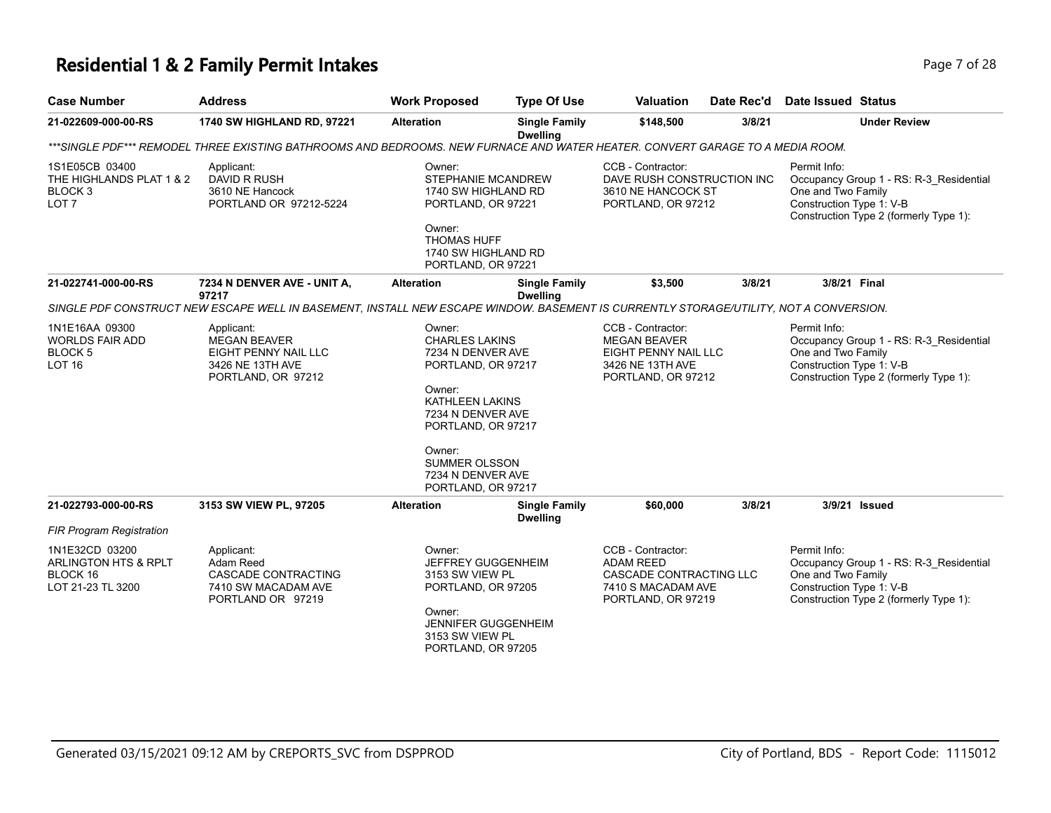### **Residential 1 & 2 Family Permit Intakes Page 7 of 28**

| <b>Case Number</b>                                                                   | <b>Address</b>                                                                                                                                 | <b>Work Proposed</b>                                                                                                                                                                                             | <b>Type Of Use</b>                                                                                                            | <b>Valuation</b><br>Date Rec'd                                                                               |        | Date Issued Status                                                                                                                                  |  |  |  |
|--------------------------------------------------------------------------------------|------------------------------------------------------------------------------------------------------------------------------------------------|------------------------------------------------------------------------------------------------------------------------------------------------------------------------------------------------------------------|-------------------------------------------------------------------------------------------------------------------------------|--------------------------------------------------------------------------------------------------------------|--------|-----------------------------------------------------------------------------------------------------------------------------------------------------|--|--|--|
| 21-022609-000-00-RS                                                                  | 1740 SW HIGHLAND RD, 97221                                                                                                                     | <b>Alteration</b><br><b>Single Family</b><br><b>Dwelling</b>                                                                                                                                                     |                                                                                                                               | \$148,500                                                                                                    | 3/8/21 | <b>Under Review</b>                                                                                                                                 |  |  |  |
|                                                                                      |                                                                                                                                                |                                                                                                                                                                                                                  | ***SINGLE PDF*** REMODEL THREE EXISTING BATHROOMS AND BEDROOMS. NEW FURNACE AND WATER HEATER. CONVERT GARAGE TO A MEDIA ROOM. |                                                                                                              |        |                                                                                                                                                     |  |  |  |
| 1S1E05CB 03400<br>THE HIGHLANDS PLAT 1 & 2<br>BLOCK <sub>3</sub><br>LOT <sub>7</sub> | Applicant:<br>DAVID R RUSH<br>3610 NE Hancock<br>PORTLAND OR 97212-5224                                                                        | Owner:<br>STEPHANIE MCANDREW<br>1740 SW HIGHLAND RD<br>PORTLAND, OR 97221<br>Owner:<br><b>THOMAS HUFF</b><br>1740 SW HIGHLAND RD<br>PORTLAND, OR 97221                                                           |                                                                                                                               | CCB - Contractor:<br>DAVE RUSH CONSTRUCTION INC<br>3610 NE HANCOCK ST<br>PORTLAND, OR 97212                  |        | Permit Info:<br>Occupancy Group 1 - RS: R-3 Residential<br>One and Two Family<br>Construction Type 1: V-B<br>Construction Type 2 (formerly Type 1): |  |  |  |
| 21-022741-000-00-RS                                                                  | 7234 N DENVER AVE - UNIT A,                                                                                                                    | <b>Alteration</b>                                                                                                                                                                                                | <b>Single Family</b>                                                                                                          | \$3,500                                                                                                      | 3/8/21 | 3/8/21 Final                                                                                                                                        |  |  |  |
|                                                                                      | 97217<br>SINGLE PDF CONSTRUCT NEW ESCAPE WELL IN BASEMENT, INSTALL NEW ESCAPE WINDOW. BASEMENT IS CURRENTLY STORAGE/UTILITY, NOT A CONVERSION. |                                                                                                                                                                                                                  | <b>Dwelling</b>                                                                                                               |                                                                                                              |        |                                                                                                                                                     |  |  |  |
| 1N1E16AA 09300<br><b>WORLDS FAIR ADD</b><br><b>BLOCK 5</b><br><b>LOT 16</b>          | Applicant:<br><b>MEGAN BEAVER</b><br>EIGHT PENNY NAIL LLC<br>3426 NE 13TH AVE<br>PORTLAND, OR 97212                                            | Owner:<br><b>CHARLES LAKINS</b><br>7234 N DENVER AVE<br>PORTLAND, OR 97217<br>Owner:<br><b>KATHLEEN LAKINS</b><br>7234 N DENVER AVE<br>PORTLAND, OR 97217<br>Owner:<br><b>SUMMER OLSSON</b><br>7234 N DENVER AVE |                                                                                                                               | CCB - Contractor:<br><b>MEGAN BEAVER</b><br>EIGHT PENNY NAIL LLC<br>3426 NE 13TH AVE<br>PORTLAND, OR 97212   |        | Permit Info:<br>Occupancy Group 1 - RS: R-3 Residential<br>One and Two Family<br>Construction Type 1: V-B<br>Construction Type 2 (formerly Type 1): |  |  |  |
| 21-022793-000-00-RS                                                                  | 3153 SW VIEW PL, 97205                                                                                                                         | <b>Alteration</b>                                                                                                                                                                                                | <b>Single Family</b><br><b>Dwelling</b>                                                                                       | \$60,000                                                                                                     | 3/8/21 | 3/9/21 Issued                                                                                                                                       |  |  |  |
| <b>FIR Program Registration</b>                                                      |                                                                                                                                                |                                                                                                                                                                                                                  |                                                                                                                               |                                                                                                              |        |                                                                                                                                                     |  |  |  |
| 1N1E32CD 03200<br>ARLINGTON HTS & RPLT<br>BLOCK 16<br>LOT 21-23 TL 3200              | Applicant:<br>Adam Reed<br>CASCADE CONTRACTING<br>7410 SW MACADAM AVE<br>PORTLAND OR 97219                                                     | Owner:<br>JEFFREY GUGGENHEIM<br>3153 SW VIEW PL<br>PORTLAND, OR 97205<br>Owner:<br>JENNIFER GUGGENHEIM<br>3153 SW VIEW PL<br>PORTLAND, OR 97205                                                                  |                                                                                                                               | CCB - Contractor:<br><b>ADAM REED</b><br>CASCADE CONTRACTING LLC<br>7410 S MACADAM AVE<br>PORTLAND, OR 97219 |        | Permit Info:<br>Occupancy Group 1 - RS: R-3_Residential<br>One and Two Family<br>Construction Type 1: V-B<br>Construction Type 2 (formerly Type 1): |  |  |  |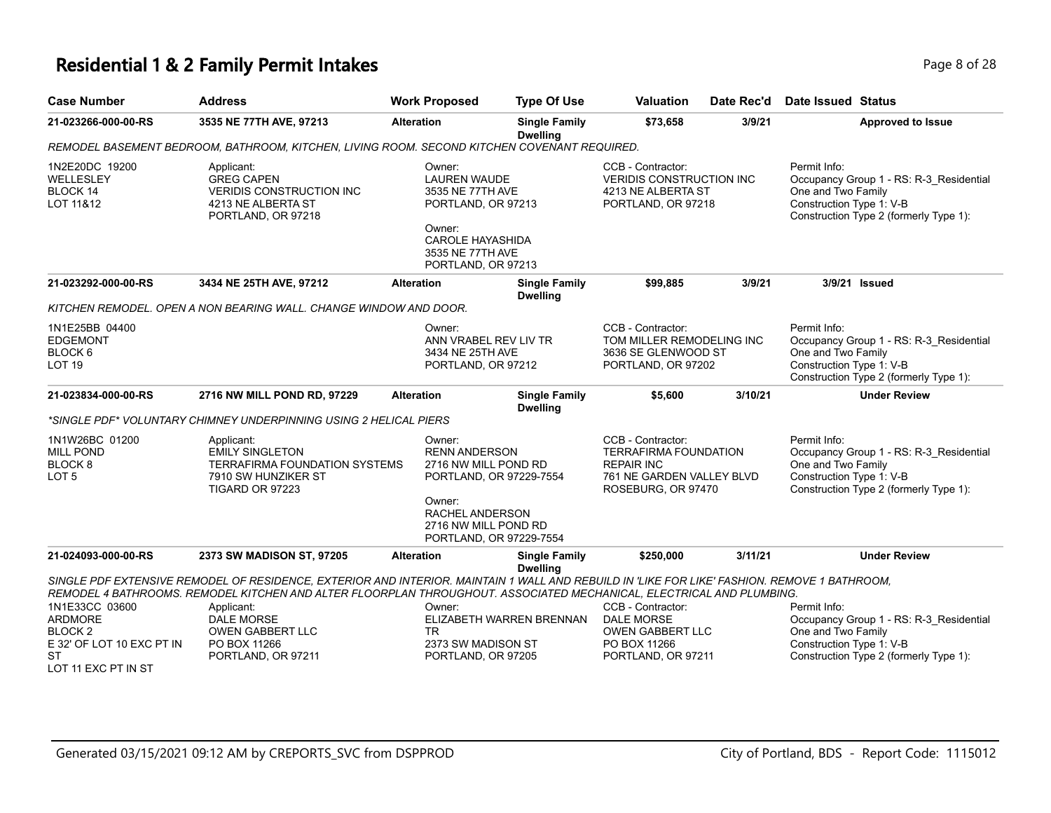### **Residential 1 & 2 Family Permit Intakes Page 1 and 28 and 28 and 28 and 28 and 28 and 28 and 28 and 28 and 28 and 28 and 28 and 28 and 28 and 28 and 28 and 28 and 28 and 28 and 28 and 28 and 28 and 28 and 28 and 28 and**

| <b>Case Number</b>                                                                                                      | <b>Address</b>                                                                                                                                                                                                                                                       | <b>Work Proposed</b>                                                                                                                                   | <b>Type Of Use</b>                                                                                                                            | <b>Valuation</b>                                                                                        | Date Rec'd                                                                      | <b>Date Issued Status</b>                                                                                                                           |
|-------------------------------------------------------------------------------------------------------------------------|----------------------------------------------------------------------------------------------------------------------------------------------------------------------------------------------------------------------------------------------------------------------|--------------------------------------------------------------------------------------------------------------------------------------------------------|-----------------------------------------------------------------------------------------------------------------------------------------------|---------------------------------------------------------------------------------------------------------|---------------------------------------------------------------------------------|-----------------------------------------------------------------------------------------------------------------------------------------------------|
| 21-023266-000-00-RS                                                                                                     | 3535 NE 77TH AVE, 97213                                                                                                                                                                                                                                              | <b>Alteration</b>                                                                                                                                      | <b>Single Family</b><br><b>Dwelling</b>                                                                                                       | \$73,658                                                                                                | 3/9/21                                                                          | <b>Approved to Issue</b>                                                                                                                            |
|                                                                                                                         | REMODEL BASEMENT BEDROOM, BATHROOM, KITCHEN, LIVING ROOM. SECOND KITCHEN COVENANT REQUIRED.                                                                                                                                                                          |                                                                                                                                                        |                                                                                                                                               |                                                                                                         |                                                                                 |                                                                                                                                                     |
| 1N2E20DC 19200<br><b>WELLESLEY</b><br>BLOCK 14<br>LOT 11&12                                                             | Applicant:<br><b>GREG CAPEN</b><br><b>VERIDIS CONSTRUCTION INC</b><br>4213 NE ALBERTA ST<br>PORTLAND, OR 97218                                                                                                                                                       | Owner:<br><b>LAUREN WAUDE</b><br>3535 NE 77TH AVE<br>PORTLAND, OR 97213<br>Owner:<br><b>CAROLE HAYASHIDA</b><br>3535 NE 77TH AVE<br>PORTLAND, OR 97213 |                                                                                                                                               | CCB - Contractor:<br><b>VERIDIS CONSTRUCTION INC</b><br>4213 NE ALBERTA ST<br>PORTLAND, OR 97218        |                                                                                 | Permit Info:<br>Occupancy Group 1 - RS: R-3_Residential<br>One and Two Family<br>Construction Type 1: V-B<br>Construction Type 2 (formerly Type 1): |
| 21-023292-000-00-RS                                                                                                     | 3434 NE 25TH AVE, 97212                                                                                                                                                                                                                                              | <b>Alteration</b>                                                                                                                                      | <b>Single Family</b><br><b>Dwelling</b>                                                                                                       | \$99,885                                                                                                | 3/9/21                                                                          | 3/9/21 Issued                                                                                                                                       |
|                                                                                                                         | KITCHEN REMODEL. OPEN A NON BEARING WALL. CHANGE WINDOW AND DOOR.                                                                                                                                                                                                    |                                                                                                                                                        |                                                                                                                                               |                                                                                                         |                                                                                 |                                                                                                                                                     |
| 1N1E25BB 04400<br><b>EDGEMONT</b><br>BLOCK 6<br><b>LOT 19</b>                                                           |                                                                                                                                                                                                                                                                      | Owner:<br>ANN VRABEL REV LIV TR<br>3434 NE 25TH AVE<br>PORTLAND, OR 97212                                                                              |                                                                                                                                               | CCB - Contractor:<br>TOM MILLER REMODELING INC<br>3636 SE GLENWOOD ST<br>PORTLAND, OR 97202             |                                                                                 | Permit Info:<br>Occupancy Group 1 - RS: R-3_Residential<br>One and Two Family<br>Construction Type 1: V-B<br>Construction Type 2 (formerly Type 1): |
| 21-023834-000-00-RS                                                                                                     | 2716 NW MILL POND RD, 97229                                                                                                                                                                                                                                          | <b>Alteration</b>                                                                                                                                      | <b>Single Family</b><br><b>Dwelling</b>                                                                                                       | \$5,600                                                                                                 | 3/10/21                                                                         | <b>Under Review</b>                                                                                                                                 |
|                                                                                                                         | *SINGLE PDF* VOLUNTARY CHIMNEY UNDERPINNING USING 2 HELICAL PIERS                                                                                                                                                                                                    |                                                                                                                                                        |                                                                                                                                               |                                                                                                         |                                                                                 |                                                                                                                                                     |
| 1N1W26BC 01200<br><b>MILL POND</b><br>BLOCK 8<br>LOT <sub>5</sub>                                                       | Applicant:<br><b>EMILY SINGLETON</b><br><b>TERRAFIRMA FOUNDATION SYSTEMS</b><br>7910 SW HUNZIKER ST<br>TIGARD OR 97223                                                                                                                                               | Owner:<br>Owner:                                                                                                                                       | <b>RENN ANDERSON</b><br>2716 NW MILL POND RD<br>PORTLAND, OR 97229-7554<br>RACHEL ANDERSON<br>2716 NW MILL POND RD<br>PORTLAND, OR 97229-7554 |                                                                                                         | <b>TERRAFIRMA FOUNDATION</b><br>761 NE GARDEN VALLEY BLVD<br>ROSEBURG, OR 97470 | Permit Info:<br>Occupancy Group 1 - RS: R-3_Residential<br>One and Two Family<br>Construction Type 1: V-B<br>Construction Type 2 (formerly Type 1): |
| 21-024093-000-00-RS                                                                                                     | 2373 SW MADISON ST, 97205                                                                                                                                                                                                                                            | <b>Alteration</b>                                                                                                                                      | <b>Single Family</b>                                                                                                                          | \$250,000                                                                                               | 3/11/21                                                                         | <b>Under Review</b>                                                                                                                                 |
|                                                                                                                         | SINGLE PDF EXTENSIVE REMODEL OF RESIDENCE, EXTERIOR AND INTERIOR. MAINTAIN 1 WALL AND REBUILD IN 'LIKE FOR LIKE' FASHION. REMOVE 1 BATHROOM,<br>REMODEL 4 BATHROOMS. REMODEL KITCHEN AND ALTER FLOORPLAN THROUGHOUT. ASSOCIATED MECHANICAL, ELECTRICAL AND PLUMBING. |                                                                                                                                                        | <b>Dwelling</b>                                                                                                                               |                                                                                                         |                                                                                 |                                                                                                                                                     |
| 1N1E33CC 03600<br><b>ARDMORE</b><br>BLOCK <sub>2</sub><br>E 32' OF LOT 10 EXC PT IN<br><b>ST</b><br>LOT 11 EXC PT IN ST | Applicant:<br><b>DALE MORSE</b><br><b>OWEN GABBERT LLC</b><br>PO BOX 11266<br>PORTLAND, OR 97211                                                                                                                                                                     | Owner:<br>ELIZABETH WARREN BRENNAN<br><b>TR</b><br>2373 SW MADISON ST<br>PORTLAND, OR 97205                                                            |                                                                                                                                               | CCB - Contractor:<br><b>DALE MORSE</b><br><b>OWEN GABBERT LLC</b><br>PO BOX 11266<br>PORTLAND, OR 97211 |                                                                                 | Permit Info:<br>Occupancy Group 1 - RS: R-3_Residential<br>One and Two Family<br>Construction Type 1: V-B<br>Construction Type 2 (formerly Type 1): |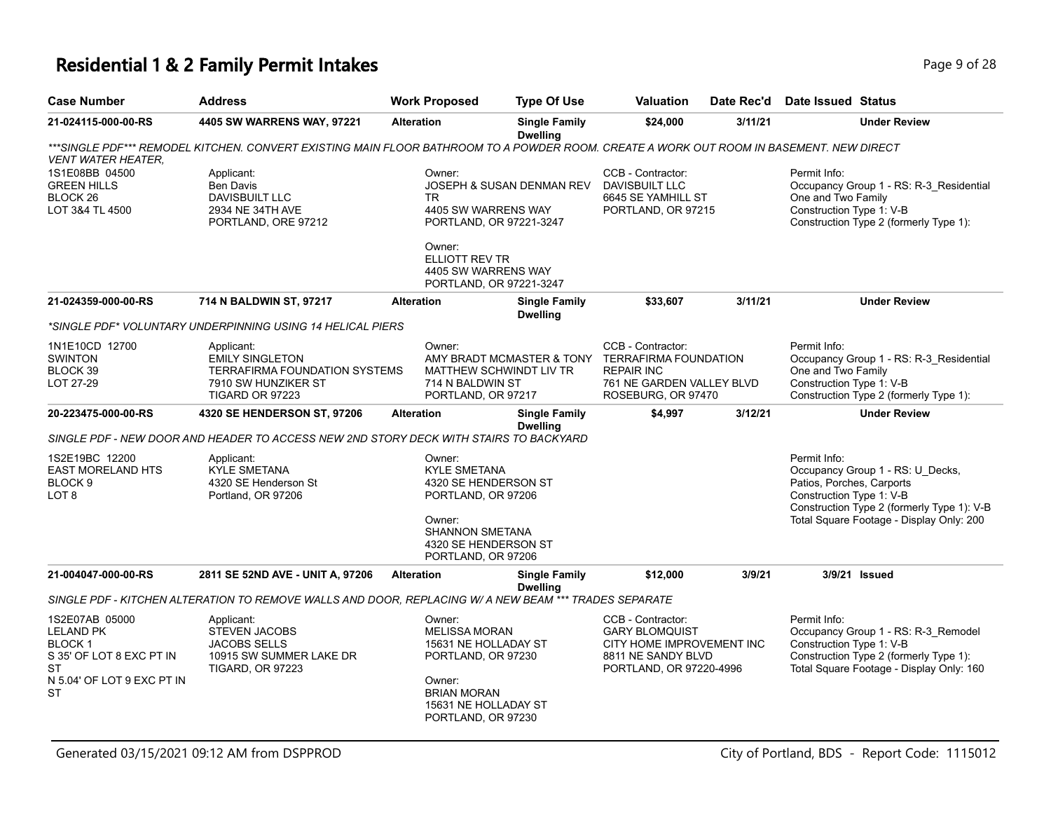## **Residential 1 & 2 Family Permit Intakes Page 1 and Security Page 9 of 28**

| Page 9 |
|--------|
|        |

| <b>Case Number</b>                                                                                                                      | <b>Address</b>                                                                                                                          | <b>Work Proposed</b>                                                                                                                                       | <b>Type Of Use</b>                                                                                                   | Valuation                                                                                                                | Date Rec'd                                      | Date Issued Status                                                                                                                                                    |
|-----------------------------------------------------------------------------------------------------------------------------------------|-----------------------------------------------------------------------------------------------------------------------------------------|------------------------------------------------------------------------------------------------------------------------------------------------------------|----------------------------------------------------------------------------------------------------------------------|--------------------------------------------------------------------------------------------------------------------------|-------------------------------------------------|-----------------------------------------------------------------------------------------------------------------------------------------------------------------------|
| 21-024115-000-00-RS                                                                                                                     | 4405 SW WARRENS WAY, 97221                                                                                                              | <b>Alteration</b>                                                                                                                                          | <b>Single Family</b><br><b>Dwelling</b>                                                                              | \$24,000                                                                                                                 | 3/11/21                                         | <b>Under Review</b>                                                                                                                                                   |
| <b>VENT WATER HEATER,</b>                                                                                                               | ***SINGLE PDF*** REMODEL KITCHEN. CONVERT EXISTING MAIN FLOOR BATHROOM TO A POWDER ROOM. CREATE A WORK OUT ROOM IN BASEMENT. NEW DIRECT |                                                                                                                                                            |                                                                                                                      |                                                                                                                          |                                                 |                                                                                                                                                                       |
| 1S1E08BB 04500<br><b>GREEN HILLS</b><br>BLOCK <sub>26</sub><br>LOT 3&4 TL 4500                                                          | Applicant:<br><b>Ben Davis</b><br><b>DAVISBUILT LLC</b><br>2934 NE 34TH AVE<br>PORTLAND, ORE 97212                                      | Owner:<br><b>TR</b><br>4405 SW WARRENS WAY<br>PORTLAND, OR 97221-3247                                                                                      | JOSEPH & SUSAN DENMAN REV                                                                                            | CCB - Contractor:<br>DAVISBUILT LLC<br>6645 SE YAMHILL ST<br>PORTLAND, OR 97215                                          |                                                 | Permit Info:<br>Occupancy Group 1 - RS: R-3_Residential<br>One and Two Family<br>Construction Type 1: V-B<br>Construction Type 2 (formerly Type 1):                   |
|                                                                                                                                         |                                                                                                                                         | Owner:<br>ELLIOTT REV TR<br>4405 SW WARRENS WAY<br>PORTLAND, OR 97221-3247                                                                                 |                                                                                                                      |                                                                                                                          |                                                 |                                                                                                                                                                       |
| 21-024359-000-00-RS                                                                                                                     | 714 N BALDWIN ST, 97217                                                                                                                 | <b>Alteration</b>                                                                                                                                          | <b>Single Family</b><br><b>Dwelling</b>                                                                              | \$33,607                                                                                                                 | 3/11/21                                         | <b>Under Review</b>                                                                                                                                                   |
|                                                                                                                                         | *SINGLE PDF* VOLUNTARY UNDERPINNING USING 14 HELICAL PIERS                                                                              |                                                                                                                                                            |                                                                                                                      |                                                                                                                          |                                                 |                                                                                                                                                                       |
| 1N1E10CD 12700<br><b>SWINTON</b><br>BLOCK 39<br>LOT 27-29                                                                               | Applicant:<br><b>EMILY SINGLETON</b><br><b>TERRAFIRMA FOUNDATION SYSTEMS</b><br>7910 SW HUNZIKER ST<br>TIGARD OR 97223                  | Owner:                                                                                                                                                     | AMY BRADT MCMASTER & TONY TERRAFIRMA FOUNDATION<br>MATTHEW SCHWINDT LIV TR<br>714 N BALDWIN ST<br>PORTLAND, OR 97217 |                                                                                                                          | 761 NE GARDEN VALLEY BLVD<br>ROSEBURG, OR 97470 | Permit Info:<br>Occupancy Group 1 - RS: R-3_Residential<br>One and Two Family<br>Construction Type 1: V-B<br>Construction Type 2 (formerly Type 1):                   |
| 20-223475-000-00-RS                                                                                                                     | 4320 SE HENDERSON ST, 97206                                                                                                             | <b>Alteration</b>                                                                                                                                          | <b>Single Family</b><br><b>Dwelling</b>                                                                              | \$4,997                                                                                                                  | 3/12/21                                         | <b>Under Review</b>                                                                                                                                                   |
|                                                                                                                                         | SINGLE PDF - NEW DOOR AND HEADER TO ACCESS NEW 2ND STORY DECK WITH STAIRS TO BACKYARD                                                   |                                                                                                                                                            |                                                                                                                      |                                                                                                                          |                                                 |                                                                                                                                                                       |
| 1S2E19BC 12200<br><b>EAST MORELAND HTS</b><br>BLOCK <sub>9</sub><br>LOT <sub>8</sub>                                                    | Applicant:<br><b>KYLE SMETANA</b><br>4320 SE Henderson St<br>Portland, OR 97206                                                         | Owner:                                                                                                                                                     | <b>KYLE SMETANA</b><br>4320 SE HENDERSON ST<br>PORTLAND, OR 97206                                                    |                                                                                                                          |                                                 | Permit Info:<br>Occupancy Group 1 - RS: U_Decks,<br>Patios, Porches, Carports<br>Construction Type 1: V-B<br>Construction Type 2 (formerly Type 1): V-B               |
|                                                                                                                                         |                                                                                                                                         | Owner:<br>SHANNON SMETANA<br>4320 SE HENDERSON ST<br>PORTLAND, OR 97206                                                                                    |                                                                                                                      |                                                                                                                          |                                                 | Total Square Footage - Display Only: 200                                                                                                                              |
| 21-004047-000-00-RS                                                                                                                     | 2811 SE 52ND AVE - UNIT A, 97206                                                                                                        | <b>Alteration</b>                                                                                                                                          | <b>Single Family</b><br><b>Dwelling</b>                                                                              | \$12,000                                                                                                                 | 3/9/21                                          | 3/9/21 Issued                                                                                                                                                         |
|                                                                                                                                         | SINGLE PDF - KITCHEN ALTERATION TO REMOVE WALLS AND DOOR, REPLACING W/ A NEW BEAM *** TRADES SEPARATE                                   |                                                                                                                                                            |                                                                                                                      |                                                                                                                          |                                                 |                                                                                                                                                                       |
| 1S2E07AB 05000<br><b>LELAND PK</b><br><b>BLOCK1</b><br>S 35' OF LOT 8 EXC PT IN<br><b>ST</b><br>N 5.04' OF LOT 9 EXC PT IN<br><b>ST</b> | Applicant:<br>STEVEN JACOBS<br><b>JACOBS SELLS</b><br>10915 SW SUMMER LAKE DR<br><b>TIGARD, OR 97223</b>                                | Owner:<br><b>MELISSA MORAN</b><br>15631 NE HOLLADAY ST<br>PORTLAND, OR 97230<br>Owner:<br><b>BRIAN MORAN</b><br>15631 NE HOLLADAY ST<br>PORTLAND, OR 97230 |                                                                                                                      | CCB - Contractor:<br><b>GARY BLOMQUIST</b><br>CITY HOME IMPROVEMENT INC<br>8811 NE SANDY BLVD<br>PORTLAND, OR 97220-4996 |                                                 | Permit Info:<br>Occupancy Group 1 - RS: R-3_Remodel<br>Construction Type 1: V-B<br>Construction Type 2 (formerly Type 1):<br>Total Square Footage - Display Only: 160 |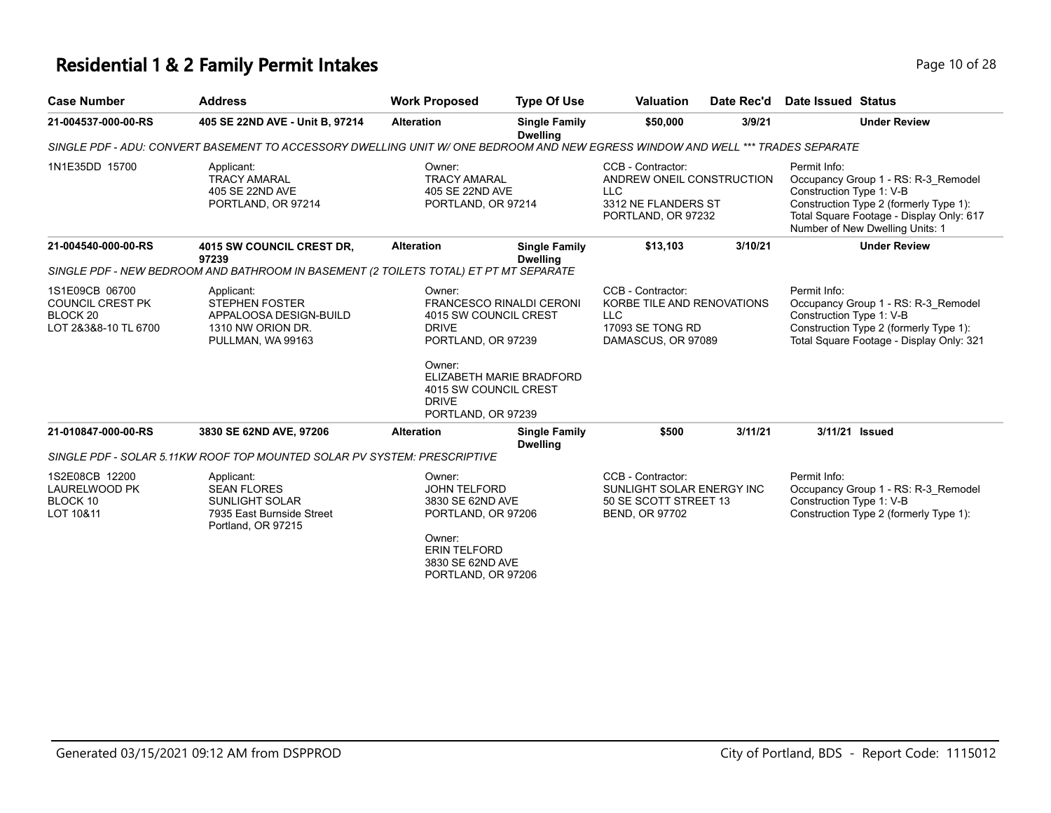# **Residential 1 & 2 Family Permit Intakes Page 10 of 28** Page 10 of 28

| <b>Case Number</b>                                                                       | <b>Address</b>                                                                                                                  | <b>Work Proposed</b>                                                                                                                               | <b>Type Of Use</b>                                                                                                                  | <b>Valuation</b>                                                                                          | Date Rec'd                                                                                              | <b>Date Issued Status</b>                |                                                                                                                                                              |
|------------------------------------------------------------------------------------------|---------------------------------------------------------------------------------------------------------------------------------|----------------------------------------------------------------------------------------------------------------------------------------------------|-------------------------------------------------------------------------------------------------------------------------------------|-----------------------------------------------------------------------------------------------------------|---------------------------------------------------------------------------------------------------------|------------------------------------------|--------------------------------------------------------------------------------------------------------------------------------------------------------------|
| 21-004537-000-00-RS                                                                      | 405 SE 22ND AVE - Unit B, 97214                                                                                                 | <b>Alteration</b>                                                                                                                                  | <b>Single Family</b><br><b>Dwelling</b>                                                                                             |                                                                                                           | 3/9/21                                                                                                  |                                          | <b>Under Review</b>                                                                                                                                          |
|                                                                                          | SINGLE PDF - ADU: CONVERT BASEMENT TO ACCESSORY DWELLING UNIT W/ ONE BEDROOM AND NEW EGRESS WINDOW AND WELL *** TRADES SEPARATE |                                                                                                                                                    |                                                                                                                                     |                                                                                                           |                                                                                                         |                                          |                                                                                                                                                              |
| 1N1E35DD 15700                                                                           | Applicant:<br><b>TRACY AMARAL</b><br>405 SE 22ND AVE<br>PORTLAND, OR 97214                                                      | Owner:<br><b>TRACY AMARAL</b><br>405 SE 22ND AVE<br>PORTLAND, OR 97214                                                                             |                                                                                                                                     | CCB - Contractor:<br>ANDREW ONEIL CONSTRUCTION<br><b>LLC</b><br>3312 NE FLANDERS ST<br>PORTLAND, OR 97232 |                                                                                                         | Permit Info:<br>Construction Type 1: V-B | Occupancy Group 1 - RS: R-3 Remodel<br>Construction Type 2 (formerly Type 1):<br>Total Square Footage - Display Only: 617<br>Number of New Dwelling Units: 1 |
| 21-004540-000-00-RS                                                                      | 4015 SW COUNCIL CREST DR,<br>97239                                                                                              | <b>Alteration</b>                                                                                                                                  | <b>Single Family</b><br><b>Dwelling</b>                                                                                             | \$13,103                                                                                                  | 3/10/21                                                                                                 |                                          | <b>Under Review</b>                                                                                                                                          |
|                                                                                          | SINGLE PDF - NEW BEDROOM AND BATHROOM IN BASEMENT (2 TOILETS TOTAL) ET PT MT SEPARATE                                           |                                                                                                                                                    |                                                                                                                                     |                                                                                                           |                                                                                                         |                                          |                                                                                                                                                              |
| 1S1E09CB 06700<br><b>COUNCIL CREST PK</b><br>BLOCK <sub>20</sub><br>LOT 2&3&8-10 TL 6700 | Applicant:<br><b>STEPHEN FOSTER</b><br>APPALOOSA DESIGN-BUILD<br>1310 NW ORION DR.<br>PULLMAN, WA 99163                         | Owner:<br><b>DRIVE</b><br>Owner:<br><b>DRIVE</b><br>PORTLAND, OR 97239                                                                             | <b>FRANCESCO RINALDI CERONI</b><br>4015 SW COUNCIL CREST<br>PORTLAND, OR 97239<br>ELIZABETH MARIE BRADFORD<br>4015 SW COUNCIL CREST |                                                                                                           | CCB - Contractor:<br>KORBE TILE AND RENOVATIONS<br><b>LLC</b><br>17093 SE TONG RD<br>DAMASCUS, OR 97089 |                                          | Occupancy Group 1 - RS: R-3 Remodel<br>Construction Type 1: V-B<br>Construction Type 2 (formerly Type 1):<br>Total Square Footage - Display Only: 321        |
| 21-010847-000-00-RS                                                                      | 3830 SE 62ND AVE, 97206                                                                                                         | <b>Alteration</b>                                                                                                                                  | <b>Single Family</b><br><b>Dwelling</b>                                                                                             | \$500                                                                                                     | 3/11/21                                                                                                 | 3/11/21 Issued                           |                                                                                                                                                              |
|                                                                                          | SINGLE PDF - SOLAR 5.11KW ROOF TOP MOUNTED SOLAR PV SYSTEM: PRESCRIPTIVE                                                        |                                                                                                                                                    |                                                                                                                                     |                                                                                                           |                                                                                                         |                                          |                                                                                                                                                              |
| 1S2E08CB 12200<br>LAURELWOOD PK<br>BLOCK 10<br>LOT 10&11                                 | Applicant:<br><b>SEAN FLORES</b><br><b>SUNLIGHT SOLAR</b><br>7935 East Burnside Street<br>Portland, OR 97215                    | Owner:<br><b>JOHN TELFORD</b><br>3830 SE 62ND AVE<br>PORTLAND, OR 97206<br>Owner:<br><b>ERIN TELFORD</b><br>3830 SE 62ND AVE<br>PORTLAND, OR 97206 |                                                                                                                                     | CCB - Contractor:<br>SUNLIGHT SOLAR ENERGY INC<br>50 SE SCOTT STREET 13<br>BEND, OR 97702                 |                                                                                                         | Permit Info:<br>Construction Type 1: V-B | Occupancy Group 1 - RS: R-3 Remodel<br>Construction Type 2 (formerly Type 1):                                                                                |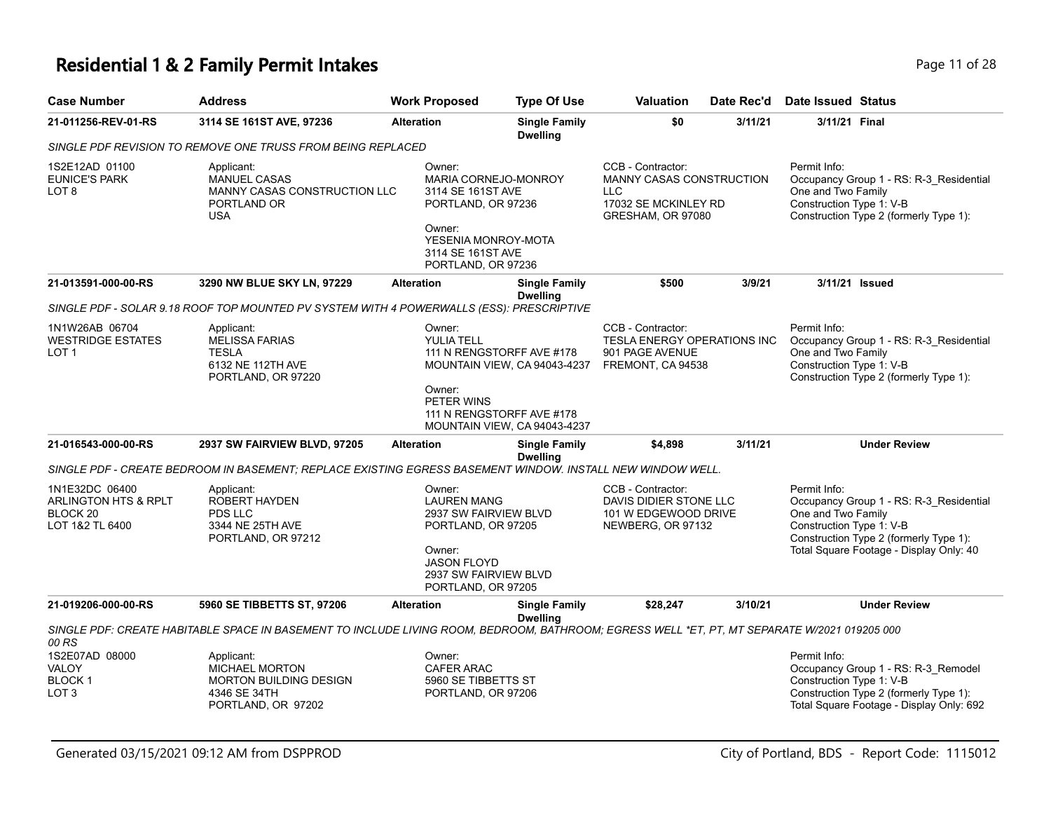# **Residential 1 & 2 Family Permit Intakes Page 11 of 28**

| <b>Case Number</b>                                                                          | <b>Address</b>                                                                                                                               |                                       | <b>Work Proposed</b>                                                                                                                                       | <b>Type Of Use</b>                                        | <b>Valuation</b>                                                                                  | Date Rec'd | <b>Date Issued Status</b>                                      |                                                                                                                              |
|---------------------------------------------------------------------------------------------|----------------------------------------------------------------------------------------------------------------------------------------------|---------------------------------------|------------------------------------------------------------------------------------------------------------------------------------------------------------|-----------------------------------------------------------|---------------------------------------------------------------------------------------------------|------------|----------------------------------------------------------------|------------------------------------------------------------------------------------------------------------------------------|
| 21-011256-REV-01-RS                                                                         | 3114 SE 161ST AVE, 97236                                                                                                                     |                                       | <b>Single Family</b><br><b>Alteration</b><br><b>Dwelling</b>                                                                                               |                                                           | \$0<br>3/11/21                                                                                    |            | 3/11/21 Final                                                  |                                                                                                                              |
|                                                                                             | SINGLE PDF REVISION TO REMOVE ONE TRUSS FROM BEING REPLACED                                                                                  |                                       |                                                                                                                                                            |                                                           |                                                                                                   |            |                                                                |                                                                                                                              |
| 1S2E12AD 01100<br><b>EUNICE'S PARK</b><br>LOT 8                                             | Applicant:<br><b>MANUEL CASAS</b><br>MANNY CASAS CONSTRUCTION LLC<br>PORTLAND OR<br><b>USA</b>                                               |                                       | Owner:<br>MARIA CORNEJO-MONROY<br>3114 SE 161ST AVE<br>PORTLAND, OR 97236<br>Owner:<br>YESENIA MONROY-MOTA<br>3114 SE 161ST AVE<br>PORTLAND, OR 97236      |                                                           | CCB - Contractor:<br>MANNY CASAS CONSTRUCTION<br>LLC<br>17032 SE MCKINLEY RD<br>GRESHAM, OR 97080 |            | Permit Info:<br>One and Two Family<br>Construction Type 1: V-B | Occupancy Group 1 - RS: R-3_Residential<br>Construction Type 2 (formerly Type 1):                                            |
| 21-013591-000-00-RS                                                                         | 3290 NW BLUE SKY LN, 97229                                                                                                                   | <b>Alteration</b>                     |                                                                                                                                                            | <b>Single Family</b><br><b>Dwelling</b>                   | \$500                                                                                             | 3/9/21     | 3/11/21 Issued                                                 |                                                                                                                              |
|                                                                                             | SINGLE PDF - SOLAR 9.18 ROOF TOP MOUNTED PV SYSTEM WITH 4 POWERWALLS (ESS): PRESCRIPTIVE                                                     |                                       |                                                                                                                                                            |                                                           |                                                                                                   |            |                                                                |                                                                                                                              |
| 1N1W26AB 06704<br><b>WESTRIDGE ESTATES</b><br>LOT <sub>1</sub>                              | Applicant:<br><b>MELISSA FARIAS</b><br><b>TESLA</b><br>6132 NE 112TH AVE<br>PORTLAND, OR 97220                                               | Owner:<br><b>YULIA TELL</b><br>Owner: |                                                                                                                                                            | 111 N RENGSTORFF AVE #178<br>MOUNTAIN VIEW, CA 94043-4237 | CCB - Contractor:<br>TESLA ENERGY OPERATIONS INC<br>901 PAGE AVENUE<br>FREMONT, CA 94538          |            | Permit Info:<br>One and Two Family<br>Construction Type 1: V-B | Occupancy Group 1 - RS: R-3_Residential<br>Construction Type 2 (formerly Type 1):                                            |
|                                                                                             |                                                                                                                                              |                                       | PETER WINS                                                                                                                                                 | 111 N RENGSTORFF AVE #178<br>MOUNTAIN VIEW, CA 94043-4237 |                                                                                                   |            |                                                                |                                                                                                                              |
| 21-016543-000-00-RS                                                                         | 2937 SW FAIRVIEW BLVD, 97205                                                                                                                 | <b>Alteration</b>                     |                                                                                                                                                            | <b>Single Family</b><br><b>Dwelling</b>                   | \$4,898                                                                                           | 3/11/21    |                                                                | <b>Under Review</b>                                                                                                          |
|                                                                                             | SINGLE PDF - CREATE BEDROOM IN BASEMENT: REPLACE EXISTING EGRESS BASEMENT WINDOW. INSTALL NEW WINDOW WELL.                                   |                                       |                                                                                                                                                            |                                                           |                                                                                                   |            |                                                                |                                                                                                                              |
| 1N1E32DC 06400<br><b>ARLINGTON HTS &amp; RPLT</b><br>BLOCK <sub>20</sub><br>LOT 1&2 TL 6400 | Applicant:<br><b>ROBERT HAYDEN</b><br>PDS LLC<br>3344 NE 25TH AVE<br>PORTLAND, OR 97212                                                      |                                       | Owner:<br><b>LAUREN MANG</b><br>2937 SW FAIRVIEW BLVD<br>PORTLAND, OR 97205<br>Owner:<br><b>JASON FLOYD</b><br>2937 SW FAIRVIEW BLVD<br>PORTLAND, OR 97205 |                                                           | CCB - Contractor:<br>DAVIS DIDIER STONE LLC<br>101 W EDGEWOOD DRIVE<br>NEWBERG, OR 97132          |            | Permit Info:<br>One and Two Family<br>Construction Type 1: V-B | Occupancy Group 1 - RS: R-3_Residential<br>Construction Type 2 (formerly Type 1):<br>Total Square Footage - Display Only: 40 |
| 21-019206-000-00-RS                                                                         | 5960 SE TIBBETTS ST, 97206                                                                                                                   | <b>Alteration</b>                     |                                                                                                                                                            | <b>Single Family</b><br><b>Dwelling</b>                   | \$28,247                                                                                          | 3/10/21    |                                                                | <b>Under Review</b>                                                                                                          |
| 00 RS                                                                                       | SINGLE PDF: CREATE HABITABLE SPACE IN BASEMENT TO INCLUDE LIVING ROOM, BEDROOM, BATHROOM; EGRESS WELL *ET, PT, MT SEPARATE W/2021 019205 000 |                                       |                                                                                                                                                            |                                                           |                                                                                                   |            |                                                                |                                                                                                                              |
| 1S2E07AD 08000<br>VALOY<br><b>BLOCK1</b>                                                    | Applicant:<br><b>MICHAEL MORTON</b><br><b>MORTON BUILDING DESIGN</b>                                                                         |                                       | Owner:<br>CAFER ARAC<br>5960 SE TIBBETTS ST                                                                                                                |                                                           |                                                                                                   |            | Permit Info:<br>Construction Type 1: V-B                       | Occupancy Group 1 - RS: R-3_Remodel                                                                                          |
| LOT <sub>3</sub>                                                                            | 4346 SE 34TH<br>PORTLAND, OR 97202                                                                                                           |                                       | PORTLAND, OR 97206                                                                                                                                         |                                                           |                                                                                                   |            |                                                                | Construction Type 2 (formerly Type 1):<br>Total Square Footage - Display Only: 692                                           |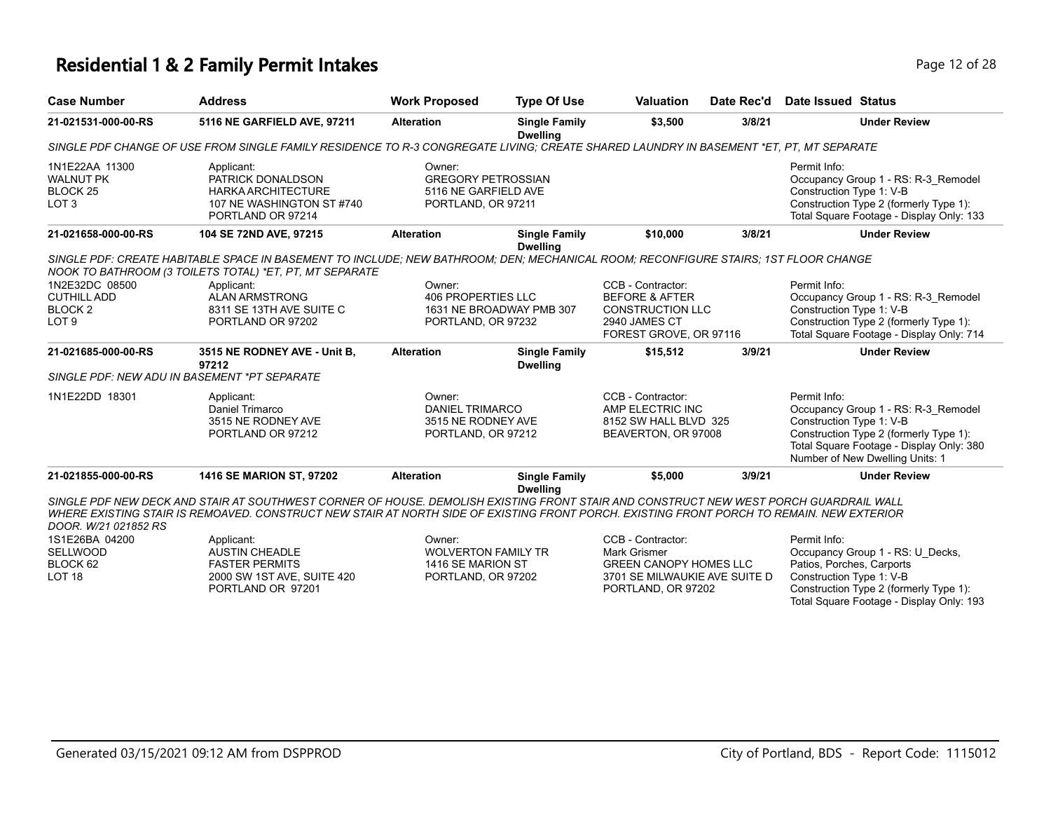### **Residential 1 & 2 Family Permit Intakes Page 12 of 28 Page 12 of 28**

| <b>Case Number</b>                                                             | <b>Address</b>                                                                                                                                                                                                                                                                     | <b>Work Proposed</b>                                                              | <b>Type Of Use</b>                      | <b>Valuation</b>                                                                                                     | Date Rec'd | Date Issued Status                                                                                                                                                                                       |
|--------------------------------------------------------------------------------|------------------------------------------------------------------------------------------------------------------------------------------------------------------------------------------------------------------------------------------------------------------------------------|-----------------------------------------------------------------------------------|-----------------------------------------|----------------------------------------------------------------------------------------------------------------------|------------|----------------------------------------------------------------------------------------------------------------------------------------------------------------------------------------------------------|
| 21-021531-000-00-RS                                                            | 5116 NE GARFIELD AVE, 97211                                                                                                                                                                                                                                                        | <b>Alteration</b>                                                                 | <b>Single Family</b><br><b>Dwelling</b> | \$3.500                                                                                                              | 3/8/21     | <b>Under Review</b>                                                                                                                                                                                      |
|                                                                                | SINGLE PDF CHANGE OF USE FROM SINGLE FAMILY RESIDENCE TO R-3 CONGREGATE LIVING; CREATE SHARED LAUNDRY IN BASEMENT *ET, PT, MT SEPARATE                                                                                                                                             |                                                                                   |                                         |                                                                                                                      |            |                                                                                                                                                                                                          |
| 1N1E22AA 11300<br><b>WALNUT PK</b><br>BLOCK <sub>25</sub><br>LOT <sub>3</sub>  | Applicant:<br>PATRICK DONALDSON<br><b>HARKA ARCHITECTURE</b><br>107 NE WASHINGTON ST #740<br>PORTLAND OR 97214                                                                                                                                                                     | Owner:<br><b>GREGORY PETROSSIAN</b><br>5116 NE GARFIELD AVE<br>PORTLAND, OR 97211 |                                         |                                                                                                                      |            | Permit Info:<br>Occupancy Group 1 - RS: R-3_Remodel<br>Construction Type 1: V-B<br>Construction Type 2 (formerly Type 1):<br>Total Square Footage - Display Only: 133                                    |
| 21-021658-000-00-RS                                                            | 104 SE 72ND AVE, 97215                                                                                                                                                                                                                                                             | <b>Alteration</b>                                                                 | <b>Single Family</b><br><b>Dwelling</b> | \$10,000                                                                                                             | 3/8/21     | <b>Under Review</b>                                                                                                                                                                                      |
|                                                                                | SINGLE PDF: CREATE HABITABLE SPACE IN BASEMENT TO INCLUDE; NEW BATHROOM; DEN; MECHANICAL ROOM; RECONFIGURE STAIRS; 1ST FLOOR CHANGE<br>NOOK TO BATHROOM (3 TOILETS TOTAL) *ET, PT, MT SEPARATE                                                                                     |                                                                                   |                                         |                                                                                                                      |            |                                                                                                                                                                                                          |
| 1N2E32DC 08500<br><b>CUTHILL ADD</b><br>BLOCK <sub>2</sub><br>LOT <sub>9</sub> | Applicant:<br><b>ALAN ARMSTRONG</b><br>8311 SE 13TH AVE SUITE C<br>PORTLAND OR 97202                                                                                                                                                                                               | Owner:<br><b>406 PROPERTIES LLC</b><br>PORTLAND, OR 97232                         | 1631 NE BROADWAY PMB 307                | CCB - Contractor:<br><b>BEFORE &amp; AFTER</b><br><b>CONSTRUCTION LLC</b><br>2940 JAMES CT<br>FOREST GROVE, OR 97116 |            | Permit Info:<br>Occupancy Group 1 - RS: R-3 Remodel<br>Construction Type 1: V-B<br>Construction Type 2 (formerly Type 1):<br>Total Square Footage - Display Only: 714                                    |
| 21-021685-000-00-RS                                                            | 3515 NE RODNEY AVE - Unit B,<br>97212                                                                                                                                                                                                                                              | <b>Alteration</b>                                                                 | <b>Single Family</b><br><b>Dwelling</b> | \$15,512                                                                                                             | 3/9/21     | <b>Under Review</b>                                                                                                                                                                                      |
| SINGLE PDF: NEW ADU IN BASEMENT *PT SEPARATE                                   |                                                                                                                                                                                                                                                                                    |                                                                                   |                                         |                                                                                                                      |            |                                                                                                                                                                                                          |
|                                                                                |                                                                                                                                                                                                                                                                                    |                                                                                   |                                         |                                                                                                                      |            |                                                                                                                                                                                                          |
| 1N1E22DD 18301                                                                 | Applicant:<br>Daniel Trimarco<br>3515 NE RODNEY AVE<br>PORTLAND OR 97212                                                                                                                                                                                                           | Owner:<br><b>DANIEL TRIMARCO</b><br>3515 NE RODNEY AVE<br>PORTLAND, OR 97212      |                                         | CCB - Contractor:<br>AMP ELECTRIC INC<br>8152 SW HALL BLVD 325<br>BEAVERTON, OR 97008                                |            | Permit Info:<br>Occupancy Group 1 - RS: R-3_Remodel<br>Construction Type 1: V-B<br>Construction Type 2 (formerly Type 1):<br>Total Square Footage - Display Only: 380<br>Number of New Dwelling Units: 1 |
| 21-021855-000-00-RS                                                            | <b>1416 SE MARION ST, 97202</b>                                                                                                                                                                                                                                                    | <b>Alteration</b>                                                                 | <b>Single Family</b>                    | \$5,000                                                                                                              | 3/9/21     | <b>Under Review</b>                                                                                                                                                                                      |
| DOOR. W/21 021852 RS                                                           | SINGLE PDF NEW DECK AND STAIR AT SOUTHWEST CORNER OF HOUSE. DEMOLISH EXISTING FRONT STAIR AND CONSTRUCT NEW WEST PORCH GUARDRAIL WALL<br>WHERE EXISTING STAIR IS REMOAVED. CONSTRUCT NEW STAIR AT NORTH SIDE OF EXISTING FRONT PORCH. EXISTING FRONT PORCH TO REMAIN. NEW EXTERIOR |                                                                                   | <b>Dwelling</b>                         |                                                                                                                      |            |                                                                                                                                                                                                          |

Total Square Footage - Display Only: 193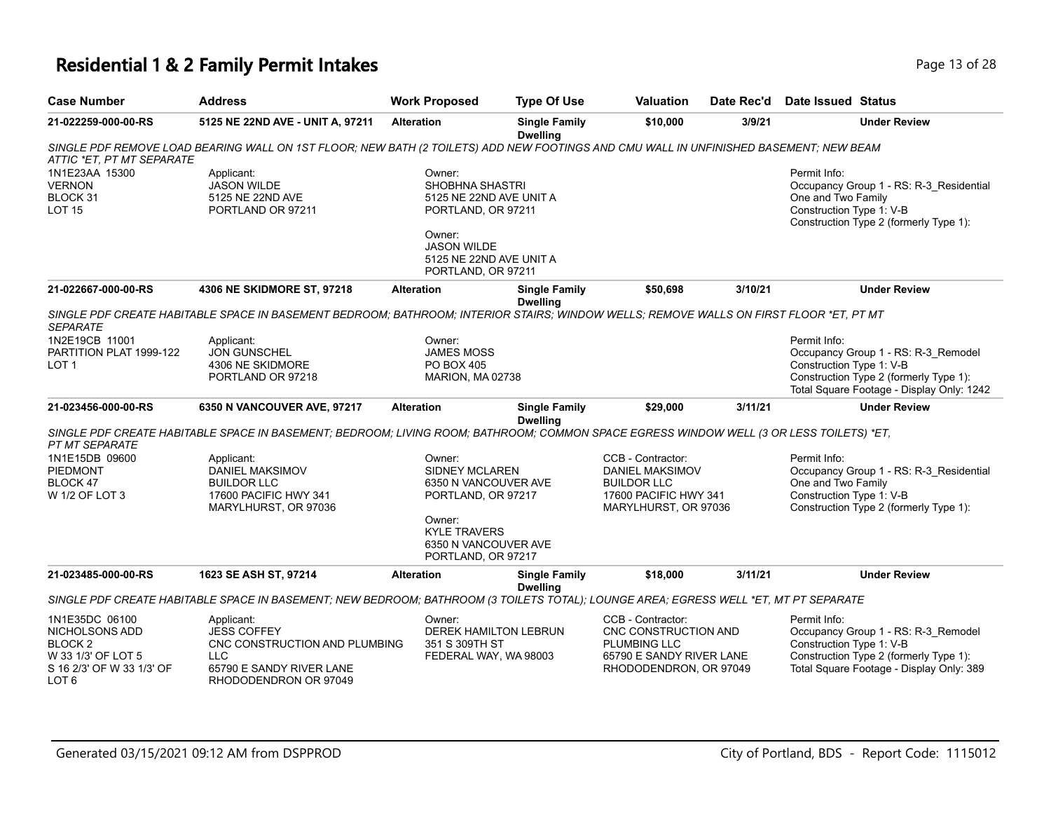## **Residential 1 & 2 Family Permit Intakes Page 13 of 28 Page 13 of 28**

| <b>Case Number</b>                                                                                                       | <b>Address</b>                                                                                                                          | <b>Work Proposed</b>                                                                                                                                         | <b>Type Of Use</b>                      | <b>Valuation</b>                                                                                                       | Date Rec'd | <b>Date Issued Status</b>                                                                                                                                              |
|--------------------------------------------------------------------------------------------------------------------------|-----------------------------------------------------------------------------------------------------------------------------------------|--------------------------------------------------------------------------------------------------------------------------------------------------------------|-----------------------------------------|------------------------------------------------------------------------------------------------------------------------|------------|------------------------------------------------------------------------------------------------------------------------------------------------------------------------|
| 21-022259-000-00-RS                                                                                                      | 5125 NE 22ND AVE - UNIT A, 97211                                                                                                        | <b>Alteration</b>                                                                                                                                            | <b>Single Family</b><br><b>Dwelling</b> | \$10,000                                                                                                               | 3/9/21     | <b>Under Review</b>                                                                                                                                                    |
| ATTIC *ET, PT MT SEPARATE                                                                                                | SINGLE PDF REMOVE LOAD BEARING WALL ON 1ST FLOOR; NEW BATH (2 TOILETS) ADD NEW FOOTINGS AND CMU WALL IN UNFINISHED BASEMENT; NEW BEAM   |                                                                                                                                                              |                                         |                                                                                                                        |            |                                                                                                                                                                        |
| 1N1E23AA 15300<br><b>VERNON</b><br>BLOCK 31<br><b>LOT 15</b>                                                             | Applicant:<br><b>JASON WILDE</b><br>5125 NE 22ND AVE<br>PORTLAND OR 97211                                                               | Owner:<br><b>SHOBHNA SHASTRI</b><br>5125 NE 22ND AVE UNIT A<br>PORTLAND, OR 97211<br>Owner:                                                                  |                                         |                                                                                                                        |            | Permit Info:<br>Occupancy Group 1 - RS: R-3_Residential<br>One and Two Family<br>Construction Type 1: V-B<br>Construction Type 2 (formerly Type 1):                    |
|                                                                                                                          |                                                                                                                                         | <b>JASON WILDE</b><br>5125 NE 22ND AVE UNIT A<br>PORTLAND, OR 97211                                                                                          |                                         |                                                                                                                        |            |                                                                                                                                                                        |
| 21-022667-000-00-RS                                                                                                      | 4306 NE SKIDMORE ST, 97218                                                                                                              | <b>Alteration</b>                                                                                                                                            | <b>Single Family</b><br><b>Dwelling</b> | \$50,698                                                                                                               | 3/10/21    | <b>Under Review</b>                                                                                                                                                    |
| <b>SEPARATE</b>                                                                                                          | SINGLE PDF CREATE HABITABLE SPACE IN BASEMENT BEDROOM; BATHROOM; INTERIOR STAIRS; WINDOW WELLS; REMOVE WALLS ON FIRST FLOOR *ET, PT MT  |                                                                                                                                                              |                                         |                                                                                                                        |            |                                                                                                                                                                        |
| 1N2E19CB 11001<br>PARTITION PLAT 1999-122<br>LOT <sub>1</sub>                                                            | Applicant:<br><b>JON GUNSCHEL</b><br>4306 NE SKIDMORE<br>PORTLAND OR 97218                                                              | Owner:<br><b>JAMES MOSS</b><br><b>PO BOX 405</b><br>MARION, MA 02738                                                                                         |                                         |                                                                                                                        |            | Permit Info:<br>Occupancy Group 1 - RS: R-3_Remodel<br>Construction Type 1: V-B<br>Construction Type 2 (formerly Type 1):<br>Total Square Footage - Display Only: 1242 |
| 21-023456-000-00-RS                                                                                                      | 6350 N VANCOUVER AVE, 97217                                                                                                             | <b>Alteration</b>                                                                                                                                            | <b>Single Family</b><br><b>Dwelling</b> | \$29,000                                                                                                               | 3/11/21    | <b>Under Review</b>                                                                                                                                                    |
| <b>PT MT SEPARATE</b>                                                                                                    | SINGLE PDF CREATE HABITABLE SPACE IN BASEMENT; BEDROOM; LIVING ROOM; BATHROOM; COMMON SPACE EGRESS WINDOW WELL (3 OR LESS TOILETS) *ET, |                                                                                                                                                              |                                         |                                                                                                                        |            |                                                                                                                                                                        |
| 1N1E15DB 09600<br><b>PIEDMONT</b><br>BLOCK 47<br>W 1/2 OF LOT 3                                                          | Applicant:<br><b>DANIEL MAKSIMOV</b><br><b>BUILDOR LLC</b><br>17600 PACIFIC HWY 341<br>MARYLHURST, OR 97036                             | Owner:<br><b>SIDNEY MCLAREN</b><br>6350 N VANCOUVER AVE<br>PORTLAND, OR 97217<br>Owner:<br><b>KYLE TRAVERS</b><br>6350 N VANCOUVER AVE<br>PORTLAND, OR 97217 |                                         | CCB - Contractor:<br>DANIEL MAKSIMOV<br><b>BUILDOR LLC</b><br>17600 PACIFIC HWY 341<br>MARYLHURST, OR 97036            |            | Permit Info:<br>Occupancy Group 1 - RS: R-3_Residential<br>One and Two Family<br>Construction Type 1: V-B<br>Construction Type 2 (formerly Type 1):                    |
| 21-023485-000-00-RS                                                                                                      | 1623 SE ASH ST, 97214                                                                                                                   | <b>Alteration</b>                                                                                                                                            | <b>Single Family</b><br><b>Dwelling</b> | \$18,000                                                                                                               | 3/11/21    | <b>Under Review</b>                                                                                                                                                    |
|                                                                                                                          | SINGLE PDF CREATE HABITABLE SPACE IN BASEMENT; NEW BEDROOM; BATHROOM (3 TOILETS TOTAL); LOUNGE AREA; EGRESS WELL *ET, MT PT SEPARATE    |                                                                                                                                                              |                                         |                                                                                                                        |            |                                                                                                                                                                        |
| 1N1E35DC 06100<br>NICHOLSONS ADD<br><b>BLOCK2</b><br>W 33 1/3' OF LOT 5<br>S 16 2/3' OF W 33 1/3' OF<br>LOT <sub>6</sub> | Applicant:<br><b>JESS COFFEY</b><br>CNC CONSTRUCTION AND PLUMBING<br><b>LLC</b><br>65790 E SANDY RIVER LANE<br>RHODODENDRON OR 97049    | Owner:<br><b>DEREK HAMILTON LEBRUN</b><br>351 S 309TH ST<br>FEDERAL WAY, WA 98003                                                                            |                                         | CCB - Contractor:<br>CNC CONSTRUCTION AND<br><b>PLUMBING LLC</b><br>65790 E SANDY RIVER LANE<br>RHODODENDRON, OR 97049 |            | Permit Info:<br>Occupancy Group 1 - RS: R-3_Remodel<br>Construction Type 1: V-B<br>Construction Type 2 (formerly Type 1):<br>Total Square Footage - Display Only: 389  |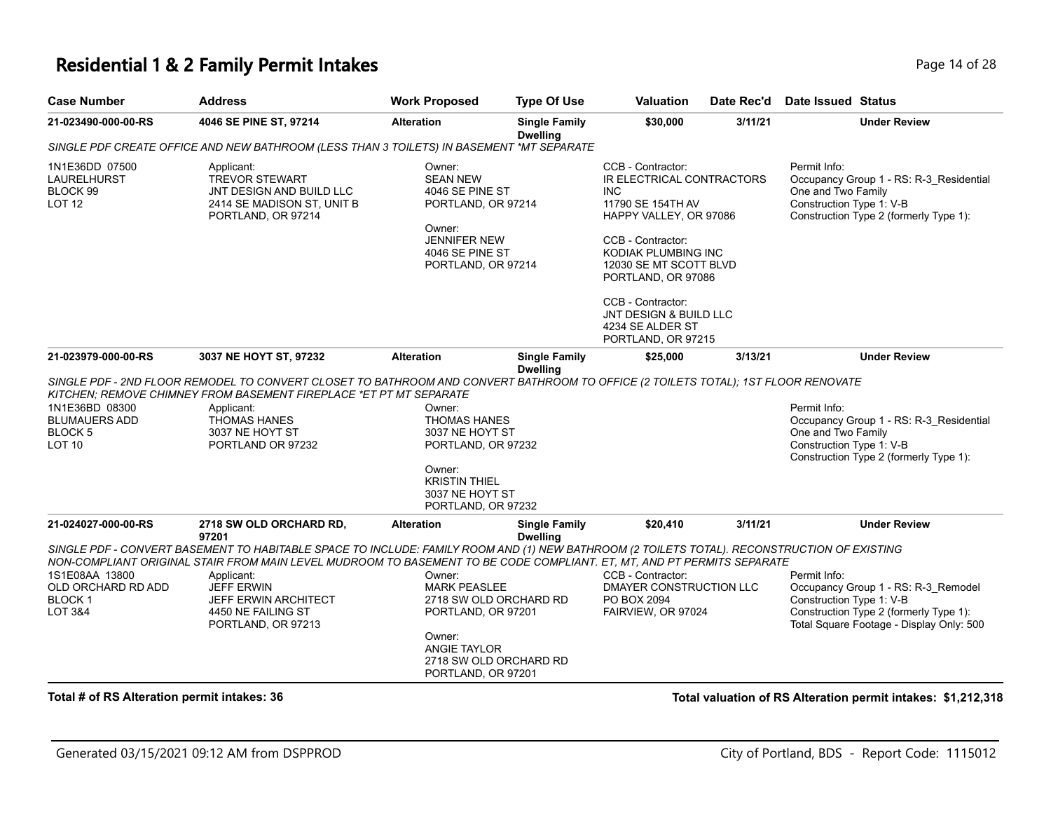#### **Residential 1 & 2 Family Permit Intakes Page 14 of 28** Page 14 of 28

| <b>Case Number</b>  | <b>Address</b>                                                                           | <b>Work Proposed</b> | <b>Type Of Use</b>                      | <b>Valuation</b>          | Date Rec'd | Date Issued Status                      |
|---------------------|------------------------------------------------------------------------------------------|----------------------|-----------------------------------------|---------------------------|------------|-----------------------------------------|
| 21-023490-000-00-RS | 4046 SE PINE ST, 97214                                                                   | <b>Alteration</b>    | <b>Single Family</b><br><b>Dwelling</b> | \$30,000                  | 3/11/21    | <b>Under Review</b>                     |
|                     | SINGLE PDF CREATE OFFICE AND NEW BATHROOM (LESS THAN 3 TOILETS) IN BASEMENT *MT SEPARATE |                      |                                         |                           |            |                                         |
| 1N1E36DD 07500      | Applicant:                                                                               | Owner:               |                                         | CCB - Contractor:         |            | Permit Info:                            |
| LAURELHURST         | TREVOR STEWART                                                                           | <b>SEAN NEW</b>      |                                         | IR ELECTRICAL CONTRACTORS |            | Occupancy Group 1 - RS: R-3 Residential |
| BLOCK 99            | JNT DESIGN AND BUILD LLC                                                                 | 4046 SE PINE ST      |                                         | INC.                      |            | One and Two Family                      |
| LOT <sub>12</sub>   | 2414 SE MADISON ST, UNIT B                                                               | PORTLAND, OR 97214   |                                         | 11790 SE 154TH AV         |            | Construction Type 1: V-B                |
|                     | PORTLAND, OR 97214                                                                       |                      |                                         | HAPPY VALLEY, OR 97086    |            | Construction Type 2 (formerly Type 1):  |
|                     |                                                                                          | Owner:               |                                         |                           |            |                                         |
|                     |                                                                                          |                      |                                         | OMA                       |            |                                         |

CCB - Contractor: KODIAK PLUMBING INC 12030 SE MT SCOTT BLVD PORTLAND, OR 97086

CCB - Contractor: JNT DESIGN & BUILD LLC 4234 SE ALDER ST PORTLAND, OR 97215

| 21-023979-000-00-RS                                                    | 3037 NE HOYT ST, 97232                                                                                                                                                                                                                                                | <b>Alteration</b>                                                                                          | <b>Single Family</b><br><b>Dwelling</b>          | \$25,000                                                                          | 3/13/21 | <b>Under Review</b>                                                                                                                                                   |
|------------------------------------------------------------------------|-----------------------------------------------------------------------------------------------------------------------------------------------------------------------------------------------------------------------------------------------------------------------|------------------------------------------------------------------------------------------------------------|--------------------------------------------------|-----------------------------------------------------------------------------------|---------|-----------------------------------------------------------------------------------------------------------------------------------------------------------------------|
|                                                                        | SINGLE PDF - 2ND FLOOR REMODEL TO CONVERT CLOSET TO BATHROOM AND CONVERT BATHROOM TO OFFICE (2 TOILETS TOTAL); 1ST FLOOR RENOVATE<br>KITCHEN: REMOVE CHIMNEY FROM BASEMENT FIREPLACE *ET PT MT SEPARATE                                                               |                                                                                                            |                                                  |                                                                                   |         |                                                                                                                                                                       |
| 1N1E36BD 08300<br><b>BLUMAUERS ADD</b><br>BLOCK 5<br>LOT <sub>10</sub> | Applicant:<br><b>THOMAS HANES</b><br>3037 NE HOYT ST<br>PORTLAND OR 97232                                                                                                                                                                                             | Owner:<br><b>THOMAS HANES</b><br>3037 NE HOYT ST<br>PORTLAND, OR 97232                                     |                                                  |                                                                                   |         | Permit Info:<br>Occupancy Group 1 - RS: R-3 Residential<br>One and Two Family<br>Construction Type 1: V-B<br>Construction Type 2 (formerly Type 1):                   |
|                                                                        |                                                                                                                                                                                                                                                                       | Owner:<br><b>KRISTIN THIEL</b><br>3037 NE HOYT ST<br>PORTLAND, OR 97232                                    |                                                  |                                                                                   |         |                                                                                                                                                                       |
| 21-024027-000-00-RS                                                    | 2718 SW OLD ORCHARD RD,<br>97201                                                                                                                                                                                                                                      | <b>Alteration</b>                                                                                          | <b>Single Family</b><br><b>Dwelling</b>          | \$20,410                                                                          | 3/11/21 | <b>Under Review</b>                                                                                                                                                   |
|                                                                        | SINGLE PDF - CONVERT BASEMENT TO HABITABLE SPACE TO INCLUDE: FAMILY ROOM AND (1) NEW BATHROOM (2 TOILETS TOTAL). RECONSTRUCTION OF EXISTING<br>NON-COMPLIANT ORIGINAL STAIR FROM MAIN LEVEL MUDROOM TO BASEMENT TO BE CODE COMPLIANT. ET, MT, AND PT PERMITS SEPARATE |                                                                                                            |                                                  |                                                                                   |         |                                                                                                                                                                       |
| 1S1E08AA 13800<br>OLD ORCHARD RD ADD<br><b>BLOCK1</b><br>LOT 3&4       | Applicant:<br><b>JEFF ERWIN</b><br><b>JEFF ERWIN ARCHITECT</b><br>4450 NE FAILING ST<br>PORTLAND, OR 97213                                                                                                                                                            | Owner:<br><b>MARK PEASLEE</b><br>PORTLAND, OR 97201<br>Owner:<br><b>ANGIE TAYLOR</b><br>PORTLAND, OR 97201 | 2718 SW OLD ORCHARD RD<br>2718 SW OLD ORCHARD RD | CCB - Contractor:<br>DMAYER CONSTRUCTION LLC<br>PO BOX 2094<br>FAIRVIEW, OR 97024 |         | Permit Info:<br>Occupancy Group 1 - RS: R-3 Remodel<br>Construction Type 1: V-B<br>Construction Type 2 (formerly Type 1):<br>Total Square Footage - Display Only: 500 |
| Total # of RS Alteration permit intakes: 36                            |                                                                                                                                                                                                                                                                       |                                                                                                            |                                                  |                                                                                   |         | Total valuation of RS Alteration permit intakes: \$1,212,318                                                                                                          |

Owner: JENNIFER NEW 4046 SE PINE ST PORTLAND, OR 97214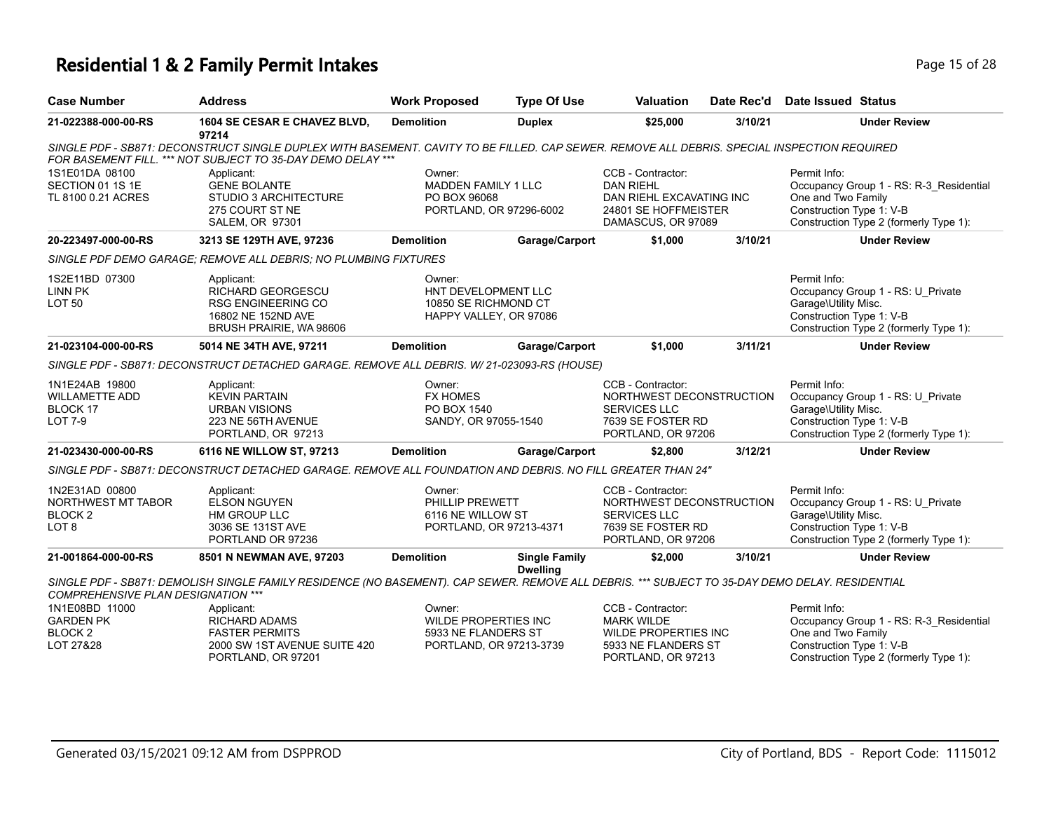## **Residential 1 & 2 Family Permit Intakes Page 15 of 28 Page 15 of 28**

| <b>Case Number</b>                                                             | <b>Address</b>                                                                                                                                                                                             | <b>Work Proposed</b>                                                             | <b>Type Of Use</b>                      | <b>Valuation</b>                                                                                                | Date Rec'd | Date Issued Status                                                                                                                                  |
|--------------------------------------------------------------------------------|------------------------------------------------------------------------------------------------------------------------------------------------------------------------------------------------------------|----------------------------------------------------------------------------------|-----------------------------------------|-----------------------------------------------------------------------------------------------------------------|------------|-----------------------------------------------------------------------------------------------------------------------------------------------------|
| 21-022388-000-00-RS                                                            | 1604 SE CESAR E CHAVEZ BLVD,<br>97214                                                                                                                                                                      | <b>Demolition</b>                                                                | <b>Duplex</b>                           | \$25,000                                                                                                        | 3/10/21    | <b>Under Review</b>                                                                                                                                 |
|                                                                                | SINGLE PDF - SB871: DECONSTRUCT SINGLE DUPLEX WITH BASEMENT. CAVITY TO BE FILLED. CAP SEWER. REMOVE ALL DEBRIS. SPECIAL INSPECTION REQUIRED<br>FOR BASEMENT FILL. *** NOT SUBJECT TO 35-DAY DEMO DELAY *** |                                                                                  |                                         |                                                                                                                 |            |                                                                                                                                                     |
| 1S1E01DA 08100<br>SECTION 01 1S 1E<br>TL 8100 0.21 ACRES                       | Applicant:<br><b>GENE BOLANTE</b><br>STUDIO 3 ARCHITECTURE<br>275 COURT ST NE<br>SALEM, OR 97301                                                                                                           | Owner:<br><b>MADDEN FAMILY 1 LLC</b><br>PO BOX 96068<br>PORTLAND, OR 97296-6002  |                                         | CCB - Contractor:<br><b>DAN RIEHL</b><br>DAN RIEHL EXCAVATING INC<br>24801 SE HOFFMEISTER<br>DAMASCUS, OR 97089 |            | Permit Info:<br>Occupancy Group 1 - RS: R-3 Residential<br>One and Two Family<br>Construction Type 1: V-B<br>Construction Type 2 (formerly Type 1): |
| 20-223497-000-00-RS                                                            | 3213 SE 129TH AVE, 97236                                                                                                                                                                                   | <b>Demolition</b>                                                                | Garage/Carport                          | \$1,000                                                                                                         | 3/10/21    | <b>Under Review</b>                                                                                                                                 |
|                                                                                | SINGLE PDF DEMO GARAGE: REMOVE ALL DEBRIS: NO PLUMBING FIXTURES                                                                                                                                            |                                                                                  |                                         |                                                                                                                 |            |                                                                                                                                                     |
| 1S2E11BD 07300<br><b>LINN PK</b><br>LOT <sub>50</sub>                          | Applicant:<br>RICHARD GEORGESCU<br><b>RSG ENGINEERING CO</b><br>16802 NE 152ND AVE<br>BRUSH PRAIRIE, WA 98606                                                                                              | Owner:<br>HNT DEVELOPMENT LLC<br>10850 SE RICHMOND CT<br>HAPPY VALLEY, OR 97086  |                                         |                                                                                                                 |            | Permit Info:<br>Occupancy Group 1 - RS: U_Private<br>Garage\Utility Misc.<br>Construction Type 1: V-B<br>Construction Type 2 (formerly Type 1):     |
| 21-023104-000-00-RS                                                            | 5014 NE 34TH AVE, 97211                                                                                                                                                                                    | <b>Demolition</b>                                                                | Garage/Carport                          | \$1,000                                                                                                         | 3/11/21    | <b>Under Review</b>                                                                                                                                 |
|                                                                                | SINGLE PDF - SB871: DECONSTRUCT DETACHED GARAGE. REMOVE ALL DEBRIS. W/ 21-023093-RS (HOUSE)                                                                                                                |                                                                                  |                                         |                                                                                                                 |            |                                                                                                                                                     |
| 1N1E24AB 19800<br><b>WILLAMETTE ADD</b><br>BLOCK 17<br>LOT 7-9                 | Applicant:<br><b>KEVIN PARTAIN</b><br><b>URBAN VISIONS</b><br>223 NE 56TH AVENUE<br>PORTLAND, OR 97213                                                                                                     | Owner:<br><b>FX HOMES</b><br>PO BOX 1540<br>SANDY, OR 97055-1540                 |                                         | CCB - Contractor:<br>NORTHWEST DECONSTRUCTION<br>SERVICES LLC<br>7639 SE FOSTER RD<br>PORTLAND, OR 97206        |            | Permit Info:<br>Occupancy Group 1 - RS: U Private<br>Garage\Utility Misc.<br>Construction Type 1: V-B<br>Construction Type 2 (formerly Type 1):     |
| 21-023430-000-00-RS                                                            | 6116 NE WILLOW ST, 97213                                                                                                                                                                                   | <b>Demolition</b>                                                                | Garage/Carport                          | \$2,800                                                                                                         | 3/12/21    | <b>Under Review</b>                                                                                                                                 |
|                                                                                | SINGLE PDF - SB871: DECONSTRUCT DETACHED GARAGE. REMOVE ALL FOUNDATION AND DEBRIS. NO FILL GREATER THAN 24"                                                                                                |                                                                                  |                                         |                                                                                                                 |            |                                                                                                                                                     |
| 1N2E31AD 00800<br>NORTHWEST MT TABOR<br>BLOCK <sub>2</sub><br>LOT <sub>8</sub> | Applicant:<br><b>ELSON NGUYEN</b><br>HM GROUP LLC<br>3036 SE 131ST AVE<br>PORTLAND OR 97236                                                                                                                | Owner:<br>PHILLIP PREWETT<br>6116 NE WILLOW ST<br>PORTLAND, OR 97213-4371        |                                         | CCB - Contractor:<br>NORTHWEST DECONSTRUCTION<br><b>SERVICES LLC</b><br>7639 SE FOSTER RD<br>PORTLAND, OR 97206 |            | Permit Info:<br>Occupancy Group 1 - RS: U Private<br>Garage\Utility Misc.<br>Construction Type 1: V-B<br>Construction Type 2 (formerly Type 1):     |
| 21-001864-000-00-RS                                                            | 8501 N NEWMAN AVE, 97203                                                                                                                                                                                   | <b>Demolition</b>                                                                | <b>Single Family</b><br><b>Dwelling</b> | \$2,000                                                                                                         | 3/10/21    | <b>Under Review</b>                                                                                                                                 |
| <b>COMPREHENSIVE PLAN DESIGNATION ***</b>                                      | SINGLE PDF - SB871: DEMOLISH SINGLE FAMILY RESIDENCE (NO BASEMENT). CAP SEWER. REMOVE ALL DEBRIS. *** SUBJECT TO 35-DAY DEMO DELAY. RESIDENTIAL                                                            |                                                                                  |                                         |                                                                                                                 |            |                                                                                                                                                     |
| 1N1E08BD 11000<br><b>GARDEN PK</b><br>BLOCK <sub>2</sub><br>LOT 27&28          | Applicant:<br><b>RICHARD ADAMS</b><br><b>FASTER PERMITS</b><br>2000 SW 1ST AVENUE SUITE 420<br>PORTLAND, OR 97201                                                                                          | Owner:<br>WILDE PROPERTIES INC<br>5933 NE FLANDERS ST<br>PORTLAND, OR 97213-3739 |                                         | CCB - Contractor:<br><b>MARK WILDE</b><br>WILDE PROPERTIES INC<br>5933 NE FLANDERS ST<br>PORTLAND, OR 97213     |            | Permit Info:<br>Occupancy Group 1 - RS: R-3_Residential<br>One and Two Family<br>Construction Type 1: V-B<br>Construction Type 2 (formerly Type 1): |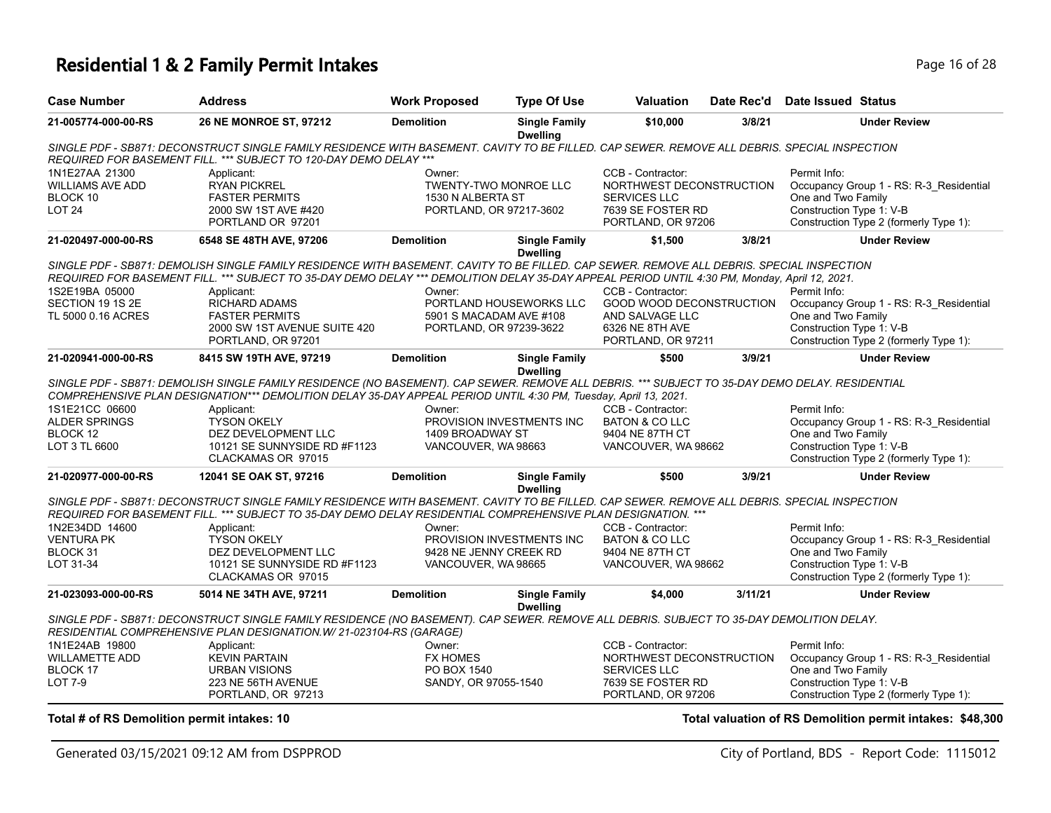### **Residential 1 & 2 Family Permit Intakes Page 16 of 28 Page 16 of 28**

| <b>Case Number</b>                                                     | <b>Address</b>                                                                                                                                                                                                                                                     | <b>Work Proposed</b>        | <b>Type Of Use</b>                      | <b>Valuation</b>                                                                          | Date Rec'd | <b>Date Issued Status</b>                                                                                 |
|------------------------------------------------------------------------|--------------------------------------------------------------------------------------------------------------------------------------------------------------------------------------------------------------------------------------------------------------------|-----------------------------|-----------------------------------------|-------------------------------------------------------------------------------------------|------------|-----------------------------------------------------------------------------------------------------------|
| 21-005774-000-00-RS                                                    | 26 NE MONROE ST, 97212                                                                                                                                                                                                                                             | <b>Demolition</b>           | <b>Single Family</b><br><b>Dwelling</b> | \$10,000                                                                                  | 3/8/21     | <b>Under Review</b>                                                                                       |
|                                                                        | SINGLE PDF - SB871: DECONSTRUCT SINGLE FAMILY RESIDENCE WITH BASEMENT. CAVITY TO BE FILLED. CAP SEWER. REMOVE ALL DEBRIS. SPECIAL INSPECTION<br>REQUIRED FOR BASEMENT FILL. *** SUBJECT TO 120-DAY DEMO DELAY ***                                                  |                             |                                         |                                                                                           |            |                                                                                                           |
| 1N1E27AA 21300<br><b>WILLIAMS AVE ADD</b><br>BLOCK 10<br><b>LOT 24</b> | Applicant:<br><b>RYAN PICKREL</b><br><b>FASTER PERMITS</b><br>2000 SW 1ST AVE #420                                                                                                                                                                                 | Owner:<br>1530 N ALBERTA ST | <b>TWENTY-TWO MONROE LLC</b>            | CCB - Contractor:<br>NORTHWEST DECONSTRUCTION<br><b>SERVICES LLC</b><br>7639 SE FOSTER RD |            | Permit Info:<br>Occupancy Group 1 - RS: R-3 Residential<br>One and Two Family<br>Construction Type 1: V-B |
|                                                                        | PORTLAND OR 97201                                                                                                                                                                                                                                                  | PORTLAND, OR 97217-3602     |                                         | PORTLAND, OR 97206                                                                        |            | Construction Type 2 (formerly Type 1):                                                                    |
| 21-020497-000-00-RS                                                    | 6548 SE 48TH AVE, 97206                                                                                                                                                                                                                                            | <b>Demolition</b>           | <b>Single Family</b><br><b>Dwelling</b> | \$1.500                                                                                   | 3/8/21     | <b>Under Review</b>                                                                                       |
|                                                                        | SINGLE PDF - SB871: DEMOLISH SINGLE FAMILY RESIDENCE WITH BASEMENT. CAVITY TO BE FILLED. CAP SEWER. REMOVE ALL DEBRIS. SPECIAL INSPECTION                                                                                                                          |                             |                                         |                                                                                           |            |                                                                                                           |
|                                                                        | REQUIRED FOR BASEMENT FILL. *** SUBJECT TO 35-DAY DEMO DELAY *** DEMOLITION DELAY 35-DAY APPEAL PERIOD UNTIL 4:30 PM, Monday, April 12, 2021.                                                                                                                      |                             |                                         |                                                                                           |            |                                                                                                           |
| 1S2E19BA 05000                                                         | Applicant:                                                                                                                                                                                                                                                         | Owner:                      |                                         | CCB - Contractor:                                                                         |            | Permit Info:                                                                                              |
| SECTION 19 1S 2E                                                       | <b>RICHARD ADAMS</b>                                                                                                                                                                                                                                               |                             | PORTLAND HOUSEWORKS LLC                 | GOOD WOOD DECONSTRUCTION                                                                  |            | Occupancy Group 1 - RS: R-3_Residential                                                                   |
| TL 5000 0.16 ACRES                                                     | <b>FASTER PERMITS</b>                                                                                                                                                                                                                                              | 5901 S MACADAM AVE #108     |                                         | AND SALVAGE LLC                                                                           |            | One and Two Family                                                                                        |
|                                                                        | 2000 SW 1ST AVENUE SUITE 420                                                                                                                                                                                                                                       | PORTLAND, OR 97239-3622     |                                         | 6326 NE 8TH AVE                                                                           |            | Construction Type 1: V-B                                                                                  |
|                                                                        | PORTLAND, OR 97201                                                                                                                                                                                                                                                 |                             |                                         | PORTLAND, OR 97211                                                                        |            | Construction Type 2 (formerly Type 1):                                                                    |
| 21-020941-000-00-RS                                                    | 8415 SW 19TH AVE, 97219                                                                                                                                                                                                                                            | <b>Demolition</b>           | <b>Single Family</b><br><b>Dwelling</b> | \$500                                                                                     | 3/9/21     | <b>Under Review</b>                                                                                       |
|                                                                        | SINGLE PDF - SB871: DEMOLISH SINGLE FAMILY RESIDENCE (NO BASEMENT). CAP SEWER. REMOVE ALL DEBRIS. *** SUBJECT TO 35-DAY DEMO DELAY. RESIDENTIAL<br>COMPREHENSIVE PLAN DESIGNATION*** DEMOLITION DELAY 35-DAY APPEAL PERIOD UNTIL 4:30 PM, Tuesday, April 13, 2021. |                             |                                         |                                                                                           |            |                                                                                                           |
| 1S1E21CC 06600                                                         | Applicant:                                                                                                                                                                                                                                                         | Owner:                      |                                         | CCB - Contractor:                                                                         |            | Permit Info:                                                                                              |
| <b>ALDER SPRINGS</b>                                                   | <b>TYSON OKELY</b>                                                                                                                                                                                                                                                 |                             | PROVISION INVESTMENTS INC               | BATON & CO LLC                                                                            |            | Occupancy Group 1 - RS: R-3_Residential                                                                   |
| BLOCK 12                                                               | DEZ DEVELOPMENT LLC                                                                                                                                                                                                                                                | 1409 BROADWAY ST            |                                         | 9404 NE 87TH CT                                                                           |            | One and Two Family                                                                                        |
| LOT 3 TL 6600                                                          | 10121 SE SUNNYSIDE RD #F1123<br>CLACKAMAS OR 97015                                                                                                                                                                                                                 | VANCOUVER, WA 98663         |                                         | VANCOUVER, WA 98662                                                                       |            | Construction Type 1: V-B<br>Construction Type 2 (formerly Type 1):                                        |
| 21-020977-000-00-RS                                                    | 12041 SE OAK ST, 97216                                                                                                                                                                                                                                             | <b>Demolition</b>           | <b>Single Family</b><br><b>Dwelling</b> | \$500                                                                                     | 3/9/21     | <b>Under Review</b>                                                                                       |
|                                                                        | SINGLE PDF - SB871: DECONSTRUCT SINGLE FAMILY RESIDENCE WITH BASEMENT. CAVITY TO BE FILLED. CAP SEWER. REMOVE ALL DEBRIS. SPECIAL INSPECTION                                                                                                                       |                             |                                         |                                                                                           |            |                                                                                                           |
|                                                                        | REQUIRED FOR BASEMENT FILL. *** SUBJECT TO 35-DAY DEMO DELAY RESIDENTIAL COMPREHENSIVE PLAN DESIGNATION. ***                                                                                                                                                       |                             |                                         |                                                                                           |            |                                                                                                           |
| 1N2E34DD 14600                                                         | Applicant:                                                                                                                                                                                                                                                         | Owner:                      |                                         | CCB - Contractor:                                                                         |            | Permit Info:                                                                                              |
| <b>VENTURA PK</b>                                                      | <b>TYSON OKELY</b>                                                                                                                                                                                                                                                 |                             | PROVISION INVESTMENTS INC               | BATON & CO LLC                                                                            |            | Occupancy Group 1 - RS: R-3 Residential                                                                   |
| BLOCK 31                                                               | DEZ DEVELOPMENT LLC                                                                                                                                                                                                                                                | 9428 NE JENNY CREEK RD      |                                         | 9404 NE 87TH CT                                                                           |            | One and Two Family                                                                                        |
| LOT 31-34                                                              | 10121 SE SUNNYSIDE RD #F1123                                                                                                                                                                                                                                       | VANCOUVER, WA 98665         |                                         | VANCOUVER, WA 98662                                                                       |            | Construction Type 1: V-B                                                                                  |
|                                                                        | CLACKAMAS OR 97015                                                                                                                                                                                                                                                 |                             |                                         |                                                                                           |            | Construction Type 2 (formerly Type 1):                                                                    |
| 21-023093-000-00-RS                                                    | 5014 NE 34TH AVE, 97211                                                                                                                                                                                                                                            | <b>Demolition</b>           | <b>Single Family</b>                    | \$4,000                                                                                   | 3/11/21    | <b>Under Review</b>                                                                                       |
|                                                                        | SINGLE PDF - SB871: DECONSTRUCT SINGLE FAMILY RESIDENCE (NO BASEMENT). CAP SEWER. REMOVE ALL DEBRIS. SUBJECT TO 35-DAY DEMOLITION DELAY.<br>RESIDENTIAL COMPREHENSIVE PLAN DESIGNATION. W/ 21-023104-RS (GARAGE)                                                   |                             | <b>Dwelling</b>                         |                                                                                           |            |                                                                                                           |
| 1N1E24AB 19800                                                         |                                                                                                                                                                                                                                                                    | Owner:                      |                                         |                                                                                           |            | Permit Info:                                                                                              |
| <b>WILLAMETTE ADD</b>                                                  | Applicant:<br><b>KEVIN PARTAIN</b>                                                                                                                                                                                                                                 | <b>FX HOMES</b>             |                                         | CCB - Contractor:<br>NORTHWEST DECONSTRUCTION                                             |            | Occupancy Group 1 - RS: R-3_Residential                                                                   |
| BLOCK 17                                                               | <b>URBAN VISIONS</b>                                                                                                                                                                                                                                               | PO BOX 1540                 |                                         | <b>SERVICES LLC</b>                                                                       |            | One and Two Family                                                                                        |
| <b>LOT 7-9</b>                                                         | 223 NE 56TH AVENUE                                                                                                                                                                                                                                                 | SANDY, OR 97055-1540        |                                         | 7639 SE FOSTER RD                                                                         |            | Construction Type 1: V-B                                                                                  |
|                                                                        | PORTLAND, OR 97213                                                                                                                                                                                                                                                 |                             |                                         | PORTLAND, OR 97206                                                                        |            | Construction Type 2 (formerly Type 1):                                                                    |

**Total # of RS Demolition permit intakes: 10 Total valuation of RS Demolition permit intakes: \$48,300**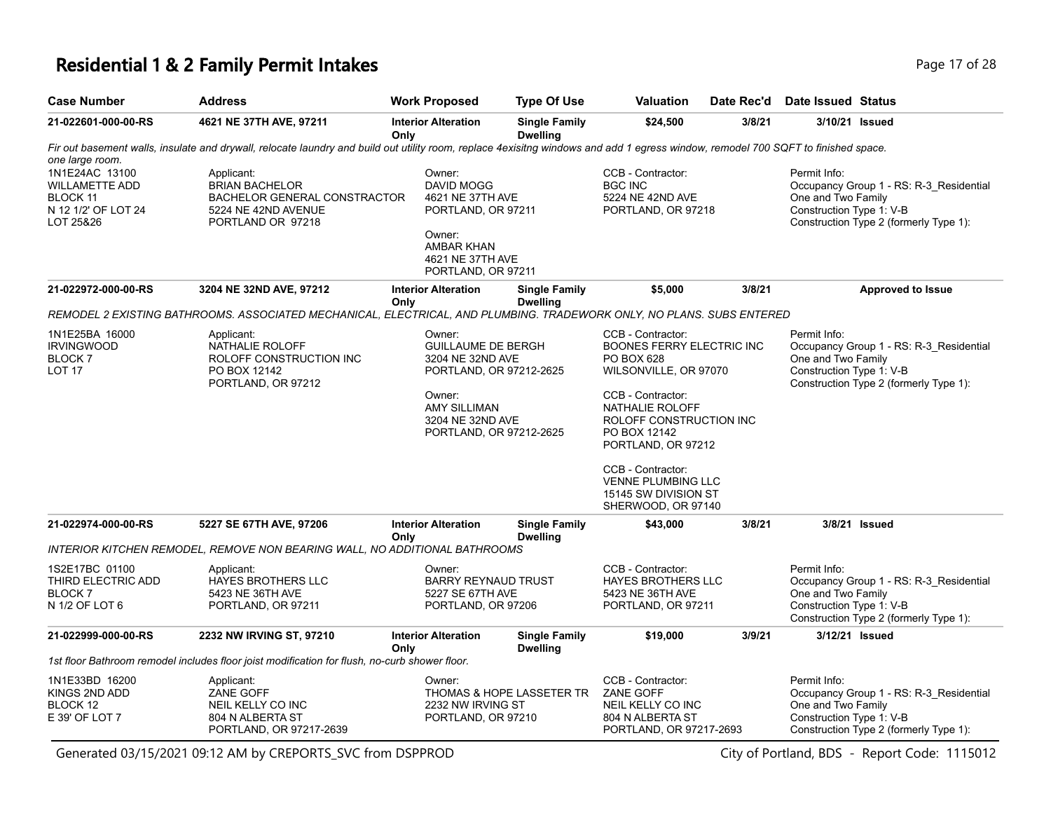### **Residential 1 & 2 Family Permit Intakes Page 17 of 28** Page 17 of 28

| <b>Case Number</b>                                                                                         | <b>Address</b>                                                                                                                                                                    | <b>Work Proposed</b>                                                                                                             | <b>Type Of Use</b>                      | <b>Valuation</b>                                                                                      | Date Rec'd | Date Issued Status                                                                                                                                  |                                                                                   |
|------------------------------------------------------------------------------------------------------------|-----------------------------------------------------------------------------------------------------------------------------------------------------------------------------------|----------------------------------------------------------------------------------------------------------------------------------|-----------------------------------------|-------------------------------------------------------------------------------------------------------|------------|-----------------------------------------------------------------------------------------------------------------------------------------------------|-----------------------------------------------------------------------------------|
| 21-022601-000-00-RS                                                                                        | 4621 NE 37TH AVE, 97211                                                                                                                                                           | <b>Interior Alteration</b><br>Only                                                                                               | <b>Single Family</b><br><b>Dwelling</b> | \$24,500                                                                                              | 3/8/21     | 3/10/21 Issued                                                                                                                                      |                                                                                   |
|                                                                                                            | Fir out basement walls, insulate and drywall, relocate laundry and build out utility room, replace 4exisitng windows and add 1 egress window, remodel 700 SQFT to finished space. |                                                                                                                                  |                                         |                                                                                                       |            |                                                                                                                                                     |                                                                                   |
| one large room.<br>1N1E24AC 13100<br><b>WILLAMETTE ADD</b><br>BLOCK 11<br>N 12 1/2' OF LOT 24<br>LOT 25&26 | Applicant:<br><b>BRIAN BACHELOR</b><br><b>BACHELOR GENERAL CONSTRACTOR</b><br>5224 NE 42ND AVENUE<br>PORTLAND OR 97218                                                            | Owner:<br>DAVID MOGG<br>4621 NE 37TH AVE<br>PORTLAND, OR 97211<br>Owner:<br>AMBAR KHAN<br>4621 NE 37TH AVE<br>PORTLAND, OR 97211 |                                         | CCB - Contractor:<br><b>BGC INC</b><br>5224 NE 42ND AVE<br>PORTLAND, OR 97218                         |            | Permit Info:<br>One and Two Family<br>Construction Type 1: V-B                                                                                      | Occupancy Group 1 - RS: R-3_Residential<br>Construction Type 2 (formerly Type 1): |
| 21-022972-000-00-RS                                                                                        | 3204 NE 32ND AVE, 97212                                                                                                                                                           | <b>Interior Alteration</b><br>Only                                                                                               | <b>Single Family</b><br><b>Dwelling</b> | \$5,000                                                                                               | 3/8/21     |                                                                                                                                                     | <b>Approved to Issue</b>                                                          |
|                                                                                                            | REMODEL 2 EXISTING BATHROOMS. ASSOCIATED MECHANICAL, ELECTRICAL, AND PLUMBING. TRADEWORK ONLY, NO PLANS. SUBS ENTERED                                                             |                                                                                                                                  |                                         |                                                                                                       |            |                                                                                                                                                     |                                                                                   |
| 1N1E25BA 16000<br><b>IRVINGWOOD</b><br><b>BLOCK7</b><br>LOT <sub>17</sub>                                  | Applicant:<br>NATHALIE ROLOFF<br>ROLOFF CONSTRUCTION INC<br>PO BOX 12142<br>PORTLAND, OR 97212                                                                                    | Owner:<br><b>GUILLAUME DE BERGH</b><br>3204 NE 32ND AVE<br>PORTLAND, OR 97212-2625                                               |                                         | CCB - Contractor:<br><b>BOONES FERRY ELECTRIC INC</b><br>PO BOX 628<br>WILSONVILLE, OR 97070          |            | Permit Info:<br>Occupancy Group 1 - RS: R-3_Residential<br>One and Two Family<br>Construction Type 1: V-B<br>Construction Type 2 (formerly Type 1): |                                                                                   |
|                                                                                                            |                                                                                                                                                                                   | Owner:<br><b>AMY SILLIMAN</b><br>3204 NE 32ND AVE<br>PORTLAND, OR 97212-2625                                                     |                                         | CCB - Contractor:<br>NATHALIE ROLOFF<br>ROLOFF CONSTRUCTION INC<br>PO BOX 12142<br>PORTLAND, OR 97212 |            |                                                                                                                                                     |                                                                                   |
|                                                                                                            |                                                                                                                                                                                   |                                                                                                                                  |                                         | CCB - Contractor:<br><b>VENNE PLUMBING LLC</b><br>15145 SW DIVISION ST<br>SHERWOOD, OR 97140          |            |                                                                                                                                                     |                                                                                   |
| 21-022974-000-00-RS                                                                                        | 5227 SE 67TH AVE, 97206                                                                                                                                                           | <b>Interior Alteration</b><br>Only                                                                                               | <b>Single Family</b><br><b>Dwelling</b> | \$43,000                                                                                              | 3/8/21     | 3/8/21 Issued                                                                                                                                       |                                                                                   |
|                                                                                                            | <b>INTERIOR KITCHEN REMODEL, REMOVE NON BEARING WALL, NO ADDITIONAL BATHROOMS</b>                                                                                                 |                                                                                                                                  |                                         |                                                                                                       |            |                                                                                                                                                     |                                                                                   |
| 1S2E17BC 01100<br>THIRD ELECTRIC ADD<br>BLOCK <sub>7</sub><br>N 1/2 OF LOT 6                               | Applicant:<br><b>HAYES BROTHERS LLC</b><br>5423 NE 36TH AVE<br>PORTLAND, OR 97211                                                                                                 | Owner:<br><b>BARRY REYNAUD TRUST</b><br>5227 SE 67TH AVE<br>PORTLAND, OR 97206                                                   |                                         | CCB - Contractor:<br><b>HAYES BROTHERS LLC</b><br>5423 NE 36TH AVE<br>PORTLAND, OR 97211              |            | Permit Info:<br>One and Two Family<br>Construction Type 1: V-B                                                                                      | Occupancy Group 1 - RS: R-3 Residential<br>Construction Type 2 (formerly Type 1): |
| 21-022999-000-00-RS                                                                                        | 2232 NW IRVING ST, 97210                                                                                                                                                          | <b>Interior Alteration</b>                                                                                                       | <b>Single Family</b><br><b>Dwelling</b> | \$19,000                                                                                              | 3/9/21     | 3/12/21 Issued                                                                                                                                      |                                                                                   |
|                                                                                                            | 1st floor Bathroom remodel includes floor joist modification for flush, no-curb shower floor.                                                                                     | Only                                                                                                                             |                                         |                                                                                                       |            |                                                                                                                                                     |                                                                                   |
| 1N1E33BD 16200<br>KINGS 2ND ADD<br>BLOCK 12<br>E 39' OF LOT 7                                              | Applicant:<br>ZANE GOFF<br>NEIL KELLY CO INC<br>804 N ALBERTA ST<br>PORTLAND, OR 97217-2639                                                                                       | Owner:<br>2232 NW IRVING ST<br>PORTLAND, OR 97210                                                                                | THOMAS & HOPE LASSETER TR               | CCB - Contractor:<br>ZANE GOFF<br>NEIL KELLY CO INC<br>804 N ALBERTA ST<br>PORTLAND, OR 97217-2693    |            | Permit Info:<br>One and Two Family<br>Construction Type 1: V-B                                                                                      | Occupancy Group 1 - RS: R-3_Residential<br>Construction Type 2 (formerly Type 1): |

Generated 03/15/2021 09:12 AM by CREPORTS\_SVC from DSPPROD City of Portland, BDS - Report Code: 1115012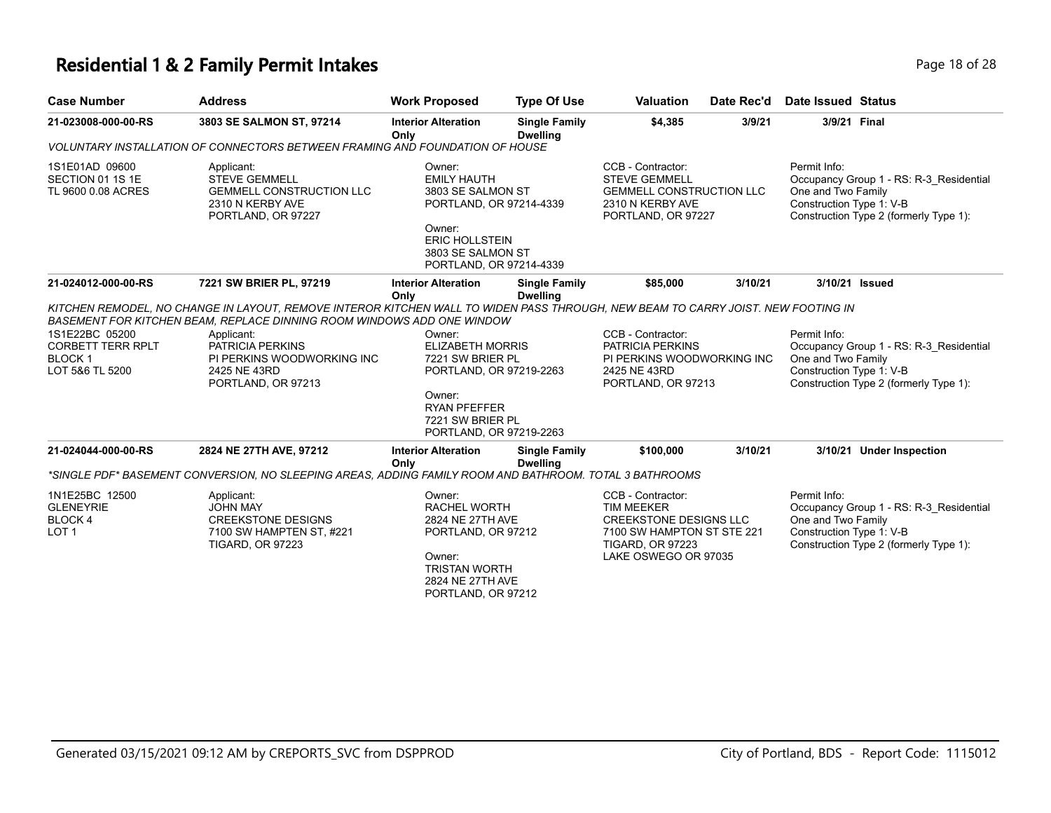#### **Residential 1 & 2 Family Permit Intakes Page 18 of 28** Page 18 of 28

| <b>Case Number</b>                                       | <b>Address</b>                                                                                                  | <b>Work Proposed</b>                                                  | <b>Type Of Use</b>                      | Valuation                                                                                                              | Date Rec'd | Date Issued Status                                             |                                                                                   |
|----------------------------------------------------------|-----------------------------------------------------------------------------------------------------------------|-----------------------------------------------------------------------|-----------------------------------------|------------------------------------------------------------------------------------------------------------------------|------------|----------------------------------------------------------------|-----------------------------------------------------------------------------------|
| 21-023008-000-00-RS                                      | 3803 SE SALMON ST, 97214                                                                                        | <b>Interior Alteration</b><br>Onlv                                    | <b>Single Family</b><br><b>Dwelling</b> | \$4.385                                                                                                                | 3/9/21     | 3/9/21 Final                                                   |                                                                                   |
|                                                          | VOLUNTARY INSTALLATION OF CONNECTORS BETWEEN FRAMING AND FOUNDATION OF HOUSE                                    |                                                                       |                                         |                                                                                                                        |            |                                                                |                                                                                   |
| 1S1E01AD 09600<br>SECTION 01 1S 1E<br>TL 9600 0.08 ACRES | Applicant:<br><b>STEVE GEMMELL</b><br><b>GEMMELL CONSTRUCTION LLC</b><br>2310 N KERBY AVE<br>PORTLAND, OR 97227 | Owner:<br>EMILY HAUTH<br>3803 SE SALMON ST<br>PORTLAND, OR 97214-4339 |                                         | CCB - Contractor:<br><b>STEVE GEMMELL</b><br><b>GEMMELL CONSTRUCTION LLC</b><br>2310 N KERBY AVE<br>PORTLAND, OR 97227 |            | Permit Info:<br>One and Two Family<br>Construction Type 1: V-B | Occupancy Group 1 - RS: R-3 Residential<br>Construction Type 2 (formerly Type 1): |

Owner: ERIC HOLLSTEIN 3803 SE SALMON ST PORTLAND, OR 97214-4339

| 21-024012-000-00-RS | <b>SW BRIER PL</b><br>7221 | 97219                               | Alteration<br><b>Inter</b> | Family<br>Single                                                                                                                                                                                                                                                                               | \$85,000       | 3/10/2' | 3/10/2' | <b>Issued</b> |
|---------------------|----------------------------|-------------------------------------|----------------------------|------------------------------------------------------------------------------------------------------------------------------------------------------------------------------------------------------------------------------------------------------------------------------------------------|----------------|---------|---------|---------------|
|                     |                            |                                     | Onlv                       | <b>Dwellinc</b>                                                                                                                                                                                                                                                                                |                |         |         |               |
| 1/17211511571188771 | $\cdots$                   | - 851.01/5 11/TEBOR 1/1TOUE11.11/11 |                            | $\tau$ $\sim$ $\mu$ $\mu$ $\sim$ $\tau$ $\mu$ $\sim$ $\sim$ $\mu$ $\sim$ $\mu$ $\sim$ $\mu$ $\sim$ $\mu$ $\sim$ $\mu$ $\sim$ $\mu$ $\sim$ $\mu$ $\sim$ $\mu$ $\sim$ $\mu$ $\sim$ $\mu$ $\sim$ $\mu$ $\sim$ $\mu$ $\sim$ $\mu$ $\sim$ $\mu$ $\sim$ $\mu$ $\sim$ $\mu$ $\sim$ $\mu$ $\sim$ $\mu$ | $\overline{1}$ |         |         |               |

*KITCHEN REMODEL, NO CHANGE IN LAYOUT, REMOVE INTEROR KITCHEN WALL TO WIDEN PASS THROUGH, NEW BEAM TO CARRY JOIST. NEW FOOTING IN BASEMENT FOR KITCHEN BEAM, REPLACE DINNING ROOM WINDOWS ADD ONE WINDOW*

| 1S1E22BC 05200<br><b>CORBETT TERR RPLT</b><br>BLOCK 1<br>LOT 5&6 TL 5200 | Applicant:<br>PATRICIA PERKINS<br>PI PERKINS WOODWORKING INC<br>2425 NE 43RD<br>PORTLAND, OR 97213                | Owner:<br>ELIZABETH MORRIS<br>7221 SW BRIER PL<br>PORTLAND, OR 97219-2263<br>Owner:<br><b>RYAN PFEFFER</b><br>7221 SW BRIER PL<br>PORTLAND, OR 97219-2263 |                                         | CCB - Contractor:<br><b>PATRICIA PERKINS</b><br>PI PERKINS WOODWORKING INC<br>2425 NE 43RD<br>PORTLAND, OR 97213                                  |         | Permit Info:<br>Occupancy Group 1 - RS: R-3 Residential<br>One and Two Family<br>Construction Type 1: V-B<br>Construction Type 2 (formerly Type 1): |
|--------------------------------------------------------------------------|-------------------------------------------------------------------------------------------------------------------|-----------------------------------------------------------------------------------------------------------------------------------------------------------|-----------------------------------------|---------------------------------------------------------------------------------------------------------------------------------------------------|---------|-----------------------------------------------------------------------------------------------------------------------------------------------------|
| 21-024044-000-00-RS                                                      | 2824 NE 27TH AVE, 97212                                                                                           | <b>Interior Alteration</b><br>Only                                                                                                                        | <b>Single Family</b><br><b>Dwelling</b> | \$100,000                                                                                                                                         | 3/10/21 | 3/10/21<br><b>Under Inspection</b>                                                                                                                  |
|                                                                          | *SINGLE PDF* BASEMENT CONVERSION, NO SLEEPING AREAS, ADDING FAMILY ROOM AND BATHROOM. TOTAL 3 BATHROOMS           |                                                                                                                                                           |                                         |                                                                                                                                                   |         |                                                                                                                                                     |
| 1N1E25BC 12500<br><b>GLENEYRIE</b><br>BLOCK 4<br>LOT <sub>1</sub>        | Applicant:<br><b>JOHN MAY</b><br><b>CREEKSTONE DESIGNS</b><br>7100 SW HAMPTEN ST, #221<br><b>TIGARD, OR 97223</b> | Owner:<br>RACHEL WORTH<br>2824 NE 27TH AVE<br>PORTLAND, OR 97212<br>Owner:<br><b>TRISTAN WORTH</b><br>2824 NE 27TH AVE                                    |                                         | CCB - Contractor:<br>TIM MEEKER<br><b>CREEKSTONE DESIGNS LLC</b><br>7100 SW HAMPTON ST STE 221<br><b>TIGARD, OR 97223</b><br>LAKE OSWEGO OR 97035 |         | Permit Info:<br>Occupancy Group 1 - RS: R-3 Residential<br>One and Two Family<br>Construction Type 1: V-B<br>Construction Type 2 (formerly Type 1): |

PORTLAND, OR 97212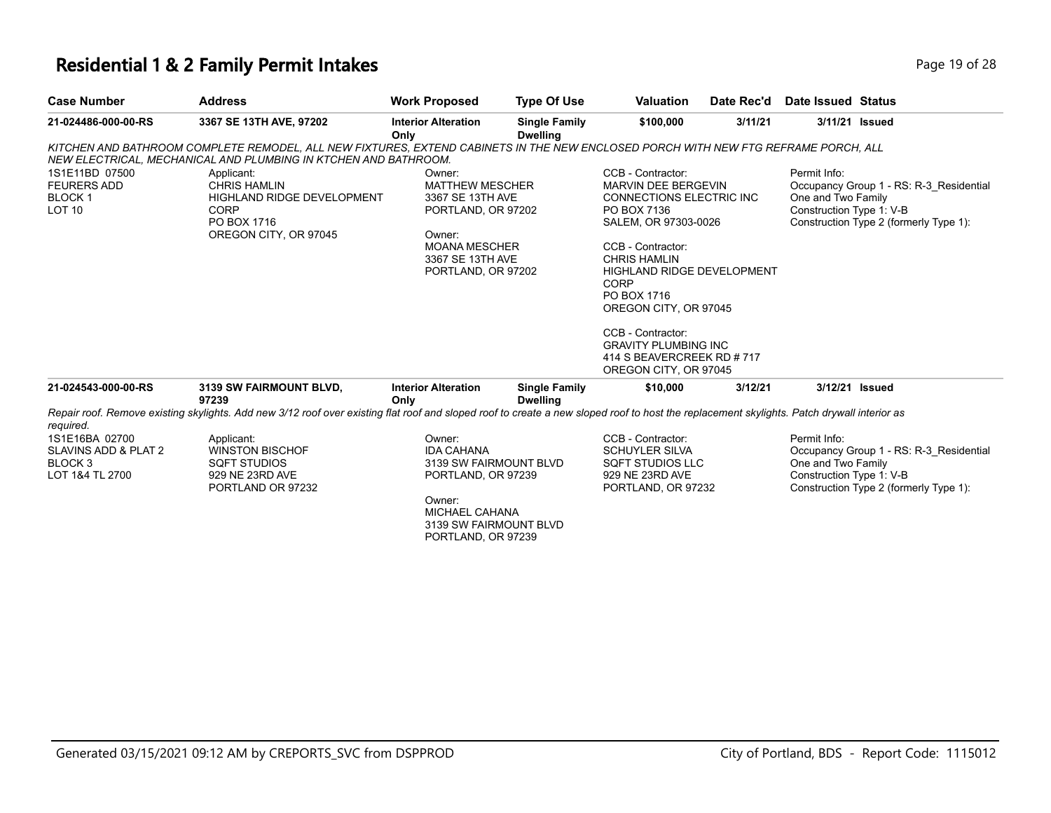#### **Residential 1 & 2 Family Permit Intakes Page 19 of 28 Page 19 of 28**

| <b>Case Number</b>                                                         | <b>Address</b>                                                                                                                                                                                        | <b>Work Proposed</b>                                                                                                                                   | <b>Type Of Use</b>                      | Valuation                                                                                                                                                                                                                                                                                                                                                      | Date Rec'd | Date Issued Status                                             |                                                                                   |
|----------------------------------------------------------------------------|-------------------------------------------------------------------------------------------------------------------------------------------------------------------------------------------------------|--------------------------------------------------------------------------------------------------------------------------------------------------------|-----------------------------------------|----------------------------------------------------------------------------------------------------------------------------------------------------------------------------------------------------------------------------------------------------------------------------------------------------------------------------------------------------------------|------------|----------------------------------------------------------------|-----------------------------------------------------------------------------------|
| 21-024486-000-00-RS                                                        | 3367 SE 13TH AVE, 97202                                                                                                                                                                               | <b>Interior Alteration</b><br>Only                                                                                                                     | <b>Single Family</b><br><b>Dwelling</b> | \$100,000                                                                                                                                                                                                                                                                                                                                                      | 3/11/21    |                                                                | 3/11/21 Issued                                                                    |
|                                                                            | KITCHEN AND BATHROOM COMPLETE REMODEL, ALL NEW FIXTURES, EXTEND CABINETS IN THE NEW ENCLOSED PORCH WITH NEW FTG REFRAME PORCH, ALL<br>NEW ELECTRICAL, MECHANICAL AND PLUMBING IN KTCHEN AND BATHROOM. |                                                                                                                                                        |                                         |                                                                                                                                                                                                                                                                                                                                                                |            |                                                                |                                                                                   |
| 1S1E11BD 07500<br><b>FEURERS ADD</b><br><b>BLOCK1</b><br>LOT <sub>10</sub> | Applicant:<br><b>CHRIS HAMLIN</b><br>HIGHLAND RIDGE DEVELOPMENT<br><b>CORP</b><br>PO BOX 1716<br>OREGON CITY, OR 97045                                                                                | Owner:<br><b>MATTHEW MESCHER</b><br>3367 SE 13TH AVE<br>PORTLAND, OR 97202<br>Owner:<br><b>MOANA MESCHER</b><br>3367 SE 13TH AVE<br>PORTLAND, OR 97202 |                                         | CCB - Contractor:<br><b>MARVIN DEE BERGEVIN</b><br>CONNECTIONS ELECTRIC INC<br>PO BOX 7136<br>SALEM, OR 97303-0026<br>CCB - Contractor:<br><b>CHRIS HAMLIN</b><br><b>HIGHLAND RIDGE DEVELOPMENT</b><br>CORP<br>PO BOX 1716<br>OREGON CITY, OR 97045<br>CCB - Contractor:<br><b>GRAVITY PLUMBING INC</b><br>414 S BEAVERCREEK RD # 717<br>OREGON CITY, OR 97045 |            | Permit Info:<br>One and Two Family<br>Construction Type 1: V-B | Occupancy Group 1 - RS: R-3 Residential<br>Construction Type 2 (formerly Type 1): |
| 21-024543-000-00-RS                                                        | 3139 SW FAIRMOUNT BLVD,<br>97239                                                                                                                                                                      | <b>Interior Alteration</b><br>Only                                                                                                                     | <b>Single Family</b><br><b>Dwelling</b> | \$10,000                                                                                                                                                                                                                                                                                                                                                       | 3/12/21    |                                                                | 3/12/21 Issued                                                                    |
| required.                                                                  | Repair roof. Remove existing skylights. Add new 3/12 roof over existing flat roof and sloped roof to create a new sloped roof to host the replacement skylights. Patch drywall interior as            |                                                                                                                                                        |                                         |                                                                                                                                                                                                                                                                                                                                                                |            |                                                                |                                                                                   |

Applicant: SQFT STUDIOS 1S1E16BA 02700 SLAVINS ADD & PLAT 2 BLOCK 3 LOT 1&4 TL 2700

WINSTON BISCHOF 929 NE 23RD AVE PORTLAND OR 97232

Owner: IDA CAHANA 3139 SW FAIRMOUNT BLVD PORTLAND, OR 97239

Owner: MICHAEL CAHANA 3139 SW FAIRMOUNT BLVD PORTLAND, OR 97239

CCB - Contractor: SCHUYLER SILVA SQFT STUDIOS LLC 929 NE 23RD AVE PORTLAND, OR 97232 Permit Info: Occupancy Group 1 - RS: R-3\_Residential One and Two Family Construction Type 1: V-B Construction Type 2 (formerly Type 1):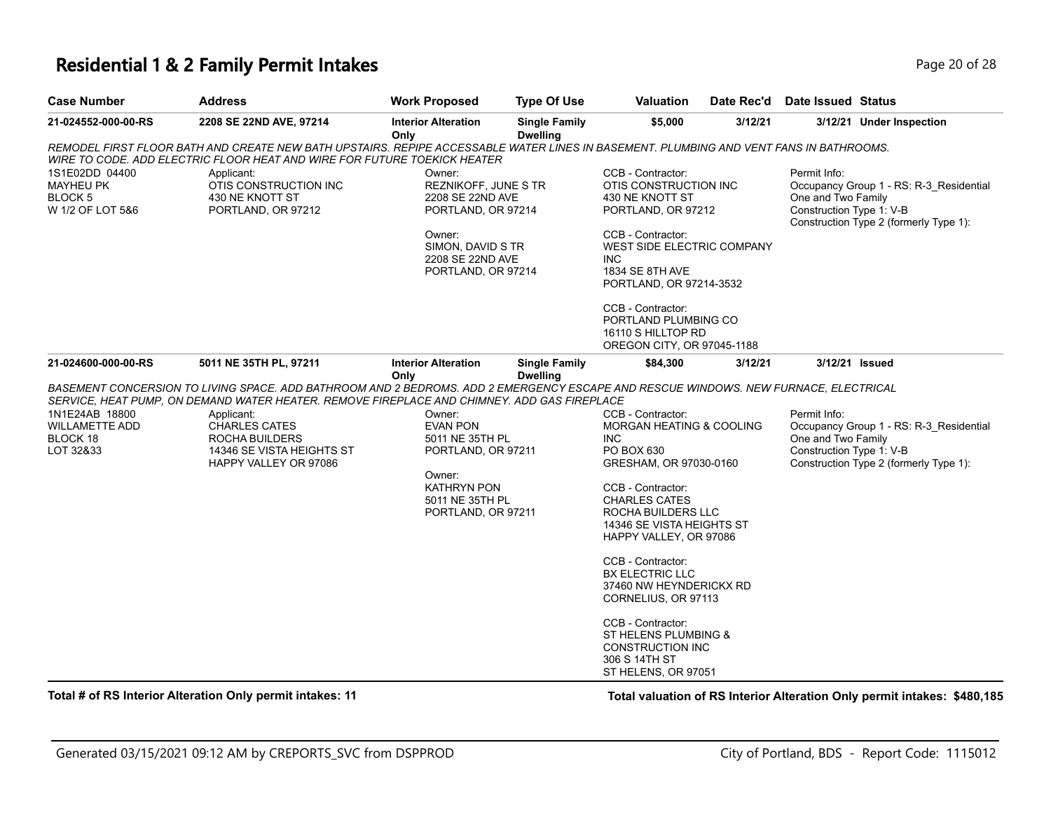### **Residential 1 & 2 Family Permit Intakes Page 10 of 28** Page 20 of 28

| Case Number                                                                                                                                       | <b>Address</b>                                                                                                                                                                                                                                                                                                                                    | <b>Work Proposed</b>                                                  | <b>Type Of Use</b>                                             | <b>Valuation</b>                                                                                                                                                                                                                                              | Date Rec'd                                  | Date Issued Status                                             |                                                                                   |
|---------------------------------------------------------------------------------------------------------------------------------------------------|---------------------------------------------------------------------------------------------------------------------------------------------------------------------------------------------------------------------------------------------------------------------------------------------------------------------------------------------------|-----------------------------------------------------------------------|----------------------------------------------------------------|---------------------------------------------------------------------------------------------------------------------------------------------------------------------------------------------------------------------------------------------------------------|---------------------------------------------|----------------------------------------------------------------|-----------------------------------------------------------------------------------|
| 21-024552-000-00-RS                                                                                                                               | 2208 SE 22ND AVE, 97214                                                                                                                                                                                                                                                                                                                           | <b>Interior Alteration</b><br>Only                                    | <b>Single Family</b><br><b>Dwelling</b>                        | \$5,000                                                                                                                                                                                                                                                       | 3/12/21                                     |                                                                | 3/12/21 Under Inspection                                                          |
|                                                                                                                                                   | REMODEL FIRST FLOOR BATH AND CREATE NEW BATH UPSTAIRS. REPIPE ACCESSABLE WATER LINES IN BASEMENT. PLUMBING AND VENT FANS IN BATHROOMS.<br>WIRE TO CODE. ADD ELECTRIC FLOOR HEAT AND WIRE FOR FUTURE TOEKICK HEATER                                                                                                                                |                                                                       |                                                                |                                                                                                                                                                                                                                                               |                                             |                                                                |                                                                                   |
| 1S1E02DD 04400<br>Applicant:<br><b>MAYHEU PK</b><br>OTIS CONSTRUCTION INC<br>BLOCK 5<br>430 NE KNOTT ST<br>W 1/2 OF LOT 5&6<br>PORTLAND, OR 97212 |                                                                                                                                                                                                                                                                                                                                                   | Owner:                                                                | REZNIKOFF, JUNE S TR<br>2208 SE 22ND AVE<br>PORTLAND, OR 97214 |                                                                                                                                                                                                                                                               | OTIS CONSTRUCTION INC<br>PORTLAND, OR 97212 | Permit Info:<br>One and Two Family<br>Construction Type 1: V-B | Occupancy Group 1 - RS: R-3 Residential<br>Construction Type 2 (formerly Type 1): |
|                                                                                                                                                   |                                                                                                                                                                                                                                                                                                                                                   | Owner:<br>SIMON, DAVID S TR<br>2208 SE 22ND AVE<br>PORTLAND, OR 97214 |                                                                | CCB - Contractor:<br>WEST SIDE ELECTRIC COMPANY<br>INC.<br>1834 SE 8TH AVE<br>PORTLAND, OR 97214-3532                                                                                                                                                         |                                             |                                                                |                                                                                   |
|                                                                                                                                                   |                                                                                                                                                                                                                                                                                                                                                   |                                                                       |                                                                | CCB - Contractor:<br>PORTLAND PLUMBING CO<br>16110 S HILLTOP RD<br>OREGON CITY, OR 97045-1188                                                                                                                                                                 |                                             |                                                                |                                                                                   |
| 21-024600-000-00-RS                                                                                                                               | 5011 NE 35TH PL, 97211                                                                                                                                                                                                                                                                                                                            | <b>Interior Alteration</b><br>Only                                    | <b>Single Family</b><br><b>Dwelling</b>                        | \$84,300                                                                                                                                                                                                                                                      | 3/12/21                                     |                                                                | 3/12/21 Issued                                                                    |
|                                                                                                                                                   | BASEMENT CONCERSION TO LIVING SPACE. ADD BATHROOM AND 2 BEDROMS. ADD 2 EMERGENCY ESCAPE AND RESCUE WINDOWS. NEW FURNACE, ELECTRICAL                                                                                                                                                                                                               |                                                                       |                                                                |                                                                                                                                                                                                                                                               |                                             |                                                                |                                                                                   |
| 1N1E24AB 18800<br>WILLAMETTE ADD<br>BLOCK 18<br>LOT 32&33                                                                                         | SERVICE, HEAT PUMP, ON DEMAND WATER HEATER. REMOVE FIREPLACE AND CHIMNEY. ADD GAS FIREPLACE<br>Applicant:<br>Owner:<br><b>CHARLES CATES</b><br><b>EVAN PON</b><br>ROCHA BUILDERS<br>5011 NE 35TH PL<br>14346 SE VISTA HEIGHTS ST<br>PORTLAND, OR 97211<br>HAPPY VALLEY OR 97086<br>Owner:<br>KATHRYN PON<br>5011 NE 35TH PL<br>PORTLAND, OR 97211 |                                                                       |                                                                | CCB - Contractor:<br><b>MORGAN HEATING &amp; COOLING</b><br><b>INC</b><br>PO BOX 630<br>GRESHAM, OR 97030-0160<br>CCB - Contractor:<br><b>CHARLES CATES</b><br>ROCHA BUILDERS LLC<br>14346 SE VISTA HEIGHTS ST<br>HAPPY VALLEY, OR 97086<br>CCB - Contractor: |                                             | Permit Info:<br>One and Two Family<br>Construction Type 1: V-B | Occupancy Group 1 - RS: R-3_Residential<br>Construction Type 2 (formerly Type 1): |
|                                                                                                                                                   |                                                                                                                                                                                                                                                                                                                                                   |                                                                       |                                                                | <b>BX ELECTRIC LLC</b><br>37460 NW HEYNDERICKX RD<br>CORNELIUS, OR 97113                                                                                                                                                                                      |                                             |                                                                |                                                                                   |
|                                                                                                                                                   |                                                                                                                                                                                                                                                                                                                                                   |                                                                       |                                                                | CCB - Contractor:<br>ST HELENS PLUMBING &<br><b>CONSTRUCTION INC</b><br>306 S 14TH ST<br>ST HELENS, OR 97051                                                                                                                                                  |                                             |                                                                |                                                                                   |

**Total # of RS Interior Alteration Only permit intakes: 11 Total valuation of RS Interior Alteration Only permit intakes: \$480,185**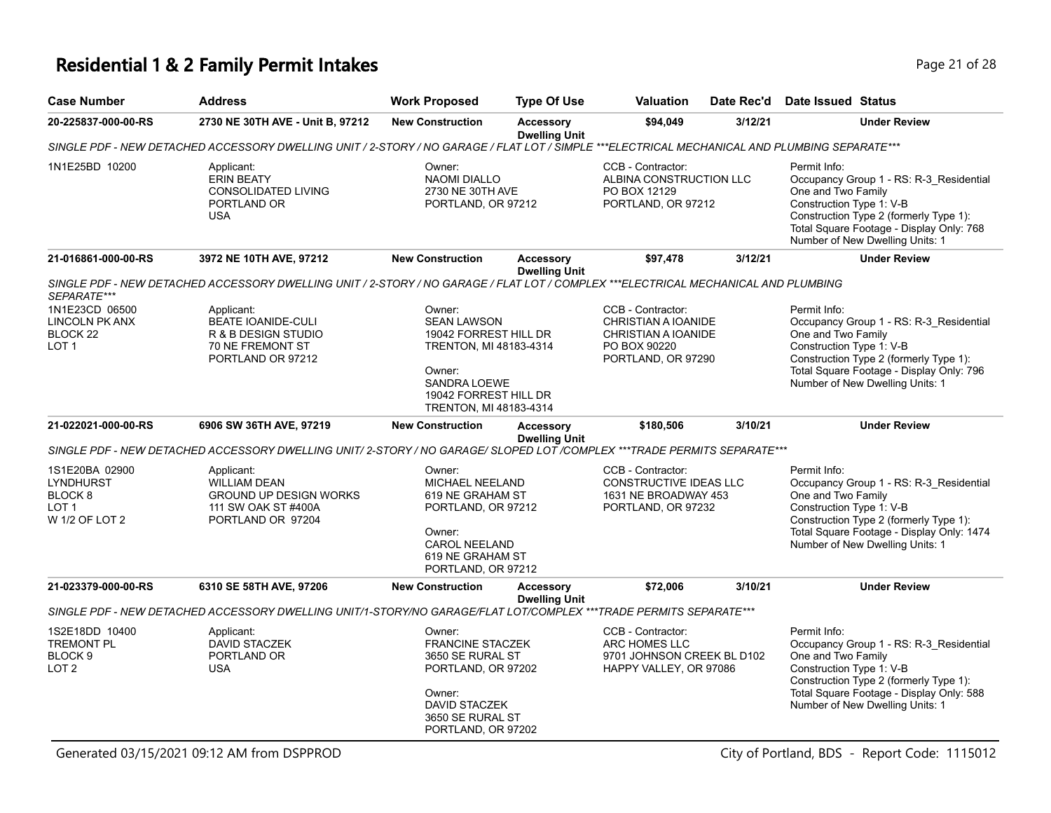# **Residential 1 & 2 Family Permit Intakes Page 21 of 28**

| <b>Case Number</b>                                                                             | <b>Address</b>                                                                                                                                | <b>Work Proposed</b>                                                                                                                                         | <b>Type Of Use</b>                       | Valuation                                                                                             | Date Rec'd | <b>Date Issued Status</b>                                                                                                                                                                                                           |
|------------------------------------------------------------------------------------------------|-----------------------------------------------------------------------------------------------------------------------------------------------|--------------------------------------------------------------------------------------------------------------------------------------------------------------|------------------------------------------|-------------------------------------------------------------------------------------------------------|------------|-------------------------------------------------------------------------------------------------------------------------------------------------------------------------------------------------------------------------------------|
| 20-225837-000-00-RS                                                                            | 2730 NE 30TH AVE - Unit B, 97212                                                                                                              | <b>New Construction</b>                                                                                                                                      | <b>Accessory</b><br><b>Dwelling Unit</b> | \$94,049<br>3/12/21                                                                                   |            | <b>Under Review</b>                                                                                                                                                                                                                 |
|                                                                                                | SINGLE PDF - NEW DETACHED ACCESSORY DWELLING UNIT / 2-STORY / NO GARAGE / FLAT LOT / SIMPLE ***ELECTRICAL MECHANICAL AND PLUMBING SEPARATE*** |                                                                                                                                                              |                                          |                                                                                                       |            |                                                                                                                                                                                                                                     |
| 1N1E25BD 10200                                                                                 | Applicant:<br><b>ERIN BEATY</b><br><b>CONSOLIDATED LIVING</b><br>PORTLAND OR<br><b>USA</b>                                                    | Owner:<br><b>NAOMI DIALLO</b><br>2730 NE 30TH AVE<br>PORTLAND, OR 97212                                                                                      |                                          | CCB - Contractor:<br>ALBINA CONSTRUCTION LLC<br>PO BOX 12129<br>PORTLAND, OR 97212                    |            | Permit Info:<br>Occupancy Group 1 - RS: R-3_Residential<br>One and Two Family<br>Construction Type 1: V-B<br>Construction Type 2 (formerly Type 1):<br>Total Square Footage - Display Only: 768<br>Number of New Dwelling Units: 1  |
| 21-016861-000-00-RS                                                                            | 3972 NE 10TH AVE, 97212                                                                                                                       | <b>New Construction</b>                                                                                                                                      | <b>Accessory</b><br><b>Dwelling Unit</b> | \$97,478                                                                                              | 3/12/21    | <b>Under Review</b>                                                                                                                                                                                                                 |
|                                                                                                | SINGLE PDF - NEW DETACHED ACCESSORY DWELLING UNIT / 2-STORY / NO GARAGE / FLAT LOT / COMPLEX ***ELECTRICAL MECHANICAL AND PLUMBING            |                                                                                                                                                              |                                          |                                                                                                       |            |                                                                                                                                                                                                                                     |
| SEPARATE***                                                                                    |                                                                                                                                               |                                                                                                                                                              |                                          |                                                                                                       |            |                                                                                                                                                                                                                                     |
| 1N1E23CD 06500<br><b>LINCOLN PK ANX</b><br>BLOCK 22<br>LOT <sub>1</sub>                        | Applicant:<br>BEATE IOANIDE-CULI<br>R & B DESIGN STUDIO<br>70 NE FREMONT ST<br>PORTLAND OR 97212                                              | Owner:<br><b>SEAN LAWSON</b><br>19042 FORREST HILL DR<br>TRENTON, MI 48183-4314<br>Owner:<br>SANDRA LOEWE<br>19042 FORREST HILL DR<br>TRENTON, MI 48183-4314 |                                          | CCB - Contractor:<br>CHRISTIAN A IOANIDE<br>CHRISTIAN A IOANIDE<br>PO BOX 90220<br>PORTLAND, OR 97290 |            | Permit Info:<br>Occupancy Group 1 - RS: R-3_Residential<br>One and Two Family<br>Construction Type 1: V-B<br>Construction Type 2 (formerly Type 1):<br>Total Square Footage - Display Only: 796<br>Number of New Dwelling Units: 1  |
| 21-022021-000-00-RS                                                                            | 6906 SW 36TH AVE, 97219                                                                                                                       | <b>New Construction</b>                                                                                                                                      | <b>Accessory</b><br><b>Dwelling Unit</b> | \$180,506                                                                                             | 3/10/21    | <b>Under Review</b>                                                                                                                                                                                                                 |
|                                                                                                | SINGLE PDF - NEW DETACHED ACCESSORY DWELLING UNIT/ 2-STORY / NO GARAGE/ SLOPED LOT /COMPLEX ***TRADE PERMITS SEPARATE***                      |                                                                                                                                                              |                                          |                                                                                                       |            |                                                                                                                                                                                                                                     |
| 1S1E20BA 02900<br><b>LYNDHURST</b><br>BLOCK <sub>8</sub><br>LOT <sub>1</sub><br>W 1/2 OF LOT 2 | Applicant:<br><b>WILLIAM DEAN</b><br><b>GROUND UP DESIGN WORKS</b><br>111 SW OAK ST #400A<br>PORTLAND OR 97204                                | Owner:<br>MICHAEL NEELAND<br>619 NE GRAHAM ST<br>PORTLAND, OR 97212<br>Owner:<br><b>CAROL NEELAND</b><br>619 NE GRAHAM ST<br>PORTLAND, OR 97212              |                                          | CCB - Contractor:<br>CONSTRUCTIVE IDEAS LLC<br>1631 NE BROADWAY 453<br>PORTLAND, OR 97232             |            | Permit Info:<br>Occupancy Group 1 - RS: R-3_Residential<br>One and Two Family<br>Construction Type 1: V-B<br>Construction Type 2 (formerly Type 1):<br>Total Square Footage - Display Only: 1474<br>Number of New Dwelling Units: 1 |
| 21-023379-000-00-RS                                                                            | 6310 SE 58TH AVE, 97206                                                                                                                       | <b>New Construction</b>                                                                                                                                      | <b>Accessory</b><br><b>Dwelling Unit</b> | \$72,006                                                                                              | 3/10/21    | <b>Under Review</b>                                                                                                                                                                                                                 |
|                                                                                                | SINGLE PDF - NEW DETACHED ACCESSORY DWELLING UNIT/1-STORY/NO GARAGE/FLAT LOT/COMPLEX ***TRADE PERMITS SEPARATE***                             |                                                                                                                                                              |                                          |                                                                                                       |            |                                                                                                                                                                                                                                     |
| 1S2E18DD 10400<br><b>TREMONT PL</b><br>BLOCK <sub>9</sub><br>LOT <sub>2</sub>                  | Applicant:<br><b>DAVID STACZEK</b><br>PORTLAND OR<br><b>USA</b>                                                                               | Owner:<br><b>FRANCINE STACZEK</b><br>3650 SE RURAL ST<br>PORTLAND, OR 97202<br>Owner:<br><b>DAVID STACZEK</b><br>3650 SE RURAL ST<br>PORTLAND, OR 97202      |                                          | CCB - Contractor:<br>ARC HOMES LLC<br>9701 JOHNSON CREEK BL D102<br>HAPPY VALLEY, OR 97086            |            | Permit Info:<br>Occupancy Group 1 - RS: R-3_Residential<br>One and Two Family<br>Construction Type 1: V-B<br>Construction Type 2 (formerly Type 1):<br>Total Square Footage - Display Only: 588<br>Number of New Dwelling Units: 1  |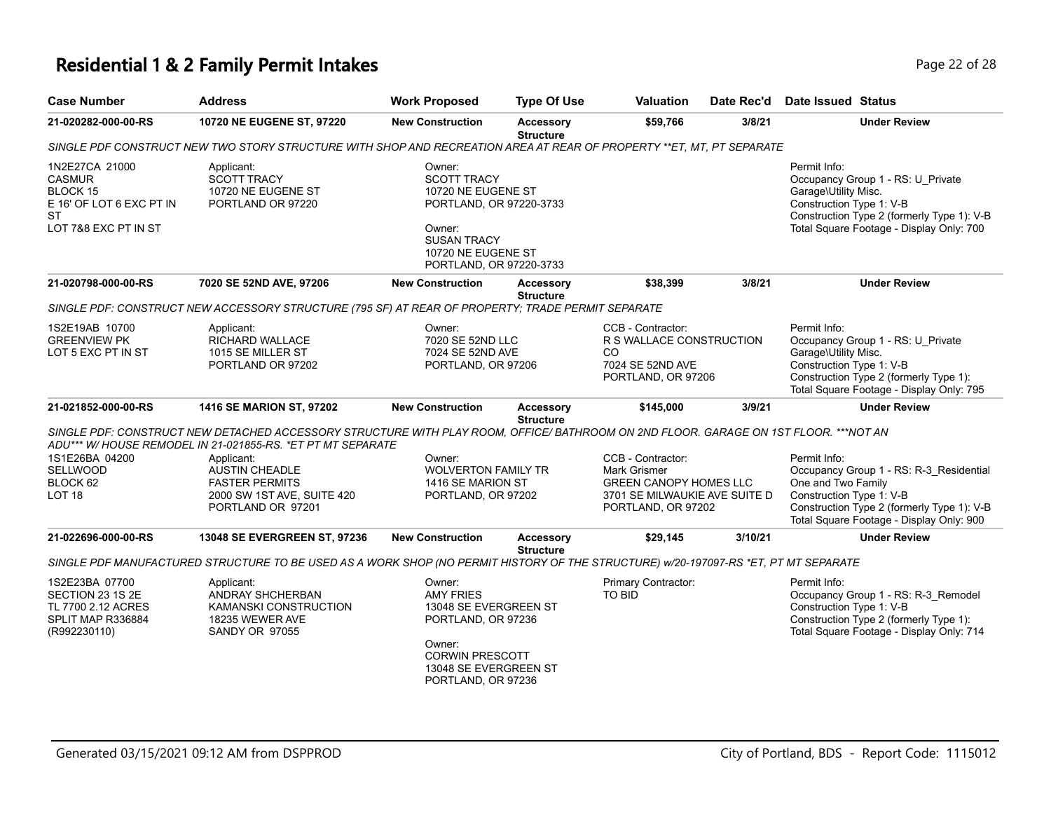## **Residential 1 & 2 Family Permit Intakes Page 12 of 28 Page 22 of 28**

| <b>Case Number</b>                                                                                                  | <b>Address</b>                                                                                                                                                                                    | <b>Work Proposed</b>                                                                                                                                           | <b>Type Of Use</b>                   | <b>Valuation</b>                                                                                                          | Date Rec'd | <b>Date Issued Status</b>                                                                                                                                                                           |
|---------------------------------------------------------------------------------------------------------------------|---------------------------------------------------------------------------------------------------------------------------------------------------------------------------------------------------|----------------------------------------------------------------------------------------------------------------------------------------------------------------|--------------------------------------|---------------------------------------------------------------------------------------------------------------------------|------------|-----------------------------------------------------------------------------------------------------------------------------------------------------------------------------------------------------|
| 21-020282-000-00-RS                                                                                                 | 10720 NE EUGENE ST, 97220                                                                                                                                                                         | <b>New Construction</b>                                                                                                                                        | Accessory<br><b>Structure</b>        | \$59,766                                                                                                                  | 3/8/21     | <b>Under Review</b>                                                                                                                                                                                 |
|                                                                                                                     | SINGLE PDF CONSTRUCT NEW TWO STORY STRUCTURE WITH SHOP AND RECREATION AREA AT REAR OF PROPERTY **ET, MT, PT SEPARATE                                                                              |                                                                                                                                                                |                                      |                                                                                                                           |            |                                                                                                                                                                                                     |
| 1N2E27CA 21000<br><b>CASMUR</b><br><b>BLOCK 15</b><br>E 16' OF LOT 6 EXC PT IN<br><b>ST</b><br>LOT 7&8 EXC PT IN ST | Applicant:<br><b>SCOTT TRACY</b><br>10720 NE EUGENE ST<br>PORTLAND OR 97220                                                                                                                       | Owner:<br><b>SCOTT TRACY</b><br>10720 NE EUGENE ST<br>PORTLAND, OR 97220-3733<br>Owner:<br><b>SUSAN TRACY</b><br>10720 NE EUGENE ST<br>PORTLAND, OR 97220-3733 |                                      |                                                                                                                           |            | Permit Info:<br>Occupancy Group 1 - RS: U Private<br>Garage\Utility Misc.<br>Construction Type 1: V-B<br>Construction Type 2 (formerly Type 1): V-B<br>Total Square Footage - Display Only: 700     |
| 21-020798-000-00-RS                                                                                                 | 7020 SE 52ND AVE, 97206                                                                                                                                                                           | <b>New Construction</b>                                                                                                                                        | <b>Accessory</b><br><b>Structure</b> | \$38,399                                                                                                                  | 3/8/21     | <b>Under Review</b>                                                                                                                                                                                 |
|                                                                                                                     | SINGLE PDF: CONSTRUCT NEW ACCESSORY STRUCTURE (795 SF) AT REAR OF PROPERTY; TRADE PERMIT SEPARATE                                                                                                 |                                                                                                                                                                |                                      |                                                                                                                           |            |                                                                                                                                                                                                     |
| 1S2E19AB 10700<br><b>GREENVIEW PK</b><br>LOT 5 EXC PT IN ST                                                         | Applicant:<br>RICHARD WALLACE<br>1015 SE MILLER ST<br>PORTLAND OR 97202                                                                                                                           | Owner:<br>7020 SE 52ND LLC<br>7024 SE 52ND AVE<br>PORTLAND, OR 97206                                                                                           |                                      | CCB - Contractor:<br>R S WALLACE CONSTRUCTION<br><b>CO</b><br>7024 SE 52ND AVE<br>PORTLAND, OR 97206                      |            | Permit Info:<br>Occupancy Group 1 - RS: U_Private<br>Garage\Utility Misc.<br>Construction Type 1: V-B<br>Construction Type 2 (formerly Type 1):<br>Total Square Footage - Display Only: 795         |
| 21-021852-000-00-RS                                                                                                 | 1416 SE MARION ST, 97202                                                                                                                                                                          | <b>New Construction</b>                                                                                                                                        | <b>Accessory</b><br><b>Structure</b> | \$145,000                                                                                                                 | 3/9/21     | <b>Under Review</b>                                                                                                                                                                                 |
|                                                                                                                     | SINGLE PDF: CONSTRUCT NEW DETACHED ACCESSORY STRUCTURE WITH PLAY ROOM, OFFICE/BATHROOM ON 2ND FLOOR. GARAGE ON 1ST FLOOR. ***NOT AN<br>ADU*** W/HOUSE REMODEL IN 21-021855-RS. *ET PT MT SEPARATE |                                                                                                                                                                |                                      |                                                                                                                           |            |                                                                                                                                                                                                     |
| 1S1E26BA 04200<br><b>SELLWOOD</b><br>BLOCK 62<br>LOT <sub>18</sub>                                                  | Applicant:<br><b>AUSTIN CHEADLE</b><br><b>FASTER PERMITS</b><br>2000 SW 1ST AVE, SUITE 420<br>PORTLAND OR 97201                                                                                   | Owner:<br><b>WOLVERTON FAMILY TR</b><br>1416 SE MARION ST<br>PORTLAND, OR 97202                                                                                |                                      | CCB - Contractor:<br>Mark Grismer<br><b>GREEN CANOPY HOMES LLC</b><br>3701 SE MILWAUKIE AVE SUITE D<br>PORTLAND, OR 97202 |            | Permit Info:<br>Occupancy Group 1 - RS: R-3 Residential<br>One and Two Family<br>Construction Type 1: V-B<br>Construction Type 2 (formerly Type 1): V-B<br>Total Square Footage - Display Only: 900 |
| 21-022696-000-00-RS                                                                                                 | 13048 SE EVERGREEN ST, 97236                                                                                                                                                                      | <b>New Construction</b>                                                                                                                                        | <b>Accessory</b><br><b>Structure</b> | \$29,145                                                                                                                  | 3/10/21    | <b>Under Review</b>                                                                                                                                                                                 |
|                                                                                                                     | SINGLE PDF MANUFACTURED STRUCTURE TO BE USED AS A WORK SHOP (NO PERMIT HISTORY OF THE STRUCTURE) w/20-197097-RS *ET, PT MT SEPARATE                                                               |                                                                                                                                                                |                                      |                                                                                                                           |            |                                                                                                                                                                                                     |
| 1S2E23BA 07700<br>SECTION 23 1S 2E<br>TL 7700 2.12 ACRES<br>SPLIT MAP R336884<br>(R992230110)                       | Applicant:<br>ANDRAY SHCHERBAN<br>KAMANSKI CONSTRUCTION<br>18235 WEWER AVE<br><b>SANDY OR 97055</b>                                                                                               | Owner:<br><b>AMY FRIES</b><br>13048 SE EVERGREEN ST<br>PORTLAND, OR 97236<br>Owner:<br><b>CORWIN PRESCOTT</b><br>13048 SE EVERGREEN ST<br>PORTLAND, OR 97236   |                                      | Primary Contractor:<br>TO BID                                                                                             |            | Permit Info:<br>Occupancy Group 1 - RS: R-3_Remodel<br>Construction Type 1: V-B<br>Construction Type 2 (formerly Type 1):<br>Total Square Footage - Display Only: 714                               |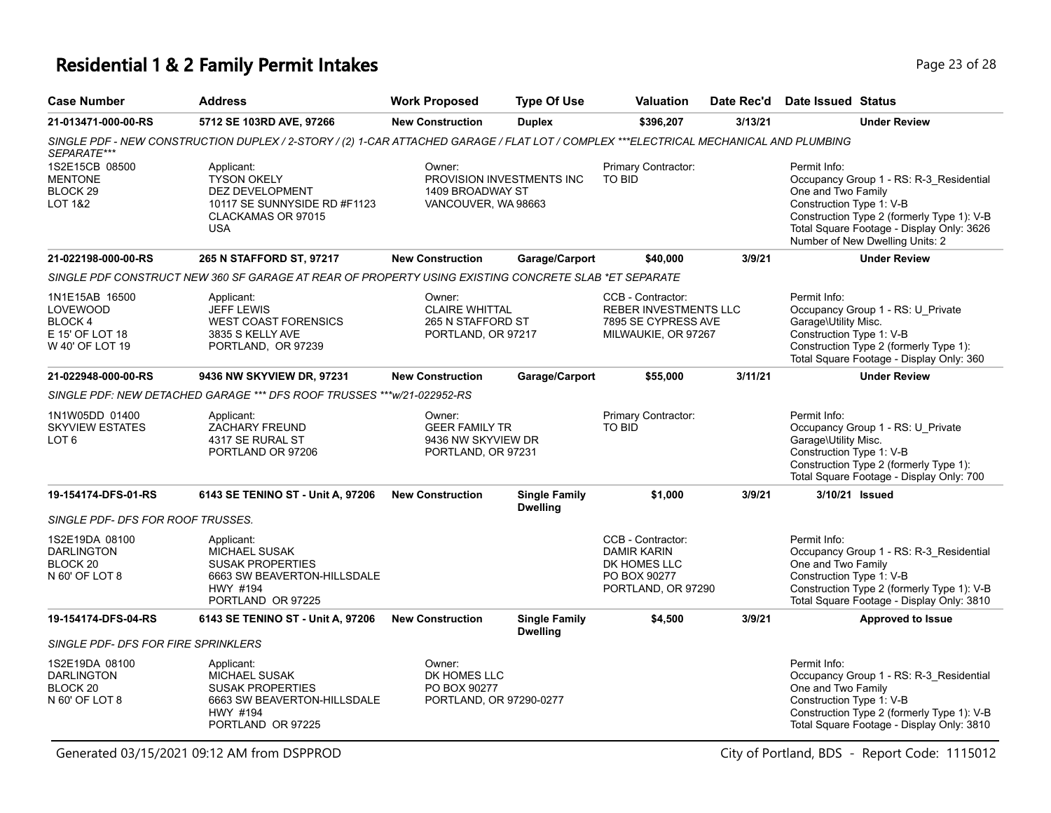# **Residential 1 & 2 Family Permit Intakes Page 23 of 28** Page 23 of 28

| <b>Case Number</b>                                                                 | <b>Address</b>                                                                                                                        | <b>Work Proposed</b>                                                           | <b>Type Of Use</b>                      | <b>Valuation</b>                                                                                | Date Rec'd | Date Issued Status                                               |                                                                                                                                                                       |
|------------------------------------------------------------------------------------|---------------------------------------------------------------------------------------------------------------------------------------|--------------------------------------------------------------------------------|-----------------------------------------|-------------------------------------------------------------------------------------------------|------------|------------------------------------------------------------------|-----------------------------------------------------------------------------------------------------------------------------------------------------------------------|
| 21-013471-000-00-RS                                                                | 5712 SE 103RD AVE, 97266                                                                                                              | <b>New Construction</b>                                                        | <b>Duplex</b>                           | \$396,207                                                                                       | 3/13/21    |                                                                  | <b>Under Review</b>                                                                                                                                                   |
| SEPARATE***                                                                        | SINGLE PDF - NEW CONSTRUCTION DUPLEX / 2-STORY / (2) 1-CAR ATTACHED GARAGE / FLAT LOT / COMPLEX ***ELECTRICAL MECHANICAL AND PLUMBING |                                                                                |                                         |                                                                                                 |            |                                                                  |                                                                                                                                                                       |
| 1S2E15CB 08500<br><b>MENTONE</b><br>BLOCK <sub>29</sub><br><b>LOT 1&amp;2</b>      | Applicant:<br><b>TYSON OKELY</b><br>DEZ DEVELOPMENT<br>10117 SE SUNNYSIDE RD #F1123<br>CLACKAMAS OR 97015<br><b>USA</b>               | Owner:<br>PROVISION INVESTMENTS INC<br>1409 BROADWAY ST<br>VANCOUVER, WA 98663 |                                         | Primary Contractor:<br>TO BID                                                                   |            | Permit Info:<br>One and Two Family<br>Construction Type 1: V-B   | Occupancy Group 1 - RS: R-3_Residential<br>Construction Type 2 (formerly Type 1): V-B<br>Total Square Footage - Display Only: 3626<br>Number of New Dwelling Units: 2 |
| 21-022198-000-00-RS                                                                | 265 N STAFFORD ST, 97217                                                                                                              | <b>New Construction</b>                                                        | Garage/Carport                          | \$40,000                                                                                        | 3/9/21     |                                                                  | <b>Under Review</b>                                                                                                                                                   |
|                                                                                    | SINGLE PDF CONSTRUCT NEW 360 SF GARAGE AT REAR OF PROPERTY USING EXISTING CONCRETE SLAB *ET SEPARATE                                  |                                                                                |                                         |                                                                                                 |            |                                                                  |                                                                                                                                                                       |
| 1N1E15AB 16500<br><b>LOVEWOOD</b><br>BLOCK 4<br>E 15' OF LOT 18<br>W 40' OF LOT 19 | Applicant:<br><b>JEFF LEWIS</b><br><b>WEST COAST FORENSICS</b><br>3835 S KELLY AVE<br>PORTLAND, OR 97239                              | Owner:<br><b>CLAIRE WHITTAL</b><br>265 N STAFFORD ST<br>PORTLAND, OR 97217     |                                         | CCB - Contractor:<br><b>REBER INVESTMENTS LLC</b><br>7895 SE CYPRESS AVE<br>MILWAUKIE, OR 97267 |            | Permit Info:<br>Garage\Utility Misc.<br>Construction Type 1: V-B | Occupancy Group 1 - RS: U_Private<br>Construction Type 2 (formerly Type 1):<br>Total Square Footage - Display Only: 360                                               |
| 21-022948-000-00-RS                                                                | 9436 NW SKYVIEW DR, 97231                                                                                                             | <b>New Construction</b>                                                        | Garage/Carport                          | \$55,000                                                                                        | 3/11/21    |                                                                  | <b>Under Review</b>                                                                                                                                                   |
|                                                                                    | SINGLE PDF: NEW DETACHED GARAGE *** DFS ROOF TRUSSES *** w/21-022952-RS                                                               |                                                                                |                                         |                                                                                                 |            |                                                                  |                                                                                                                                                                       |
| 1N1W05DD 01400<br><b>SKYVIEW ESTATES</b><br>LOT <sub>6</sub>                       | Applicant:<br><b>ZACHARY FREUND</b><br>4317 SE RURAL ST<br>PORTLAND OR 97206                                                          | Owner:<br><b>GEER FAMILY TR</b><br>9436 NW SKYVIEW DR<br>PORTLAND, OR 97231    |                                         | Primary Contractor:<br><b>TO BID</b>                                                            |            | Permit Info:<br>Garage\Utility Misc.<br>Construction Type 1: V-B | Occupancy Group 1 - RS: U Private<br>Construction Type 2 (formerly Type 1):<br>Total Square Footage - Display Only: 700                                               |
| 19-154174-DFS-01-RS                                                                | 6143 SE TENINO ST - Unit A, 97206                                                                                                     | <b>New Construction</b>                                                        | <b>Single Family</b><br><b>Dwelling</b> | \$1,000                                                                                         | 3/9/21     | 3/10/21 Issued                                                   |                                                                                                                                                                       |
| SINGLE PDF- DFS FOR ROOF TRUSSES.                                                  |                                                                                                                                       |                                                                                |                                         |                                                                                                 |            |                                                                  |                                                                                                                                                                       |
| 1S2E19DA 08100<br><b>DARLINGTON</b><br>BLOCK <sub>20</sub><br>N 60' OF LOT 8       | Applicant:<br>MICHAEL SUSAK<br><b>SUSAK PROPERTIES</b><br>6663 SW BEAVERTON-HILLSDALE<br>HWY #194<br>PORTLAND OR 97225                |                                                                                |                                         | CCB - Contractor:<br><b>DAMIR KARIN</b><br>DK HOMES LLC<br>PO BOX 90277<br>PORTLAND, OR 97290   |            | Permit Info:<br>One and Two Family<br>Construction Type 1: V-B   | Occupancy Group 1 - RS: R-3_Residential<br>Construction Type 2 (formerly Type 1): V-B<br>Total Square Footage - Display Only: 3810                                    |
| 19-154174-DFS-04-RS                                                                | 6143 SE TENINO ST - Unit A, 97206                                                                                                     | <b>New Construction</b>                                                        | <b>Single Family</b><br><b>Dwelling</b> | \$4,500                                                                                         | 3/9/21     |                                                                  | <b>Approved to Issue</b>                                                                                                                                              |
| SINGLE PDF- DFS FOR FIRE SPRINKLERS                                                |                                                                                                                                       |                                                                                |                                         |                                                                                                 |            |                                                                  |                                                                                                                                                                       |
| 1S2E19DA 08100<br><b>DARLINGTON</b><br>BLOCK <sub>20</sub><br>N 60' OF LOT 8       | Applicant:<br>MICHAEL SUSAK<br><b>SUSAK PROPERTIES</b><br>6663 SW BEAVERTON-HILLSDALE<br>HWY #194<br>PORTLAND OR 97225                | Owner:<br>DK HOMES LLC<br>PO BOX 90277<br>PORTLAND, OR 97290-0277              |                                         |                                                                                                 |            | Permit Info:<br>One and Two Family<br>Construction Type 1: V-B   | Occupancy Group 1 - RS: R-3 Residential<br>Construction Type 2 (formerly Type 1): V-B<br>Total Square Footage - Display Only: 3810                                    |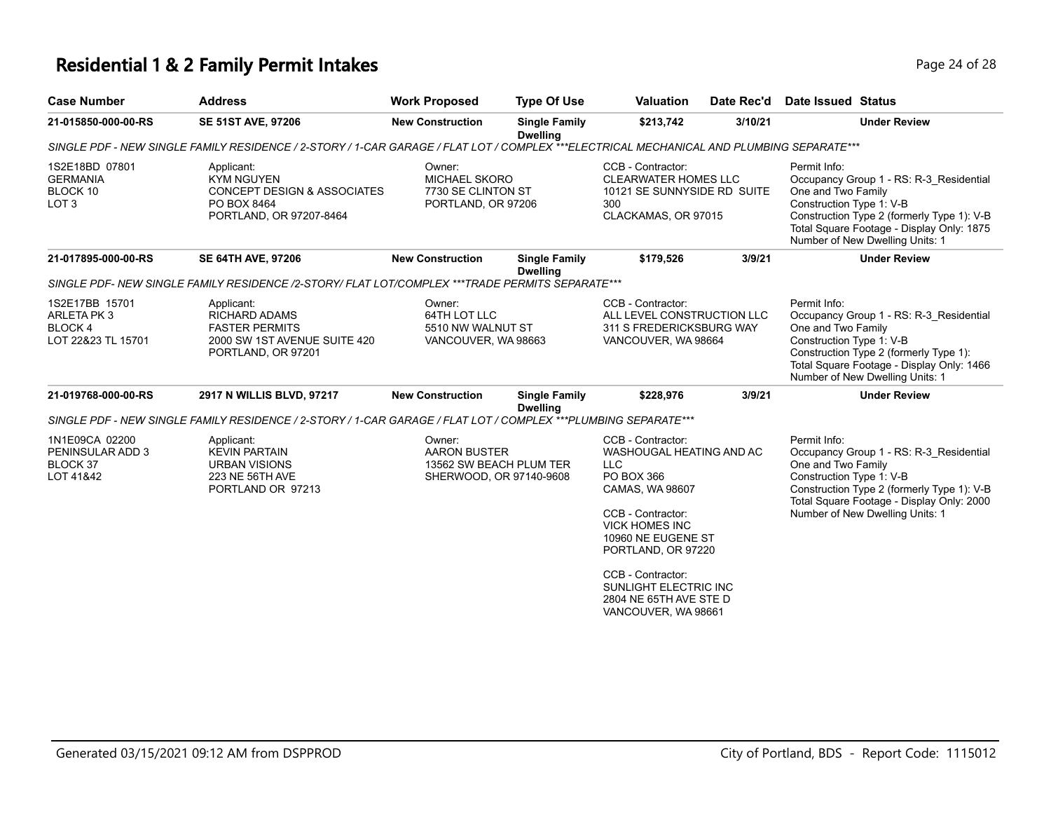## **Residential 1 & 2 Family Permit Intakes Page 24 of 28 Page 24 of 28**

| <b>SE 51ST AVE, 97206</b><br>SINGLE PDF - NEW SINGLE FAMILY RESIDENCE / 2-STORY / 1-CAR GARAGE / FLAT LOT / COMPLEX ***ELECTRICAL MECHANICAL AND PLUMBING SEPARATE***<br>Applicant:<br><b>KYM NGUYEN</b><br><b>CONCEPT DESIGN &amp; ASSOCIATES</b><br>PO BOX 8464<br>PORTLAND, OR 97207-8464<br><b>SE 64TH AVE, 97206</b><br>SINGLE PDF- NEW SINGLE FAMILY RESIDENCE /2-STORY/ FLAT LOT/COMPLEX ***TRADE PERMITS SEPARATE*** | <b>New Construction</b><br><b>Single Family</b><br><b>Dwelling</b><br>Owner:<br><b>MICHAEL SKORO</b><br>7730 SE CLINTON ST<br>PORTLAND, OR 97206<br><b>New Construction</b><br><b>Single Family</b><br><b>Dwelling</b> | \$213,742<br>CCB - Contractor:<br><b>CLEARWATER HOMES LLC</b><br>10121 SE SUNNYSIDE RD SUITE<br>300<br>CLACKAMAS, OR 97015<br>\$179,526                                                                     | 3/10/21<br>3/9/21   | <b>Under Review</b><br>Permit Info:<br>Occupancy Group 1 - RS: R-3_Residential<br>One and Two Family<br>Construction Type 1: V-B<br>Construction Type 2 (formerly Type 1): V-B<br>Total Square Footage - Display Only: 1875<br>Number of New Dwelling Units: 1 |
|------------------------------------------------------------------------------------------------------------------------------------------------------------------------------------------------------------------------------------------------------------------------------------------------------------------------------------------------------------------------------------------------------------------------------|------------------------------------------------------------------------------------------------------------------------------------------------------------------------------------------------------------------------|-------------------------------------------------------------------------------------------------------------------------------------------------------------------------------------------------------------|---------------------|----------------------------------------------------------------------------------------------------------------------------------------------------------------------------------------------------------------------------------------------------------------|
|                                                                                                                                                                                                                                                                                                                                                                                                                              |                                                                                                                                                                                                                        |                                                                                                                                                                                                             |                     |                                                                                                                                                                                                                                                                |
|                                                                                                                                                                                                                                                                                                                                                                                                                              |                                                                                                                                                                                                                        |                                                                                                                                                                                                             |                     |                                                                                                                                                                                                                                                                |
|                                                                                                                                                                                                                                                                                                                                                                                                                              |                                                                                                                                                                                                                        |                                                                                                                                                                                                             |                     |                                                                                                                                                                                                                                                                |
|                                                                                                                                                                                                                                                                                                                                                                                                                              |                                                                                                                                                                                                                        |                                                                                                                                                                                                             |                     | <b>Under Review</b>                                                                                                                                                                                                                                            |
|                                                                                                                                                                                                                                                                                                                                                                                                                              |                                                                                                                                                                                                                        |                                                                                                                                                                                                             |                     |                                                                                                                                                                                                                                                                |
| Applicant:<br><b>RICHARD ADAMS</b><br><b>FASTER PERMITS</b><br>2000 SW 1ST AVENUE SUITE 420<br>PORTLAND, OR 97201                                                                                                                                                                                                                                                                                                            | Owner:<br>64TH LOT LLC<br>5510 NW WALNUT ST<br>VANCOUVER, WA 98663                                                                                                                                                     | CCB - Contractor:<br>ALL LEVEL CONSTRUCTION LLC<br>311 S FREDERICKSBURG WAY<br>VANCOUVER, WA 98664                                                                                                          |                     | Permit Info:<br>Occupancy Group 1 - RS: R-3 Residential<br>One and Two Family<br>Construction Type 1: V-B<br>Construction Type 2 (formerly Type 1):<br>Total Square Footage - Display Only: 1466<br>Number of New Dwelling Units: 1                            |
| 2917 N WILLIS BLVD, 97217                                                                                                                                                                                                                                                                                                                                                                                                    | <b>New Construction</b><br><b>Single Family</b><br><b>Dwelling</b>                                                                                                                                                     | \$228.976                                                                                                                                                                                                   | 3/9/21              | <b>Under Review</b>                                                                                                                                                                                                                                            |
| SINGLE PDF - NEW SINGLE FAMILY RESIDENCE / 2-STORY / 1-CAR GARAGE / FLAT LOT / COMPLEX ***PLUMBING SEPARATE***                                                                                                                                                                                                                                                                                                               |                                                                                                                                                                                                                        |                                                                                                                                                                                                             |                     |                                                                                                                                                                                                                                                                |
| Applicant:<br><b>KEVIN PARTAIN</b><br><b>URBAN VISIONS</b><br>223 NE 56TH AVE<br>PORTLAND OR 97213                                                                                                                                                                                                                                                                                                                           | Owner:<br><b>AARON BUSTER</b><br>13562 SW BEACH PLUM TER<br>SHERWOOD, OR 97140-9608                                                                                                                                    | CCB - Contractor:<br>WASHOUGAL HEATING AND AC<br><b>LLC</b><br>PO BOX 366<br>CAMAS, WA 98607<br>CCB - Contractor:<br><b>VICK HOMES INC</b><br>10960 NE EUGENE ST<br>PORTLAND, OR 97220<br>CCB - Contractor: |                     | Permit Info:<br>Occupancy Group 1 - RS: R-3_Residential<br>One and Two Family<br>Construction Type 1: V-B<br>Construction Type 2 (formerly Type 1): V-B<br>Total Square Footage - Display Only: 2000<br>Number of New Dwelling Units: 1                        |
|                                                                                                                                                                                                                                                                                                                                                                                                                              |                                                                                                                                                                                                                        |                                                                                                                                                                                                             | VANCOUVER, WA 98661 | <b>SUNLIGHT ELECTRIC INC</b><br>2804 NE 65TH AVE STE D                                                                                                                                                                                                         |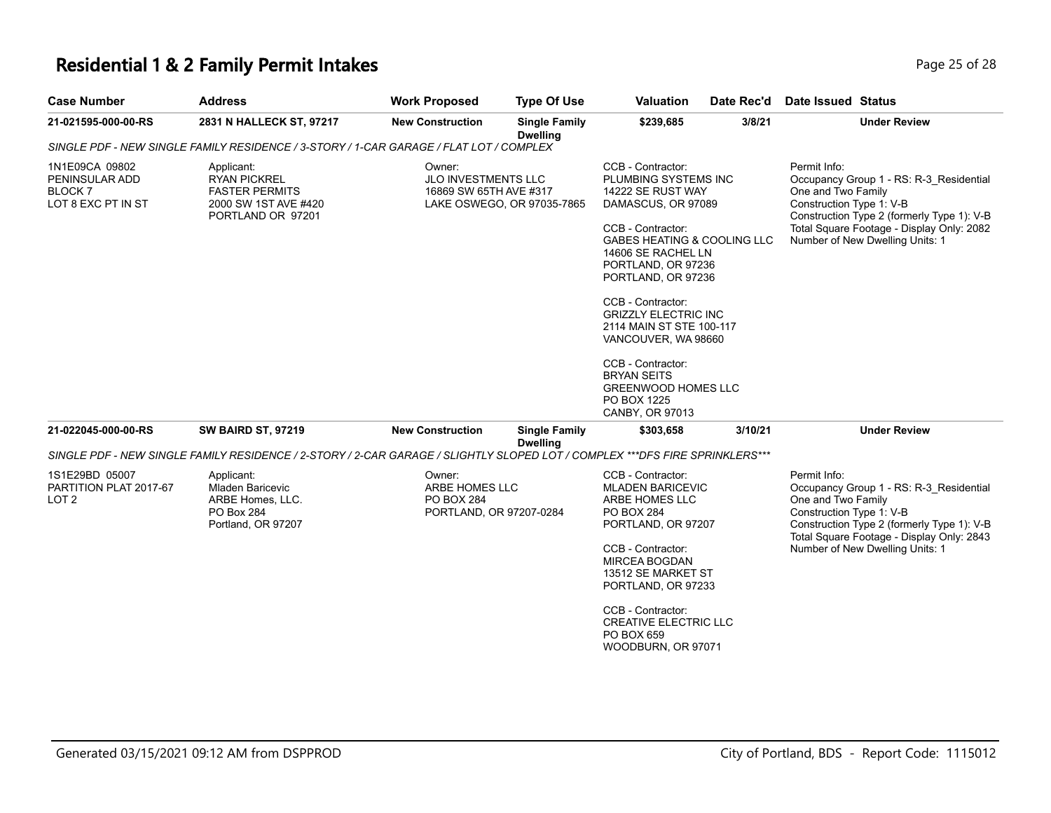### **Residential 1 & 2 Family Permit Intakes Page 25 of 28 Page 25 of 28**

| <b>Case Number</b>                                                | <b>Address</b>                                                                                                              | <b>Work Proposed</b>                                              | <b>Type Of Use</b>                      | <b>Valuation</b>                                                                                                                                                                                                                                                                                                                                                                                                             | Date Rec'd | Date Issued Status                                                                                                                                                                                                                      |
|-------------------------------------------------------------------|-----------------------------------------------------------------------------------------------------------------------------|-------------------------------------------------------------------|-----------------------------------------|------------------------------------------------------------------------------------------------------------------------------------------------------------------------------------------------------------------------------------------------------------------------------------------------------------------------------------------------------------------------------------------------------------------------------|------------|-----------------------------------------------------------------------------------------------------------------------------------------------------------------------------------------------------------------------------------------|
| 21-021595-000-00-RS                                               | 2831 N HALLECK ST, 97217                                                                                                    | <b>New Construction</b>                                           | <b>Single Family</b><br><b>Dwelling</b> | \$239,685                                                                                                                                                                                                                                                                                                                                                                                                                    | 3/8/21     | <b>Under Review</b>                                                                                                                                                                                                                     |
|                                                                   | SINGLE PDF - NEW SINGLE FAMILY RESIDENCE / 3-STORY / 1-CAR GARAGE / FLAT LOT / COMPLEX                                      |                                                                   |                                         |                                                                                                                                                                                                                                                                                                                                                                                                                              |            |                                                                                                                                                                                                                                         |
| 1N1E09CA 09802<br>PENINSULAR ADD<br>BLOCK 7<br>LOT 8 EXC PT IN ST | Applicant:<br><b>RYAN PICKREL</b><br><b>FASTER PERMITS</b><br>2000 SW 1ST AVE #420<br>PORTLAND OR 97201                     | Owner:<br><b>JLO INVESTMENTS LLC</b><br>16869 SW 65TH AVE #317    | LAKE OSWEGO, OR 97035-7865              | CCB - Contractor:<br>PLUMBING SYSTEMS INC<br>14222 SE RUST WAY<br>DAMASCUS, OR 97089<br>CCB - Contractor:<br>GABES HEATING & COOLING LLC<br>14606 SE RACHEL LN<br>PORTLAND, OR 97236<br>PORTLAND, OR 97236<br>CCB - Contractor:<br><b>GRIZZLY ELECTRIC INC</b><br>2114 MAIN ST STE 100-117<br>VANCOUVER, WA 98660<br>CCB - Contractor:<br><b>BRYAN SEITS</b><br><b>GREENWOOD HOMES LLC</b><br>PO BOX 1225<br>CANBY, OR 97013 |            | Permit Info:<br>Occupancy Group 1 - RS: R-3 Residential<br>One and Two Family<br>Construction Type 1: V-B<br>Construction Type 2 (formerly Type 1): V-B<br>Total Square Footage - Display Only: 2082<br>Number of New Dwelling Units: 1 |
| 21-022045-000-00-RS                                               | <b>SW BAIRD ST, 97219</b>                                                                                                   | <b>New Construction</b>                                           | <b>Single Family</b><br><b>Dwelling</b> | \$303,658                                                                                                                                                                                                                                                                                                                                                                                                                    | 3/10/21    | <b>Under Review</b>                                                                                                                                                                                                                     |
|                                                                   | SINGLE PDF - NEW SINGLE FAMILY RESIDENCE / 2-STORY / 2-CAR GARAGE / SLIGHTLY SLOPED LOT / COMPLEX ***DFS FIRE SPRINKLERS*** |                                                                   |                                         |                                                                                                                                                                                                                                                                                                                                                                                                                              |            |                                                                                                                                                                                                                                         |
| 1S1E29BD 05007<br>PARTITION PLAT 2017-67<br>LOT 2                 | Applicant:<br>Mladen Baricevic<br>ARBE Homes, LLC.<br>PO Box 284<br>Portland, OR 97207                                      | Owner:<br>ARBE HOMES LLC<br>PO BOX 284<br>PORTLAND, OR 97207-0284 |                                         | CCB - Contractor:<br><b>MLADEN BARICEVIC</b><br>ARBE HOMES LLC<br><b>PO BOX 284</b><br>PORTLAND, OR 97207<br>CCB - Contractor:<br><b>MIRCEA BOGDAN</b><br>13512 SE MARKET ST<br>PORTLAND, OR 97233<br>CCB - Contractor:<br><b>CREATIVE ELECTRIC LLC</b><br>PO BOX 659                                                                                                                                                        |            | Permit Info:<br>Occupancy Group 1 - RS: R-3 Residential<br>One and Two Family<br>Construction Type 1: V-B<br>Construction Type 2 (formerly Type 1): V-B<br>Total Square Footage - Display Only: 2843<br>Number of New Dwelling Units: 1 |

WOODBURN, OR 97071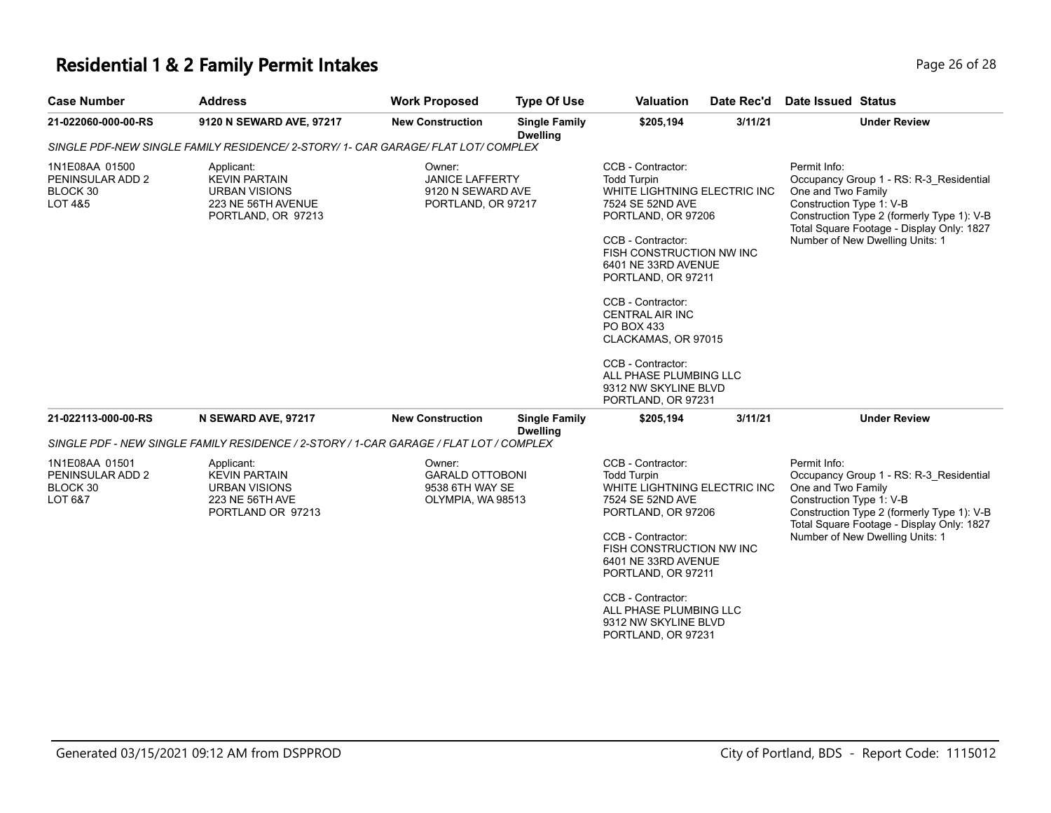### **Residential 1 & 2 Family Permit Intakes Page 26 of 28 Page 26 of 28**

| <b>Case Number</b>                                        | <b>Address</b>                                                                                         | <b>Work Proposed</b>                                                        | <b>Type Of Use</b>                      | <b>Valuation</b>                                                                                                                                                                                                                                                                                                                                                                                 | Date Rec'd | Date Issued Status                                                                                                                                                                                                                      |  |
|-----------------------------------------------------------|--------------------------------------------------------------------------------------------------------|-----------------------------------------------------------------------------|-----------------------------------------|--------------------------------------------------------------------------------------------------------------------------------------------------------------------------------------------------------------------------------------------------------------------------------------------------------------------------------------------------------------------------------------------------|------------|-----------------------------------------------------------------------------------------------------------------------------------------------------------------------------------------------------------------------------------------|--|
| 21-022060-000-00-RS                                       | 9120 N SEWARD AVE, 97217                                                                               | <b>New Construction</b>                                                     | <b>Single Family</b><br><b>Dwelling</b> | \$205,194                                                                                                                                                                                                                                                                                                                                                                                        | 3/11/21    | <b>Under Review</b>                                                                                                                                                                                                                     |  |
|                                                           | SINGLE PDF-NEW SINGLE FAMILY RESIDENCE/ 2-STORY/ 1- CAR GARAGE/ FLAT LOT/ COMPLEX                      |                                                                             |                                         |                                                                                                                                                                                                                                                                                                                                                                                                  |            |                                                                                                                                                                                                                                         |  |
| 1N1E08AA 01500<br>PENINSULAR ADD 2<br>BLOCK 30<br>LOT 4&5 | Applicant:<br><b>KEVIN PARTAIN</b><br><b>URBAN VISIONS</b><br>223 NE 56TH AVENUE<br>PORTLAND, OR 97213 | Owner:<br><b>JANICE LAFFERTY</b><br>9120 N SEWARD AVE<br>PORTLAND, OR 97217 |                                         | CCB - Contractor:<br><b>Todd Turpin</b><br>WHITE LIGHTNING ELECTRIC INC<br>7524 SE 52ND AVE<br>PORTLAND, OR 97206<br>CCB - Contractor:<br>FISH CONSTRUCTION NW INC<br>6401 NE 33RD AVENUE<br>PORTLAND, OR 97211<br>CCB - Contractor:<br><b>CENTRAL AIR INC</b><br>PO BOX 433<br>CLACKAMAS, OR 97015<br>CCB - Contractor:<br>ALL PHASE PLUMBING LLC<br>9312 NW SKYLINE BLVD<br>PORTLAND, OR 97231 |            | Permit Info:<br>Occupancy Group 1 - RS: R-3 Residential<br>One and Two Family<br>Construction Type 1: V-B<br>Construction Type 2 (formerly Type 1): V-B<br>Total Square Footage - Display Only: 1827<br>Number of New Dwelling Units: 1 |  |
| 21-022113-000-00-RS                                       | N SEWARD AVE, 97217                                                                                    | <b>New Construction</b>                                                     | <b>Single Family</b>                    | \$205,194                                                                                                                                                                                                                                                                                                                                                                                        | 3/11/21    | <b>Under Review</b>                                                                                                                                                                                                                     |  |
|                                                           | SINGLE PDF - NEW SINGLE FAMILY RESIDENCE / 2-STORY / 1-CAR GARAGE / FLAT LOT / COMPLEX                 |                                                                             | <b>Dwelling</b>                         |                                                                                                                                                                                                                                                                                                                                                                                                  |            |                                                                                                                                                                                                                                         |  |
| 1N1E08AA 01501<br>PENINSULAR ADD 2<br>BLOCK 30<br>LOT 6&7 | Applicant:<br><b>KEVIN PARTAIN</b><br><b>URBAN VISIONS</b><br>223 NE 56TH AVE<br>PORTLAND OR 97213     | Owner:<br><b>GARALD OTTOBONI</b><br>9538 6TH WAY SE<br>OLYMPIA, WA 98513    |                                         | CCB - Contractor:<br><b>Todd Turpin</b><br>WHITE LIGHTNING ELECTRIC INC<br>7524 SE 52ND AVE<br>PORTLAND, OR 97206<br>CCB - Contractor:<br>FISH CONSTRUCTION NW INC<br>6401 NE 33RD AVENUE<br>PORTLAND, OR 97211<br>CCB - Contractor:<br>ALL PHASE PLUMBING LLC<br>9312 NW SKYLINE BLVD<br>PORTLAND, OR 97231                                                                                     |            | Permit Info:<br>Occupancy Group 1 - RS: R-3_Residential<br>One and Two Family<br>Construction Type 1: V-B<br>Construction Type 2 (formerly Type 1): V-B<br>Total Square Footage - Display Only: 1827<br>Number of New Dwelling Units: 1 |  |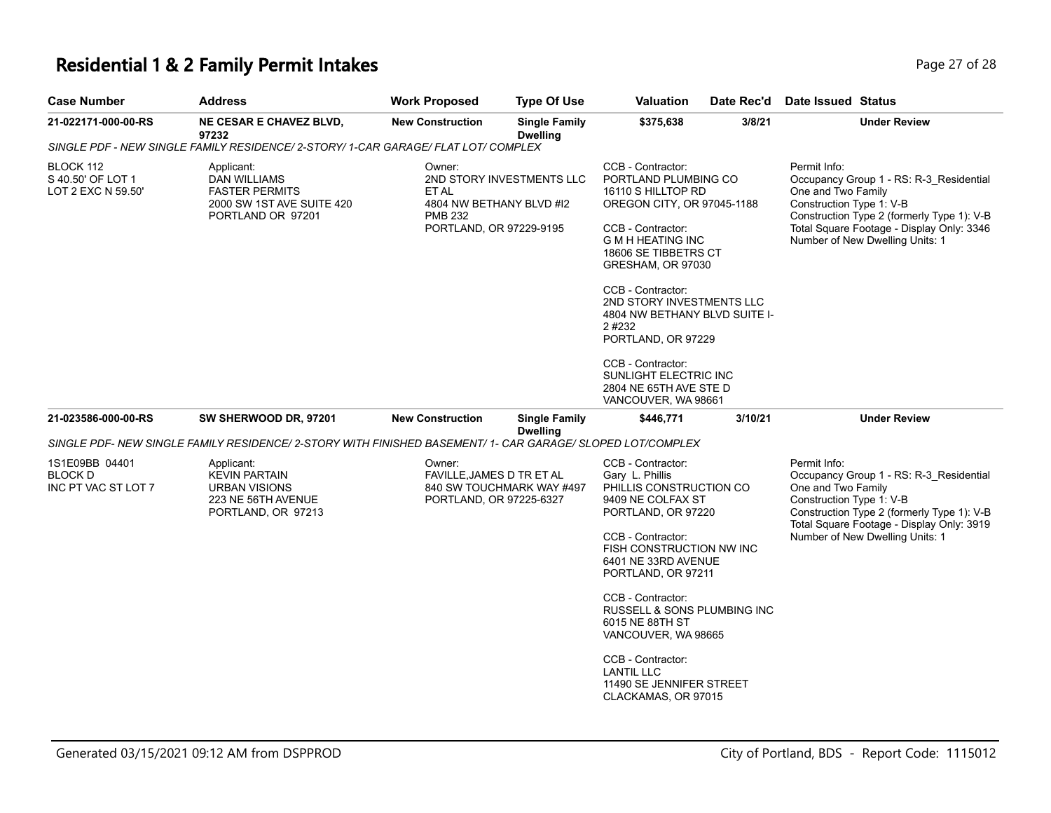## **Residential 1 & 2 Family Permit Intakes Page 27 of 28 Page 27 of 28**

| <b>Case Number</b>                                   | <b>Address</b>                                                                                             | <b>Work Proposed</b>                                                                     | <b>Type Of Use</b>                      | Valuation                                                                                                                                                                                                                                                                                                                                                                                                     | Date Rec'd | Date Issued Status                                                                                                                                                                                                                      |
|------------------------------------------------------|------------------------------------------------------------------------------------------------------------|------------------------------------------------------------------------------------------|-----------------------------------------|---------------------------------------------------------------------------------------------------------------------------------------------------------------------------------------------------------------------------------------------------------------------------------------------------------------------------------------------------------------------------------------------------------------|------------|-----------------------------------------------------------------------------------------------------------------------------------------------------------------------------------------------------------------------------------------|
| 21-022171-000-00-RS                                  | <b>NE CESAR E CHAVEZ BLVD,</b><br>97232                                                                    | <b>New Construction</b>                                                                  | <b>Single Family</b><br><b>Dwelling</b> | \$375,638                                                                                                                                                                                                                                                                                                                                                                                                     | 3/8/21     | <b>Under Review</b>                                                                                                                                                                                                                     |
|                                                      | SINGLE PDF - NEW SINGLE FAMILY RESIDENCE/ 2-STORY/ 1-CAR GARAGE/ FLAT LOT/ COMPLEX                         |                                                                                          |                                         |                                                                                                                                                                                                                                                                                                                                                                                                               |            |                                                                                                                                                                                                                                         |
| BLOCK 112<br>S 40.50' OF LOT 1<br>LOT 2 EXC N 59.50' | Applicant:<br>DAN WILLIAMS<br><b>FASTER PERMITS</b><br>2000 SW 1ST AVE SUITE 420<br>PORTLAND OR 97201      | Owner:<br>ET AL<br>4804 NW BETHANY BLVD #12<br><b>PMB 232</b><br>PORTLAND, OR 97229-9195 | 2ND STORY INVESTMENTS LLC               | CCB - Contractor:<br>PORTLAND PLUMBING CO<br>16110 S HILLTOP RD<br>OREGON CITY, OR 97045-1188<br>CCB - Contractor:<br><b>G M H HEATING INC</b><br>18606 SE TIBBETRS CT<br>GRESHAM, OR 97030<br>CCB - Contractor:<br>2ND STORY INVESTMENTS LLC<br>4804 NW BETHANY BLVD SUITE I-<br>2 #232<br>PORTLAND, OR 97229<br>CCB - Contractor:<br>SUNLIGHT ELECTRIC INC<br>2804 NE 65TH AVE STE D<br>VANCOUVER, WA 98661 |            | Permit Info:<br>Occupancy Group 1 - RS: R-3_Residential<br>One and Two Family<br>Construction Type 1: V-B<br>Construction Type 2 (formerly Type 1): V-B<br>Total Square Footage - Display Only: 3346<br>Number of New Dwelling Units: 1 |
| 21-023586-000-00-RS                                  | SW SHERWOOD DR, 97201                                                                                      | <b>New Construction</b>                                                                  | <b>Single Family</b>                    | \$446,771                                                                                                                                                                                                                                                                                                                                                                                                     | 3/10/21    | <b>Under Review</b>                                                                                                                                                                                                                     |
|                                                      | SINGLE PDF- NEW SINGLE FAMILY RESIDENCE/ 2-STORY WITH FINISHED BASEMENT/ 1- CAR GARAGE/ SLOPED LOT/COMPLEX |                                                                                          | <b>Dwelling</b>                         |                                                                                                                                                                                                                                                                                                                                                                                                               |            |                                                                                                                                                                                                                                         |
| 1S1E09BB 04401<br>BLOCK D<br>INC PT VAC ST LOT 7     | Applicant:<br><b>KEVIN PARTAIN</b><br><b>URBAN VISIONS</b><br>223 NE 56TH AVENUE<br>PORTLAND, OR 97213     | Owner:<br>FAVILLE, JAMES D TR ET AL<br>PORTLAND, OR 97225-6327                           | 840 SW TOUCHMARK WAY #497               | CCB - Contractor:<br>Gary L. Phillis<br>PHILLIS CONSTRUCTION CO<br>9409 NE COLFAX ST<br>PORTLAND, OR 97220<br>CCB - Contractor:<br>FISH CONSTRUCTION NW INC<br>6401 NE 33RD AVENUE<br>PORTLAND, OR 97211                                                                                                                                                                                                      |            | Permit Info:<br>Occupancy Group 1 - RS: R-3_Residential<br>One and Two Family<br>Construction Type 1: V-B<br>Construction Type 2 (formerly Type 1): V-B<br>Total Square Footage - Display Only: 3919<br>Number of New Dwelling Units: 1 |
|                                                      |                                                                                                            |                                                                                          |                                         | CCB - Contractor:<br>RUSSELL & SONS PLUMBING INC<br>6015 NE 88TH ST<br>VANCOUVER, WA 98665<br>CCB - Contractor:<br><b>LANTIL LLC</b><br>11490 SE JENNIFER STREET                                                                                                                                                                                                                                              |            |                                                                                                                                                                                                                                         |